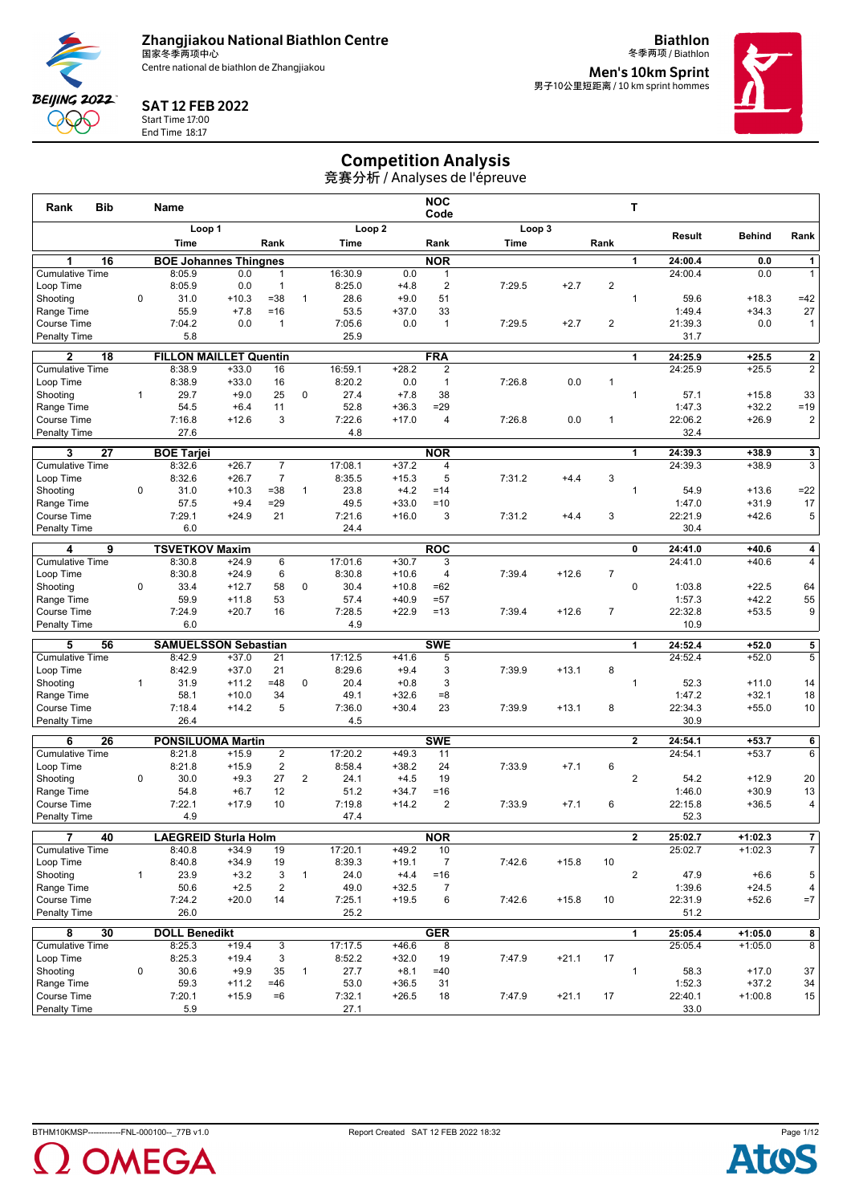

**Biathlon**



#### SAT 12 FEB 2022

Start Time 17:00 End Time 18:17

冬季两项 / Biathlon **Men's 10km Sprint<br><sub>男子10公里短距离 / 10 km sprint hommes**</sub>



# Competition Analysis

| Rank<br><b>Bib</b>                  |              | Name                          |                    |                                  |                |                   |                    | <b>NOC</b><br>Code      |        |         |                | т              |         |               |                         |
|-------------------------------------|--------------|-------------------------------|--------------------|----------------------------------|----------------|-------------------|--------------------|-------------------------|--------|---------|----------------|----------------|---------|---------------|-------------------------|
|                                     |              | Loop 1                        |                    |                                  |                | Loop <sub>2</sub> |                    |                         | Loop 3 |         |                |                | Result  | <b>Behind</b> | Rank                    |
|                                     |              | Time                          |                    | Rank                             |                | Time              |                    | Rank                    | Time   |         | Rank           |                |         |               |                         |
| 1<br>16                             |              | <b>BOE Johannes Thingnes</b>  |                    |                                  |                |                   |                    | <b>NOR</b>              |        |         |                | 1              | 24:00.4 | 0.0           | 1                       |
| <b>Cumulative Time</b>              |              | 8:05.9                        | 0.0                | $\mathbf{1}$                     |                | 16:30.9           | 0.0                | 1                       |        |         |                |                | 24:00.4 | 0.0           | $\mathbf{1}$            |
| Loop Time                           |              | 8:05.9                        | 0.0                | $\overline{1}$                   |                | 8:25.0            | $+4.8$             | $\overline{2}$          | 7:29.5 | $+2.7$  | $\overline{c}$ |                |         |               |                         |
| Shooting                            | $\mathbf 0$  | 31.0                          | $+10.3$            | $= 38$                           | $\mathbf{1}$   | 28.6              | $+9.0$             | 51                      |        |         |                | $\mathbf{1}$   | 59.6    | $+18.3$       | $=42$                   |
| Range Time                          |              | 55.9                          | $+7.8$             | $=16$                            |                | 53.5              | $+37.0$            | 33                      |        |         |                |                | 1:49.4  | $+34.3$       | 27                      |
| <b>Course Time</b>                  |              | 7:04.2                        | 0.0                | $\overline{1}$                   |                | 7:05.6            | 0.0                | $\mathbf{1}$            | 7:29.5 | $+2.7$  | $\overline{2}$ |                | 21:39.3 | 0.0           | $\mathbf{1}$            |
| <b>Penalty Time</b>                 |              | 5.8                           |                    |                                  |                | 25.9              |                    |                         |        |         |                |                | 31.7    |               |                         |
| $\mathbf{2}$<br>18                  |              | <b>FILLON MAILLET Quentin</b> |                    |                                  |                |                   |                    | <b>FRA</b>              |        |         |                | 1              | 24:25.9 | $+25.5$       | $\mathbf 2$             |
| <b>Cumulative Time</b>              |              | 8:38.9                        | $+33.0$            | 16                               |                | 16:59.1           | $+28.2$            | 2                       |        |         |                |                | 24:25.9 | $+25.5$       | $\overline{c}$          |
| Loop Time                           |              | 8:38.9                        | $+33.0$            | 16                               |                | 8:20.2            | 0.0                | $\mathbf{1}$            | 7:26.8 | 0.0     | $\mathbf{1}$   |                |         |               |                         |
| Shooting                            | $\mathbf{1}$ | 29.7                          | $+9.0$             | 25                               | 0              | 27.4              | $+7.8$             | 38                      |        |         |                | $\mathbf{1}$   | 57.1    | $+15.8$       | 33                      |
| Range Time                          |              | 54.5                          | $+6.4$             | 11                               |                | 52.8              | $+36.3$            | $=29$                   |        |         |                |                | 1:47.3  | $+32.2$       | $=19$                   |
| <b>Course Time</b>                  |              | 7:16.8                        | $+12.6$            | 3                                |                | 7:22.6            | $+17.0$            | 4                       | 7:26.8 | 0.0     | 1              |                | 22:06.2 | $+26.9$       | $\overline{\mathbf{c}}$ |
| <b>Penalty Time</b>                 |              | 27.6                          |                    |                                  |                | 4.8               |                    |                         |        |         |                |                | 32.4    |               |                         |
| 27<br>3                             |              | <b>BOE Tarjei</b>             |                    |                                  |                |                   |                    | <b>NOR</b>              |        |         |                | 1              | 24:39.3 | $+38.9$       | 3                       |
| <b>Cumulative Time</b>              |              | 8:32.6                        | $+26.7$            | 7                                |                | 17:08.1           | $+37.2$            | 4                       |        |         |                |                | 24:39.3 | $+38.9$       | 3                       |
| Loop Time                           |              | 8:32.6                        | $+26.7$            | $\overline{7}$                   |                | 8:35.5            | $+15.3$            | 5                       | 7:31.2 | $+4.4$  | 3              |                |         |               |                         |
| Shooting                            | $\mathbf 0$  | 31.0                          | $+10.3$            | $= 38$                           | $\mathbf{1}$   | 23.8              | $+4.2$             | $=14$                   |        |         |                | $\mathbf{1}$   | 54.9    | $+13.6$       | $=22$                   |
| Range Time                          |              | 57.5                          | $+9.4$             | $= 29$                           |                | 49.5              | $+33.0$            | $=10$                   |        |         |                |                | 1:47.0  | $+31.9$       | 17                      |
| <b>Course Time</b>                  |              | 7:29.1                        | $+24.9$            | 21                               |                | 7:21.6            | $+16.0$            | 3                       | 7:31.2 | $+4.4$  | 3              |                | 22:21.9 | $+42.6$       | 5                       |
| <b>Penalty Time</b>                 |              | 6.0                           |                    |                                  |                | 24.4              |                    |                         |        |         |                |                | 30.4    |               |                         |
| 9<br>4                              |              | <b>TSVETKOV Maxim</b>         |                    |                                  |                |                   |                    | <b>ROC</b>              |        |         |                | 0              | 24:41.0 | $+40.6$       | 4                       |
| <b>Cumulative Time</b>              |              | 8:30.8                        | $+24.9$            | 6                                |                | 17:01.6           | $+30.7$            | 3                       |        |         |                |                | 24:41.0 | $+40.6$       | $\overline{4}$          |
| Loop Time                           |              | 8:30.8                        | $+24.9$            | 6                                |                | 8:30.8            | $+10.6$            | 4                       | 7:39.4 | $+12.6$ | $\overline{7}$ |                |         |               |                         |
| Shooting                            | 0            | 33.4                          | $+12.7$            | 58                               | 0              | 30.4              | $+10.8$            | $=62$                   |        |         |                | $\pmb{0}$      | 1:03.8  | $+22.5$       | 64                      |
| Range Time                          |              | 59.9                          | $+11.8$            | 53                               |                | 57.4              | $+40.9$            | $= 57$                  |        |         |                |                | 1:57.3  | $+42.2$       | 55                      |
| <b>Course Time</b>                  |              | 7:24.9                        | $+20.7$            | 16                               |                | 7:28.5            | $+22.9$            | $=13$                   | 7:39.4 | $+12.6$ | $\overline{7}$ |                | 22:32.8 | $+53.5$       | 9                       |
| <b>Penalty Time</b>                 |              | 6.0                           |                    |                                  |                | 4.9               |                    |                         |        |         |                |                | 10.9    |               |                         |
| 5<br>56                             |              | <b>SAMUELSSON Sebastian</b>   |                    |                                  |                |                   |                    | <b>SWE</b>              |        |         |                | $\mathbf{1}$   | 24:52.4 | $+52.0$       | 5                       |
| <b>Cumulative Time</b>              |              | 8:42.9                        | $+37.0$            | 21                               |                | 17:12.5           | $+41.6$            | 5                       |        |         |                |                | 24:52.4 | $+52.0$       | 5                       |
| Loop Time<br>Shooting               | $\mathbf{1}$ | 8:42.9<br>31.9                | $+37.0$<br>$+11.2$ | 21<br>$=48$                      | $\mathbf 0$    | 8:29.6<br>20.4    | $+9.4$<br>$+0.8$   | 3<br>3                  | 7:39.9 | $+13.1$ | 8              | $\mathbf{1}$   | 52.3    | $+11.0$       |                         |
| Range Time                          |              | 58.1                          | $+10.0$            | 34                               |                | 49.1              | $+32.6$            | $=8$                    |        |         |                |                | 1:47.2  | $+32.1$       | 14<br>18                |
| <b>Course Time</b>                  |              | 7:18.4                        | $+14.2$            | 5                                |                | 7:36.0            | $+30.4$            | 23                      | 7:39.9 | $+13.1$ | 8              |                | 22:34.3 | $+55.0$       | 10                      |
| <b>Penalty Time</b>                 |              | 26.4                          |                    |                                  |                | 4.5               |                    |                         |        |         |                |                | 30.9    |               |                         |
|                                     |              |                               |                    |                                  |                |                   |                    |                         |        |         |                |                |         |               |                         |
| 6<br>26                             |              | <b>PONSILUOMA Martin</b>      |                    |                                  |                |                   |                    | <b>SWE</b>              |        |         |                | $\mathbf{2}$   | 24:54.1 | $+53.7$       | $\overline{\mathbf{6}}$ |
| <b>Cumulative Time</b><br>Loop Time |              | 8:21.8<br>8:21.8              | $+15.9$<br>$+15.9$ | $\overline{2}$<br>$\overline{2}$ |                | 17:20.2<br>8:58.4 | $+49.3$<br>$+38.2$ | 11<br>24                | 7:33.9 | $+7.1$  | 6              |                | 24:54.1 | $+53.7$       | 6                       |
| Shooting                            | $\mathbf 0$  | 30.0                          | $+9.3$             | 27                               | $\overline{2}$ | 24.1              | $+4.5$             | 19                      |        |         |                | 2              | 54.2    | $+12.9$       | 20                      |
| Range Time                          |              | 54.8                          | $+6.7$             | 12                               |                | 51.2              | $+34.7$            | $= 16$                  |        |         |                |                | 1:46.0  | $+30.9$       | 13                      |
| <b>Course Time</b>                  |              | 7:22.1                        | $+17.9$            | 10                               |                | 7:19.8            | $+14.2$            | $\overline{2}$          | 7:33.9 | $+7.1$  | 6              |                | 22:15.8 | $+36.5$       | 4                       |
| <b>Penalty Time</b>                 |              | 4.9                           |                    |                                  |                | 47.4              |                    |                         |        |         |                |                | 52.3    |               |                         |
|                                     |              |                               |                    |                                  |                |                   |                    |                         |        |         |                |                |         |               |                         |
| 7<br>40                             |              | <b>LAEGREID Sturla Holm</b>   |                    |                                  |                |                   |                    | <b>NOR</b>              |        |         |                | $\overline{2}$ | 25:02.7 | $+1:02.3$     | 7<br>$\overline{7}$     |
| <b>Cumulative Time</b><br>Loop Time |              | 8:40.8                        | $+34.9$            | 19                               |                | 17:20.1           | $+49.2$            | $10$                    |        |         |                |                | 25:02.7 | $+1:02.3$     |                         |
| Shootina                            | $\mathbf{1}$ | 8:40.8<br>23.9                | $+34.9$<br>$+3.2$  | 19<br>3                          | $\mathbf{1}$   | 8:39.3<br>24.0    | $+19.1$<br>$+4.4$  | $\overline{7}$<br>$=16$ | 7:42.6 | $+15.8$ | 10             | $\overline{2}$ | 47.9    | $+6.6$        | 5                       |
| Range Time                          |              | 50.6                          | $+2.5$             | $\overline{2}$                   |                | 49.0              | $+32.5$            | $\overline{7}$          |        |         |                |                | 1:39.6  | $+24.5$       | 4                       |
| Course Time                         |              | 7:24.2                        | $+20.0$            | 14                               |                | 7:25.1            | $+19.5$            | 6                       | 7:42.6 | $+15.8$ | 10             |                | 22:31.9 | $+52.6$       | $=7$                    |
| <b>Penalty Time</b>                 |              | 26.0                          |                    |                                  |                | 25.2              |                    |                         |        |         |                |                | 51.2    |               |                         |
| 30<br>8                             |              | <b>DOLL Benedikt</b>          |                    |                                  |                |                   |                    | <b>GER</b>              |        |         |                | 1              | 25:05.4 | $+1:05.0$     | 8                       |
| <b>Cumulative Time</b>              |              | 8:25.3                        | $+19.4$            | 3                                |                | 17:17.5           | $+46.6$            | 8                       |        |         |                |                | 25:05.4 | $+1:05.0$     | 8                       |
| Loop Time                           |              | 8:25.3                        | $+19.4$            | 3                                |                | 8:52.2            | $+32.0$            | 19                      | 7:47.9 | $+21.1$ | 17             |                |         |               |                         |
| Shooting                            | 0            | 30.6                          | $+9.9$             | 35                               | $\mathbf{1}$   | 27.7              | $+8.1$             | $=40$                   |        |         |                | $\mathbf{1}$   | 58.3    | $+17.0$       | 37                      |
| Range Time                          |              | 59.3                          | $+11.2$            | $=46$                            |                | 53.0              | $+36.5$            | 31                      |        |         |                |                | 1:52.3  | $+37.2$       | 34                      |
| Course Time                         |              | 7:20.1                        | $+15.9$            | $=6$                             |                | 7:32.1            | $+26.5$            | 18                      | 7:47.9 | $+21.1$ | 17             |                | 22:40.1 | $+1:00.8$     | 15                      |
| <b>Penalty Time</b>                 |              | 5.9                           |                    |                                  |                | 27.1              |                    |                         |        |         |                |                | 33.0    |               |                         |



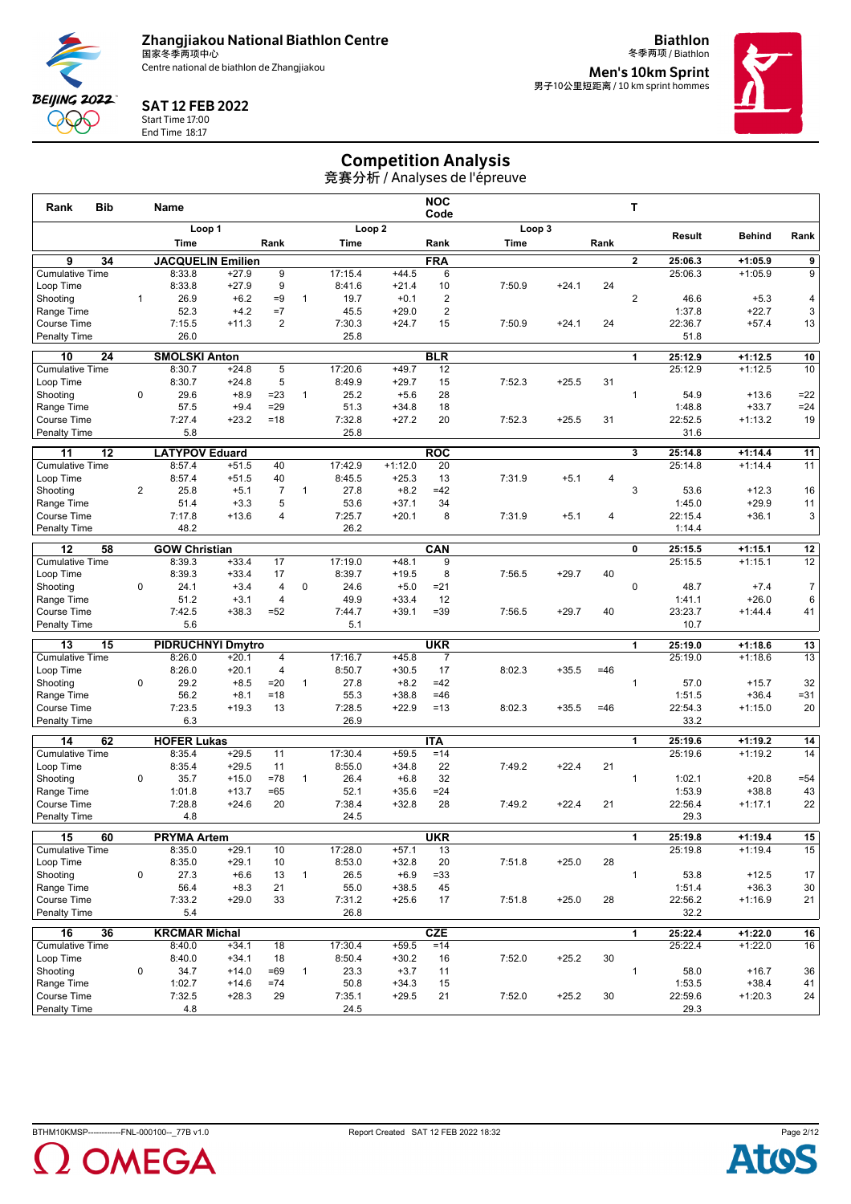

**Biathlon**



#### SAT 12 FEB 2022

Start Time 17:00 End Time 18:17

冬季两项 / Biathlon **Men's 10km Sprint<br><sub>男子10公里短距离 / 10 km sprint hommes**</sub>



# Competition Analysis

| <b>Bib</b><br>Rank                              |                | <b>Name</b>                    |                          |                                  |              |                   |                    | <b>NOC</b><br>Code                        |        |         |       | т              |                    |                        |                 |
|-------------------------------------------------|----------------|--------------------------------|--------------------------|----------------------------------|--------------|-------------------|--------------------|-------------------------------------------|--------|---------|-------|----------------|--------------------|------------------------|-----------------|
|                                                 |                |                                | Loop 1                   |                                  |              |                   | Loop <sub>2</sub>  |                                           |        | Loop 3  |       |                | Result             | <b>Behind</b>          | Rank            |
|                                                 |                | Time                           |                          | Rank                             |              | Time              |                    | Rank                                      | Time   |         | Rank  |                |                    |                        |                 |
| $\overline{9}$<br>34                            |                |                                | <b>JACQUELIN Emilien</b> |                                  |              |                   |                    | <b>FRA</b>                                |        |         |       | $\overline{2}$ | 25:06.3            | $+1:05.9$              | $\overline{9}$  |
| <b>Cumulative Time</b>                          |                | 8:33.8                         | $+27.9$                  | 9                                |              | 17:15.4           | $+44.5$            | 6                                         |        |         |       |                | 25:06.3            | $+1:05.9$              | 9               |
| Loop Time                                       |                | 8:33.8                         | $+27.9$                  | 9                                |              | 8:41.6            | $+21.4$            | 10                                        | 7:50.9 | $+24.1$ | 24    |                |                    |                        |                 |
| Shooting                                        | $\mathbf{1}$   | 26.9<br>52.3                   | $+6.2$<br>$+4.2$         | $=9$<br>$=7$                     | $\mathbf{1}$ | 19.7<br>45.5      | $+0.1$<br>$+29.0$  | $\overline{\mathbf{c}}$<br>$\overline{2}$ |        |         |       | $\overline{2}$ | 46.6<br>1:37.8     | $+5.3$<br>$+22.7$      | 4<br>3          |
| Range Time<br>Course Time                       |                | 7:15.5                         | $+11.3$                  | $\overline{2}$                   |              | 7:30.3            | $+24.7$            | 15                                        | 7:50.9 | $+24.1$ | 24    |                | 22:36.7            | $+57.4$                | 13              |
| Penalty Time                                    |                | 26.0                           |                          |                                  |              | 25.8              |                    |                                           |        |         |       |                | 51.8               |                        |                 |
|                                                 |                |                                |                          |                                  |              |                   |                    |                                           |        |         |       |                |                    |                        |                 |
| 10<br>$\overline{24}$<br><b>Cumulative Time</b> |                | <b>SMOLSKI Anton</b><br>8:30.7 | $+24.8$                  | 5                                |              | 17:20.6           | $+49.7$            | <b>BLR</b><br>12                          |        |         |       | 1              | 25:12.9<br>25:12.9 | $+1:12.5$<br>$+1:12.5$ | 10<br>10        |
| Loop Time                                       |                | 8:30.7                         | $+24.8$                  | 5                                |              | 8:49.9            | $+29.7$            | 15                                        | 7:52.3 | $+25.5$ | 31    |                |                    |                        |                 |
| Shooting                                        | $\mathbf 0$    | 29.6                           | $+8.9$                   | $= 23$                           | $\mathbf{1}$ | 25.2              | $+5.6$             | 28                                        |        |         |       | $\mathbf{1}$   | 54.9               | $+13.6$                | $=22$           |
| Range Time                                      |                | 57.5                           | $+9.4$                   | $=29$                            |              | 51.3              | $+34.8$            | 18                                        |        |         |       |                | 1:48.8             | $+33.7$                | $=24$           |
| Course Time                                     |                | 7:27.4                         | $+23.2$                  | $=18$                            |              | 7:32.8            | $+27.2$            | 20                                        | 7:52.3 | $+25.5$ | 31    |                | 22:52.5            | $+1:13.2$              | 19              |
| <b>Penalty Time</b>                             |                | 5.8                            |                          |                                  |              | 25.8              |                    |                                           |        |         |       |                | 31.6               |                        |                 |
| 11<br>12                                        |                | <b>LATYPOV Eduard</b>          |                          |                                  |              |                   |                    | <b>ROC</b>                                |        |         |       | 3              | 25:14.8            | $+1:14.4$              | 11              |
| <b>Cumulative Time</b>                          |                | 8:57.4                         | $+51.5$                  | 40                               |              | 17:42.9           | $+1:12.0$          | 20                                        |        |         |       |                | 25:14.8            | $+1:14.4$              | 11              |
| Loop Time                                       |                | 8:57.4                         | $+51.5$                  | 40                               |              | 8:45.5            | $+25.3$            | 13                                        | 7:31.9 | $+5.1$  | 4     |                |                    |                        |                 |
| Shooting                                        | $\overline{2}$ | 25.8                           | $+5.1$                   | $\overline{7}$                   | 1            | 27.8              | $+8.2$             | $=42$                                     |        |         |       | 3              | 53.6               | $+12.3$                | 16              |
| Range Time                                      |                | 51.4                           | $+3.3$                   | 5                                |              | 53.6              | $+37.1$            | 34                                        |        |         |       |                | 1:45.0             | $+29.9$                | 11              |
| <b>Course Time</b>                              |                | 7:17.8                         | $+13.6$                  | 4                                |              | 7:25.7            | $+20.1$            | 8                                         | 7:31.9 | $+5.1$  | 4     |                | 22:15.4            | $+36.1$                | 3               |
| <b>Penalty Time</b>                             |                | 48.2                           |                          |                                  |              | 26.2              |                    |                                           |        |         |       |                | 1:14.4             |                        |                 |
| 12<br>58                                        |                | <b>GOW Christian</b>           |                          |                                  |              |                   |                    | CAN                                       |        |         |       | 0              | 25:15.5            | $+1:15.1$              | $\overline{12}$ |
| <b>Cumulative Time</b>                          |                | 8:39.3                         | $+33.4$                  | 17                               |              | 17:19.0           | $+48.1$            | 9                                         |        |         |       |                | 25:15.5            | $+1:15.1$              | 12              |
| Loop Time                                       |                | 8:39.3                         | $+33.4$                  | 17                               |              | 8:39.7            | $+19.5$            | 8                                         | 7:56.5 | $+29.7$ | 40    |                |                    |                        |                 |
| Shooting                                        | 0              | 24.1                           | $+3.4$                   | 4                                | 0            | 24.6              | $+5.0$             | $= 21$                                    |        |         |       | $\mathbf 0$    | 48.7               | $+7.4$                 | $\overline{7}$  |
| Range Time                                      |                | 51.2                           | $+3.1$                   | 4<br>$= 52$                      |              | 49.9              | $+33.4$            | 12<br>$=39$                               |        |         | 40    |                | 1:41.1             | $+26.0$                | 6               |
| <b>Course Time</b><br><b>Penalty Time</b>       |                | 7:42.5<br>5.6                  | $+38.3$                  |                                  |              | 7:44.7<br>5.1     | $+39.1$            |                                           | 7:56.5 | $+29.7$ |       |                | 23:23.7<br>10.7    | $+1:44.4$              | 41              |
|                                                 |                |                                |                          |                                  |              |                   |                    |                                           |        |         |       |                |                    |                        |                 |
| 13<br>15                                        |                |                                | <b>PIDRUCHNYI Dmytro</b> |                                  |              |                   |                    | <b>UKR</b>                                |        |         |       | 1              | 25:19.0            | $+1:18.6$              | 13              |
| <b>Cumulative Time</b><br>Loop Time             |                | 8:26.0<br>8:26.0               | $+20.1$<br>$+20.1$       | $\overline{4}$<br>$\overline{4}$ |              | 17:16.7<br>8:50.7 | $+45.8$<br>$+30.5$ | $\overline{7}$<br>17                      | 8:02.3 | $+35.5$ | $=46$ |                | 25:19.0            | $+1:18.6$              | 13              |
| Shooting                                        | 0              | 29.2                           | $+8.5$                   | $=20$                            | $\mathbf{1}$ | 27.8              | $+8.2$             | $=42$                                     |        |         |       | $\mathbf{1}$   | 57.0               | $+15.7$                | 32              |
| Range Time                                      |                | 56.2                           | $+8.1$                   | $=18$                            |              | 55.3              | $+38.8$            | $=46$                                     |        |         |       |                | 1:51.5             | $+36.4$                | $= 31$          |
| Course Time                                     |                | 7:23.5                         | $+19.3$                  | 13                               |              | 7:28.5            | $+22.9$            | $=13$                                     | 8:02.3 | $+35.5$ | $=46$ |                | 22:54.3            | $+1:15.0$              | 20              |
| <b>Penalty Time</b>                             |                | 6.3                            |                          |                                  |              | 26.9              |                    |                                           |        |         |       |                | 33.2               |                        |                 |
| 14<br>62                                        |                | <b>HOFER Lukas</b>             |                          |                                  |              |                   |                    | <b>ITA</b>                                |        |         |       | 1              | 25:19.6            | $+1:19.2$              | 14              |
| <b>Cumulative Time</b>                          |                | 8:35.4                         | $+29.5$                  | 11                               |              | 17:30.4           | $+59.5$            | $=14$                                     |        |         |       |                | 25:19.6            | $+1:19.2$              | 14              |
| Loop Time                                       |                | 8:35.4                         | $+29.5$                  | 11                               |              | 8:55.0            | $+34.8$            | 22                                        | 7:49.2 | $+22.4$ | 21    |                |                    |                        |                 |
| Shooting                                        | $\mathbf 0$    | 35.7                           | $+15.0$                  | $=78$                            | $\mathbf{1}$ | 26.4              | $+6.8$             | 32                                        |        |         |       | $\mathbf{1}$   | 1:02.1             | $+20.8$                | $= 54$          |
| Range Time                                      |                | 1:01.8                         | $+13.7$                  | $=65$                            |              | 52.1              | $+35.6$            | $= 24$                                    |        |         |       |                | 1:53.9             | $+38.8$                | 43              |
| Course Time                                     |                | 7:28.8                         | $+24.6$                  | 20                               |              | 7:38.4            | $+32.8$            | 28                                        | 7:49.2 | $+22.4$ | 21    |                | 22:56.4            | $+1:17.1$              | 22              |
| <b>Penalty Time</b>                             |                | 4.8                            |                          |                                  |              | 24.5              |                    |                                           |        |         |       |                | 29.3               |                        |                 |
| 60<br>15                                        |                | <b>PRYMA Artem</b>             |                          |                                  |              |                   |                    | <b>UKR</b>                                |        |         |       | 1              | 25:19.8            | $+1:19.4$              | $\overline{15}$ |
| <b>Cumulative Time</b>                          |                | 8:35.0                         | $+29.1$                  | 10                               |              | 17:28.0           | $+57.1$            | 13                                        |        |         |       |                | 25:19.8            | $+1:19.4$              | 15              |
| Loop Time                                       |                | 8:35.0                         | $+29.1$                  | 10                               |              | 8:53.0            | $+32.8$            | 20                                        | 7:51.8 | $+25.0$ | 28    |                |                    |                        |                 |
| Shooting                                        | 0              | 27.3                           | $+6.6$                   | 13                               | $\mathbf{1}$ | 26.5              | $+6.9$             | $= 33$                                    |        |         |       | $\mathbf{1}$   | 53.8               | $+12.5$                | 17              |
| Range Time                                      |                | 56.4                           | $+8.3$                   | 21                               |              | 55.0              | $+38.5$            | 45                                        |        |         |       |                | 1:51.4             | $+36.3$                | $30\,$          |
| Course Time<br><b>Penalty Time</b>              |                | 7:33.2                         | $+29.0$                  | 33                               |              | 7:31.2<br>26.8    | $+25.6$            | 17                                        | 7:51.8 | $+25.0$ | 28    |                | 22:56.2            | $+1:16.9$              | 21              |
|                                                 |                | 5.4                            |                          |                                  |              |                   |                    |                                           |        |         |       |                | 32.2               |                        |                 |
| 16<br>36<br><b>Cumulative Time</b>              |                | <b>KRCMAR Michal</b><br>8:40.0 | $+34.1$                  | 18                               |              | 17:30.4           | $+59.5$            | <b>CZE</b><br>$=14$                       |        |         |       | 1              | 25:22.4<br>25:22.4 | $+1:22.0$<br>$+1:22.0$ | 16<br>16        |
| Loop Time                                       |                | 8:40.0                         | $+34.1$                  | 18                               |              | 8:50.4            | $+30.2$            | 16                                        | 7:52.0 | $+25.2$ | 30    |                |                    |                        |                 |
| Shootina                                        | 0              | 34.7                           | $+14.0$                  | $=69$                            | $\mathbf{1}$ | 23.3              | $+3.7$             | 11                                        |        |         |       | $\mathbf{1}$   | 58.0               | $+16.7$                | 36              |
| Range Time                                      |                | 1:02.7                         | $+14.6$                  | $= 74$                           |              | 50.8              | $+34.3$            | 15                                        |        |         |       |                | 1:53.5             | $+38.4$                | 41              |
| Course Time                                     |                | 7:32.5                         | $+28.3$                  | 29                               |              | 7:35.1            | $+29.5$            | 21                                        | 7:52.0 | $+25.2$ | 30    |                | 22:59.6            | $+1:20.3$              | 24              |
| Penalty Time                                    |                | 4.8                            |                          |                                  |              | 24.5              |                    |                                           |        |         |       |                | 29.3               |                        |                 |



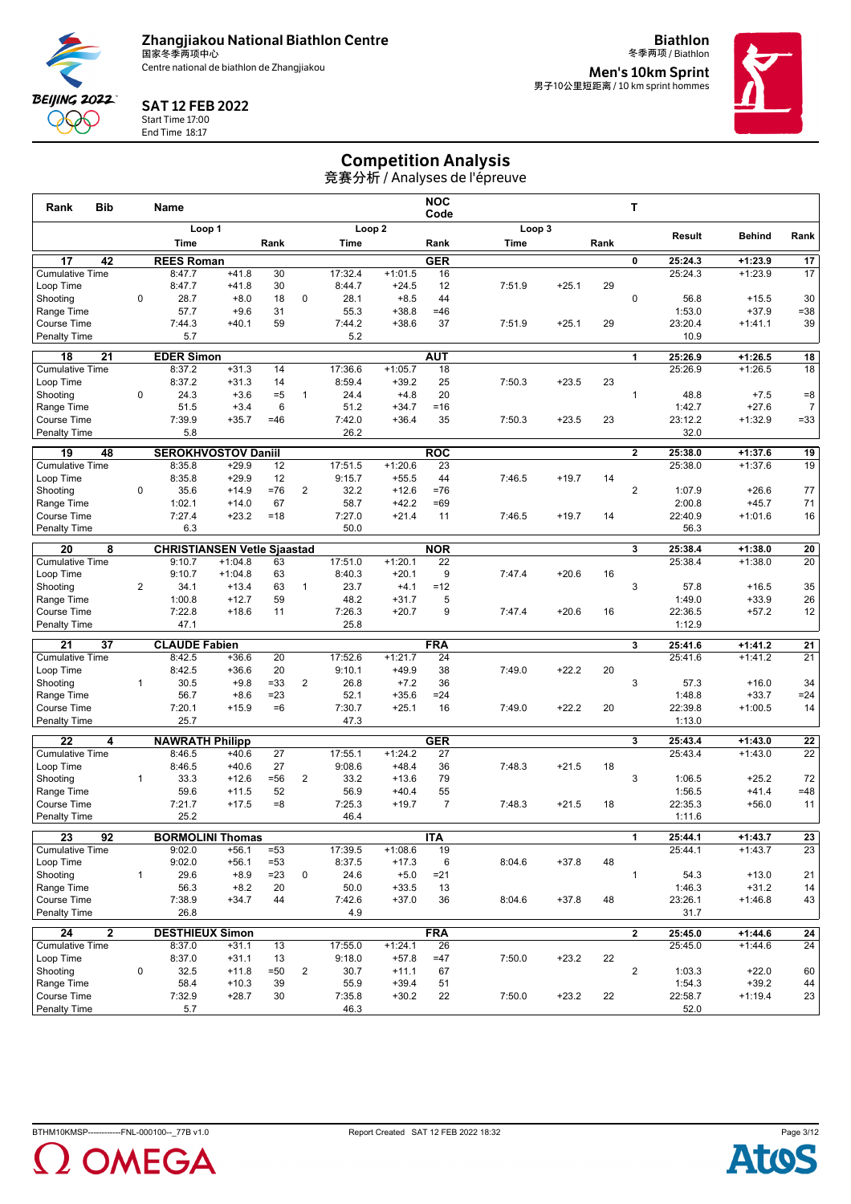

**Biathlon**



#### SAT 12 FEB 2022

Start Time 17:00 End Time 18:17

冬季两项 / Biathlon **Men's 10km Sprint<br><sub>男子10公里短距离 / 10 km sprint hommes**</sub>



## Competition Analysis

| Loop <sub>2</sub><br>Loop 3<br>Loop 1<br>Result<br><b>Behind</b><br>Rank<br>Time<br>Rank<br>Time<br>Rank<br>Time<br>Rank<br>17<br>42<br><b>REES Roman</b><br><b>GER</b><br>17<br>0<br>25:24.3<br>$+1:23.9$<br><b>Cumulative Time</b><br>30<br>17:32.4<br>$+1:01.5$<br>25:24.3<br>$+1:23.9$<br>17<br>8:47.7<br>$+41.8$<br>16<br>30<br>8:44.7<br>12<br>7:51.9<br>$+25.1$<br>29<br>Loop Time<br>8:47.7<br>$+41.8$<br>$+24.5$<br>0<br>28.7<br>18<br>0<br>28.1<br>44<br>$\mathbf 0$<br>30<br>Shooting<br>$+8.0$<br>$+8.5$<br>56.8<br>$+15.5$<br>57.7<br>31<br>55.3<br>$+38.8$<br>$=46$<br>1:53.0<br>$+37.9$<br>$= 38$<br>Range Time<br>$+9.6$<br>Course Time<br>7:44.3<br>59<br>37<br>$+25.1$<br>23:20.4<br>39<br>$+40.1$<br>7:44.2<br>$+38.6$<br>7:51.9<br>29<br>$+1:41.1$<br>Penalty Time<br>5.7<br>5.2<br>10.9<br>$\overline{21}$<br><b>EDER Simon</b><br><b>AUT</b><br>$\overline{18}$<br>18<br>25:26.9<br>$+1:26.5$<br>1<br>17:36.6<br>$+1:26.5$<br>18<br><b>Cumulative Time</b><br>8:37.2<br>$+31.3$<br>14<br>$+1:05.7$<br>25:26.9<br>18<br>8:37.2<br>$+31.3$<br>14<br>8:59.4<br>$+39.2$<br>25<br>7:50.3<br>23<br>Loop Time<br>$+23.5$<br>$\mathbf 0$<br>24.3<br>$= 5$<br>24.4<br>20<br>$\mathbf{1}$<br>48.8<br>$= 8$<br>Shooting<br>$+3.6$<br>$\mathbf{1}$<br>$+4.8$<br>$+7.5$<br>51.5<br>$+3.4$<br>6<br>$= 16$<br>1:42.7<br>$+27.6$<br>$\overline{7}$<br>Range Time<br>51.2<br>$+34.7$<br>7:39.9<br>35<br>$+1:32.9$<br>$= 33$<br>Course Time<br>$+35.7$<br>$=46$<br>7:42.0<br>$+36.4$<br>7:50.3<br>$+23.5$<br>23<br>23:12.2<br><b>Penalty Time</b><br>5.8<br>26.2<br>32.0<br><b>SEROKHVOSTOV Daniil</b><br><b>ROC</b><br>19<br>48<br>$\mathbf{2}$<br>25:38.0<br>$+1:37.6$<br>19<br><b>Cumulative Time</b><br>$+29.9$<br>12<br>17:51.5<br>$+1:20.6$<br>23<br>25:38.0<br>$+1:37.6$<br>19<br>8:35.8<br>8:35.8<br>$+29.9$<br>12<br>9:15.7<br>$+55.5$<br>44<br>7:46.5<br>$+19.7$<br>Loop Time<br>14<br>35.6<br>$+14.9$<br>$= 76$<br>$\overline{2}$<br>32.2<br>$+12.6$<br>$\overline{2}$<br>Shooting<br>0<br>$=76$<br>1:07.9<br>$+26.6$<br>77<br>1:02.1<br>$+14.0$<br>67<br>58.7<br>$+42.2$<br>$=69$<br>2:00.8<br>$+45.7$<br>71<br>Range Time<br>$+23.2$<br>7:27.0<br>22:40.9<br>16<br>Course Time<br>7:27.4<br>$=18$<br>$+21.4$<br>11<br>7:46.5<br>$+19.7$<br>14<br>$+1:01.6$<br>6.3<br>50.0<br><b>Penalty Time</b><br>56.3<br>20<br>8<br><b>CHRISTIANSEN Vetle Sjaastad</b><br><b>NOR</b><br>3<br>25:38.4<br>$+1:38.0$<br>20<br><b>Cumulative Time</b><br>17:51.0<br>$+1:20.1$<br>25:38.4<br>$+1:38.0$<br>20<br>9:10.7<br>$+1:04.8$<br>63<br>22<br>9:10.7<br>63<br>8:40.3<br>9<br>7:47.4<br>$+20.6$<br>16<br>Loop Time<br>$+1:04.8$<br>$+20.1$<br>3<br>Shooting<br>2<br>34.1<br>$+13.4$<br>63<br>$\mathbf{1}$<br>23.7<br>$+4.1$<br>$=12$<br>57.8<br>$+16.5$<br>35<br>59<br>5<br>1:49.0<br>$+33.9$<br>26<br>Range Time<br>1:00.8<br>$+12.7$<br>48.2<br>$+31.7$<br>9<br>12<br>Course Time<br>7:22.8<br>$+18.6$<br>11<br>7:26.3<br>$+20.7$<br>7:47.4<br>$+20.6$<br>22:36.5<br>$+57.2$<br>16<br>47.1<br>25.8<br>Penalty Time<br>1:12.9<br>21<br>37<br><b>CLAUDE Fabien</b><br><b>FRA</b><br>3<br>25:41.6<br>$+1:41.2$<br>21<br><b>Cumulative Time</b><br>8:42.5<br>20<br>17:52.6<br>$+1:21.7$<br>24<br>25:41.6<br>$+1:41.2$<br>21<br>$+36.6$<br>8:42.5<br>$+36.6$<br>7:49.0<br>$+22.2$<br>20<br>Loop Time<br>20<br>9:10.1<br>$+49.9$<br>38<br>3<br>30.5<br>$= 33$<br>$\overline{2}$<br>26.8<br>34<br>Shooting<br>$\mathbf{1}$<br>$+9.8$<br>$+7.2$<br>36<br>57.3<br>$+16.0$<br>56.7<br>52.1<br>1:48.8<br>$+33.7$<br>$= 24$<br>Range Time<br>$+8.6$<br>$= 23$<br>$+35.6$<br>$= 24$<br>7:20.1<br>$+15.9$<br>$=6$<br>7:30.7<br>7:49.0<br>$+22.2$<br>20<br>22:39.8<br>$+1:00.5$<br>14<br>Course Time<br>$+25.1$<br>16<br>25.7<br><b>Penalty Time</b><br>47.3<br>1:13.0<br>$\overline{22}$<br>4<br><b>NAWRATH Philipp</b><br><b>GER</b><br>25:43.4<br>22<br>3<br>$+1:43.0$<br>$\overline{22}$<br><b>Cumulative Time</b><br>27<br>17:55.1<br>$+1:24.2$<br>25:43.4<br>$+1:43.0$<br>8:46.5<br>$+40.6$<br>27<br>27<br>9:08.6<br>Loop Time<br>8:46.5<br>$+40.6$<br>$+48.4$<br>36<br>7:48.3<br>$+21.5$<br>18<br>33.3<br>$= 56$<br>$\overline{2}$<br>79<br>3<br>72<br>Shooting<br>$\mathbf{1}$<br>$+12.6$<br>33.2<br>$+13.6$<br>$+25.2$<br>1:06.5<br>59.6<br>52<br>56.9<br>55<br>$+41.4$<br>$=48$<br>Range Time<br>$+11.5$<br>$+40.4$<br>1:56.5<br>7:21.7<br>$= 8$<br>7:25.3<br>$+19.7$<br>$\overline{7}$<br>22:35.3<br>$+56.0$<br><b>Course Time</b><br>$+17.5$<br>7:48.3<br>$+21.5$<br>18<br>11<br>25.2<br><b>Penalty Time</b><br>46.4<br>1:11.6<br><b>BORMOLINI Thomas</b><br>$\overline{23}$<br>$\overline{92}$<br><b>ITA</b><br>$+1:43.7$<br>25:44.1<br>$\overline{23}$<br>1<br>23<br><b>Cumulative Time</b><br>17:39.5<br>25:44.1<br>$+1:43.7$<br>9:02.0<br>$+56.1$<br>$= 53$<br>$+1:08.6$<br>19<br>9:02.0<br>$+56.1$<br>$= 53$<br>8:37.5<br>$+17.3$<br>8:04.6<br>$+37.8$<br>48<br>Loop Time<br>6<br>$\mathbf{1}$<br>29.6<br>$+8.9$<br>$=23$<br>0<br>24.6<br>$\mathbf{1}$<br>54.3<br>Shooting<br>$+5.0$<br>$= 21$<br>$+13.0$<br>21<br>20<br>50.0<br>$+31.2$<br>14<br>Range Time<br>56.3<br>$+8.2$<br>$+33.5$<br>13<br>1:46.3<br>Course Time<br>$+37.8$<br>43<br>7:38.9<br>$+34.7$<br>44<br>7:42.6<br>$+37.0$<br>36<br>8:04.6<br>48<br>23:26.1<br>$+1:46.8$<br><b>Penalty Time</b><br>26.8<br>4.9<br>31.7<br><b>FRA</b><br>24<br>$\mathbf{2}$<br><b>DESTHIEUX Simon</b><br>$\mathbf{2}$<br>25:45.0<br>$+1:44.6$<br>${\bf 24}$<br><b>Cumulative Time</b><br>13<br>17:55.0<br>$+1:24.1$<br>26<br>25:45.0<br>$+1:44.6$<br>24<br>8:37.0<br>$+31.1$<br>$+23.2$<br>22<br>Loop Time<br>8:37.0<br>$+31.1$<br>13<br>9:18.0<br>$+57.8$<br>$=47$<br>7:50.0<br>$\overline{2}$<br>$+11.8$<br>30.7<br>$+22.0$<br>Shooting<br>0<br>32.5<br>$= 50$<br>$\overline{2}$<br>$+11.1$<br>67<br>1:03.3<br>60<br>Range Time<br>39<br>$+39.4$<br>1:54.3<br>$+39.2$<br>44<br>58.4<br>$+10.3$<br>55.9<br>51<br>Course Time<br>7:32.9<br>$+28.7$<br>30<br>7:35.8<br>$+30.2$<br>22<br>7:50.0<br>$+23.2$<br>22<br>22:58.7<br>$+1:19.4$<br>$5.7\,$<br>Penalty Time<br>46.3<br>52.0 | <b>Bib</b><br>Rank | <b>Name</b> |  |  | <b>NOC</b><br>Code |  | т |  |  |
|----------------------------------------------------------------------------------------------------------------------------------------------------------------------------------------------------------------------------------------------------------------------------------------------------------------------------------------------------------------------------------------------------------------------------------------------------------------------------------------------------------------------------------------------------------------------------------------------------------------------------------------------------------------------------------------------------------------------------------------------------------------------------------------------------------------------------------------------------------------------------------------------------------------------------------------------------------------------------------------------------------------------------------------------------------------------------------------------------------------------------------------------------------------------------------------------------------------------------------------------------------------------------------------------------------------------------------------------------------------------------------------------------------------------------------------------------------------------------------------------------------------------------------------------------------------------------------------------------------------------------------------------------------------------------------------------------------------------------------------------------------------------------------------------------------------------------------------------------------------------------------------------------------------------------------------------------------------------------------------------------------------------------------------------------------------------------------------------------------------------------------------------------------------------------------------------------------------------------------------------------------------------------------------------------------------------------------------------------------------------------------------------------------------------------------------------------------------------------------------------------------------------------------------------------------------------------------------------------------------------------------------------------------------------------------------------------------------------------------------------------------------------------------------------------------------------------------------------------------------------------------------------------------------------------------------------------------------------------------------------------------------------------------------------------------------------------------------------------------------------------------------------------------------------------------------------------------------------------------------------------------------------------------------------------------------------------------------------------------------------------------------------------------------------------------------------------------------------------------------------------------------------------------------------------------------------------------------------------------------------------------------------------------------------------------------------------------------------------------------------------------------------------------------------------------------------------------------------------------------------------------------------------------------------------------------------------------------------------------------------------------------------------------------------------------------------------------------------------------------------------------------------------------------------------------------------------------------------------------------------------------------------------------------------------------------------------------------------------------------------------------------------------------------------------------------------------------------------------------------------------------------------------------------------------------------------------------------------------------------------------------------------------------------------------------------------------------------------------------------------------------------------------------------------------------------------------------------------------------------------------------------------------------------------------------------------------------------------------------------------------------------------------------------------------------------------------------------------------------------------------------------------------------------------------------------------------------------------------------------------------------------------------------------------------------------------------------------------------------------------------------------------------------------------------------------------------------------------------------------------------------------------------------------------------------------------------------------------------------------------------------------------------------------------------------------------------------------------------------------------------------------------------------------------------------------------------------------------------------------------------------------------------------------------------------------------------------------------------------------------------------------------------------------|--------------------|-------------|--|--|--------------------|--|---|--|--|
| 23                                                                                                                                                                                                                                                                                                                                                                                                                                                                                                                                                                                                                                                                                                                                                                                                                                                                                                                                                                                                                                                                                                                                                                                                                                                                                                                                                                                                                                                                                                                                                                                                                                                                                                                                                                                                                                                                                                                                                                                                                                                                                                                                                                                                                                                                                                                                                                                                                                                                                                                                                                                                                                                                                                                                                                                                                                                                                                                                                                                                                                                                                                                                                                                                                                                                                                                                                                                                                                                                                                                                                                                                                                                                                                                                                                                                                                                                                                                                                                                                                                                                                                                                                                                                                                                                                                                                                                                                                                                                                                                                                                                                                                                                                                                                                                                                                                                                                                                                                                                                                                                                                                                                                                                                                                                                                                                                                                                                                                                                                                                                                                                                                                                                                                                                                                                                                                                                                                                                                                                                                                     |                    |             |  |  |                    |  |   |  |  |
|                                                                                                                                                                                                                                                                                                                                                                                                                                                                                                                                                                                                                                                                                                                                                                                                                                                                                                                                                                                                                                                                                                                                                                                                                                                                                                                                                                                                                                                                                                                                                                                                                                                                                                                                                                                                                                                                                                                                                                                                                                                                                                                                                                                                                                                                                                                                                                                                                                                                                                                                                                                                                                                                                                                                                                                                                                                                                                                                                                                                                                                                                                                                                                                                                                                                                                                                                                                                                                                                                                                                                                                                                                                                                                                                                                                                                                                                                                                                                                                                                                                                                                                                                                                                                                                                                                                                                                                                                                                                                                                                                                                                                                                                                                                                                                                                                                                                                                                                                                                                                                                                                                                                                                                                                                                                                                                                                                                                                                                                                                                                                                                                                                                                                                                                                                                                                                                                                                                                                                                                                                        |                    |             |  |  |                    |  |   |  |  |
|                                                                                                                                                                                                                                                                                                                                                                                                                                                                                                                                                                                                                                                                                                                                                                                                                                                                                                                                                                                                                                                                                                                                                                                                                                                                                                                                                                                                                                                                                                                                                                                                                                                                                                                                                                                                                                                                                                                                                                                                                                                                                                                                                                                                                                                                                                                                                                                                                                                                                                                                                                                                                                                                                                                                                                                                                                                                                                                                                                                                                                                                                                                                                                                                                                                                                                                                                                                                                                                                                                                                                                                                                                                                                                                                                                                                                                                                                                                                                                                                                                                                                                                                                                                                                                                                                                                                                                                                                                                                                                                                                                                                                                                                                                                                                                                                                                                                                                                                                                                                                                                                                                                                                                                                                                                                                                                                                                                                                                                                                                                                                                                                                                                                                                                                                                                                                                                                                                                                                                                                                                        |                    |             |  |  |                    |  |   |  |  |
|                                                                                                                                                                                                                                                                                                                                                                                                                                                                                                                                                                                                                                                                                                                                                                                                                                                                                                                                                                                                                                                                                                                                                                                                                                                                                                                                                                                                                                                                                                                                                                                                                                                                                                                                                                                                                                                                                                                                                                                                                                                                                                                                                                                                                                                                                                                                                                                                                                                                                                                                                                                                                                                                                                                                                                                                                                                                                                                                                                                                                                                                                                                                                                                                                                                                                                                                                                                                                                                                                                                                                                                                                                                                                                                                                                                                                                                                                                                                                                                                                                                                                                                                                                                                                                                                                                                                                                                                                                                                                                                                                                                                                                                                                                                                                                                                                                                                                                                                                                                                                                                                                                                                                                                                                                                                                                                                                                                                                                                                                                                                                                                                                                                                                                                                                                                                                                                                                                                                                                                                                                        |                    |             |  |  |                    |  |   |  |  |
|                                                                                                                                                                                                                                                                                                                                                                                                                                                                                                                                                                                                                                                                                                                                                                                                                                                                                                                                                                                                                                                                                                                                                                                                                                                                                                                                                                                                                                                                                                                                                                                                                                                                                                                                                                                                                                                                                                                                                                                                                                                                                                                                                                                                                                                                                                                                                                                                                                                                                                                                                                                                                                                                                                                                                                                                                                                                                                                                                                                                                                                                                                                                                                                                                                                                                                                                                                                                                                                                                                                                                                                                                                                                                                                                                                                                                                                                                                                                                                                                                                                                                                                                                                                                                                                                                                                                                                                                                                                                                                                                                                                                                                                                                                                                                                                                                                                                                                                                                                                                                                                                                                                                                                                                                                                                                                                                                                                                                                                                                                                                                                                                                                                                                                                                                                                                                                                                                                                                                                                                                                        |                    |             |  |  |                    |  |   |  |  |
|                                                                                                                                                                                                                                                                                                                                                                                                                                                                                                                                                                                                                                                                                                                                                                                                                                                                                                                                                                                                                                                                                                                                                                                                                                                                                                                                                                                                                                                                                                                                                                                                                                                                                                                                                                                                                                                                                                                                                                                                                                                                                                                                                                                                                                                                                                                                                                                                                                                                                                                                                                                                                                                                                                                                                                                                                                                                                                                                                                                                                                                                                                                                                                                                                                                                                                                                                                                                                                                                                                                                                                                                                                                                                                                                                                                                                                                                                                                                                                                                                                                                                                                                                                                                                                                                                                                                                                                                                                                                                                                                                                                                                                                                                                                                                                                                                                                                                                                                                                                                                                                                                                                                                                                                                                                                                                                                                                                                                                                                                                                                                                                                                                                                                                                                                                                                                                                                                                                                                                                                                                        |                    |             |  |  |                    |  |   |  |  |
|                                                                                                                                                                                                                                                                                                                                                                                                                                                                                                                                                                                                                                                                                                                                                                                                                                                                                                                                                                                                                                                                                                                                                                                                                                                                                                                                                                                                                                                                                                                                                                                                                                                                                                                                                                                                                                                                                                                                                                                                                                                                                                                                                                                                                                                                                                                                                                                                                                                                                                                                                                                                                                                                                                                                                                                                                                                                                                                                                                                                                                                                                                                                                                                                                                                                                                                                                                                                                                                                                                                                                                                                                                                                                                                                                                                                                                                                                                                                                                                                                                                                                                                                                                                                                                                                                                                                                                                                                                                                                                                                                                                                                                                                                                                                                                                                                                                                                                                                                                                                                                                                                                                                                                                                                                                                                                                                                                                                                                                                                                                                                                                                                                                                                                                                                                                                                                                                                                                                                                                                                                        |                    |             |  |  |                    |  |   |  |  |
|                                                                                                                                                                                                                                                                                                                                                                                                                                                                                                                                                                                                                                                                                                                                                                                                                                                                                                                                                                                                                                                                                                                                                                                                                                                                                                                                                                                                                                                                                                                                                                                                                                                                                                                                                                                                                                                                                                                                                                                                                                                                                                                                                                                                                                                                                                                                                                                                                                                                                                                                                                                                                                                                                                                                                                                                                                                                                                                                                                                                                                                                                                                                                                                                                                                                                                                                                                                                                                                                                                                                                                                                                                                                                                                                                                                                                                                                                                                                                                                                                                                                                                                                                                                                                                                                                                                                                                                                                                                                                                                                                                                                                                                                                                                                                                                                                                                                                                                                                                                                                                                                                                                                                                                                                                                                                                                                                                                                                                                                                                                                                                                                                                                                                                                                                                                                                                                                                                                                                                                                                                        |                    |             |  |  |                    |  |   |  |  |
|                                                                                                                                                                                                                                                                                                                                                                                                                                                                                                                                                                                                                                                                                                                                                                                                                                                                                                                                                                                                                                                                                                                                                                                                                                                                                                                                                                                                                                                                                                                                                                                                                                                                                                                                                                                                                                                                                                                                                                                                                                                                                                                                                                                                                                                                                                                                                                                                                                                                                                                                                                                                                                                                                                                                                                                                                                                                                                                                                                                                                                                                                                                                                                                                                                                                                                                                                                                                                                                                                                                                                                                                                                                                                                                                                                                                                                                                                                                                                                                                                                                                                                                                                                                                                                                                                                                                                                                                                                                                                                                                                                                                                                                                                                                                                                                                                                                                                                                                                                                                                                                                                                                                                                                                                                                                                                                                                                                                                                                                                                                                                                                                                                                                                                                                                                                                                                                                                                                                                                                                                                        |                    |             |  |  |                    |  |   |  |  |
|                                                                                                                                                                                                                                                                                                                                                                                                                                                                                                                                                                                                                                                                                                                                                                                                                                                                                                                                                                                                                                                                                                                                                                                                                                                                                                                                                                                                                                                                                                                                                                                                                                                                                                                                                                                                                                                                                                                                                                                                                                                                                                                                                                                                                                                                                                                                                                                                                                                                                                                                                                                                                                                                                                                                                                                                                                                                                                                                                                                                                                                                                                                                                                                                                                                                                                                                                                                                                                                                                                                                                                                                                                                                                                                                                                                                                                                                                                                                                                                                                                                                                                                                                                                                                                                                                                                                                                                                                                                                                                                                                                                                                                                                                                                                                                                                                                                                                                                                                                                                                                                                                                                                                                                                                                                                                                                                                                                                                                                                                                                                                                                                                                                                                                                                                                                                                                                                                                                                                                                                                                        |                    |             |  |  |                    |  |   |  |  |
|                                                                                                                                                                                                                                                                                                                                                                                                                                                                                                                                                                                                                                                                                                                                                                                                                                                                                                                                                                                                                                                                                                                                                                                                                                                                                                                                                                                                                                                                                                                                                                                                                                                                                                                                                                                                                                                                                                                                                                                                                                                                                                                                                                                                                                                                                                                                                                                                                                                                                                                                                                                                                                                                                                                                                                                                                                                                                                                                                                                                                                                                                                                                                                                                                                                                                                                                                                                                                                                                                                                                                                                                                                                                                                                                                                                                                                                                                                                                                                                                                                                                                                                                                                                                                                                                                                                                                                                                                                                                                                                                                                                                                                                                                                                                                                                                                                                                                                                                                                                                                                                                                                                                                                                                                                                                                                                                                                                                                                                                                                                                                                                                                                                                                                                                                                                                                                                                                                                                                                                                                                        |                    |             |  |  |                    |  |   |  |  |
|                                                                                                                                                                                                                                                                                                                                                                                                                                                                                                                                                                                                                                                                                                                                                                                                                                                                                                                                                                                                                                                                                                                                                                                                                                                                                                                                                                                                                                                                                                                                                                                                                                                                                                                                                                                                                                                                                                                                                                                                                                                                                                                                                                                                                                                                                                                                                                                                                                                                                                                                                                                                                                                                                                                                                                                                                                                                                                                                                                                                                                                                                                                                                                                                                                                                                                                                                                                                                                                                                                                                                                                                                                                                                                                                                                                                                                                                                                                                                                                                                                                                                                                                                                                                                                                                                                                                                                                                                                                                                                                                                                                                                                                                                                                                                                                                                                                                                                                                                                                                                                                                                                                                                                                                                                                                                                                                                                                                                                                                                                                                                                                                                                                                                                                                                                                                                                                                                                                                                                                                                                        |                    |             |  |  |                    |  |   |  |  |
|                                                                                                                                                                                                                                                                                                                                                                                                                                                                                                                                                                                                                                                                                                                                                                                                                                                                                                                                                                                                                                                                                                                                                                                                                                                                                                                                                                                                                                                                                                                                                                                                                                                                                                                                                                                                                                                                                                                                                                                                                                                                                                                                                                                                                                                                                                                                                                                                                                                                                                                                                                                                                                                                                                                                                                                                                                                                                                                                                                                                                                                                                                                                                                                                                                                                                                                                                                                                                                                                                                                                                                                                                                                                                                                                                                                                                                                                                                                                                                                                                                                                                                                                                                                                                                                                                                                                                                                                                                                                                                                                                                                                                                                                                                                                                                                                                                                                                                                                                                                                                                                                                                                                                                                                                                                                                                                                                                                                                                                                                                                                                                                                                                                                                                                                                                                                                                                                                                                                                                                                                                        |                    |             |  |  |                    |  |   |  |  |
|                                                                                                                                                                                                                                                                                                                                                                                                                                                                                                                                                                                                                                                                                                                                                                                                                                                                                                                                                                                                                                                                                                                                                                                                                                                                                                                                                                                                                                                                                                                                                                                                                                                                                                                                                                                                                                                                                                                                                                                                                                                                                                                                                                                                                                                                                                                                                                                                                                                                                                                                                                                                                                                                                                                                                                                                                                                                                                                                                                                                                                                                                                                                                                                                                                                                                                                                                                                                                                                                                                                                                                                                                                                                                                                                                                                                                                                                                                                                                                                                                                                                                                                                                                                                                                                                                                                                                                                                                                                                                                                                                                                                                                                                                                                                                                                                                                                                                                                                                                                                                                                                                                                                                                                                                                                                                                                                                                                                                                                                                                                                                                                                                                                                                                                                                                                                                                                                                                                                                                                                                                        |                    |             |  |  |                    |  |   |  |  |
|                                                                                                                                                                                                                                                                                                                                                                                                                                                                                                                                                                                                                                                                                                                                                                                                                                                                                                                                                                                                                                                                                                                                                                                                                                                                                                                                                                                                                                                                                                                                                                                                                                                                                                                                                                                                                                                                                                                                                                                                                                                                                                                                                                                                                                                                                                                                                                                                                                                                                                                                                                                                                                                                                                                                                                                                                                                                                                                                                                                                                                                                                                                                                                                                                                                                                                                                                                                                                                                                                                                                                                                                                                                                                                                                                                                                                                                                                                                                                                                                                                                                                                                                                                                                                                                                                                                                                                                                                                                                                                                                                                                                                                                                                                                                                                                                                                                                                                                                                                                                                                                                                                                                                                                                                                                                                                                                                                                                                                                                                                                                                                                                                                                                                                                                                                                                                                                                                                                                                                                                                                        |                    |             |  |  |                    |  |   |  |  |
|                                                                                                                                                                                                                                                                                                                                                                                                                                                                                                                                                                                                                                                                                                                                                                                                                                                                                                                                                                                                                                                                                                                                                                                                                                                                                                                                                                                                                                                                                                                                                                                                                                                                                                                                                                                                                                                                                                                                                                                                                                                                                                                                                                                                                                                                                                                                                                                                                                                                                                                                                                                                                                                                                                                                                                                                                                                                                                                                                                                                                                                                                                                                                                                                                                                                                                                                                                                                                                                                                                                                                                                                                                                                                                                                                                                                                                                                                                                                                                                                                                                                                                                                                                                                                                                                                                                                                                                                                                                                                                                                                                                                                                                                                                                                                                                                                                                                                                                                                                                                                                                                                                                                                                                                                                                                                                                                                                                                                                                                                                                                                                                                                                                                                                                                                                                                                                                                                                                                                                                                                                        |                    |             |  |  |                    |  |   |  |  |
|                                                                                                                                                                                                                                                                                                                                                                                                                                                                                                                                                                                                                                                                                                                                                                                                                                                                                                                                                                                                                                                                                                                                                                                                                                                                                                                                                                                                                                                                                                                                                                                                                                                                                                                                                                                                                                                                                                                                                                                                                                                                                                                                                                                                                                                                                                                                                                                                                                                                                                                                                                                                                                                                                                                                                                                                                                                                                                                                                                                                                                                                                                                                                                                                                                                                                                                                                                                                                                                                                                                                                                                                                                                                                                                                                                                                                                                                                                                                                                                                                                                                                                                                                                                                                                                                                                                                                                                                                                                                                                                                                                                                                                                                                                                                                                                                                                                                                                                                                                                                                                                                                                                                                                                                                                                                                                                                                                                                                                                                                                                                                                                                                                                                                                                                                                                                                                                                                                                                                                                                                                        |                    |             |  |  |                    |  |   |  |  |
|                                                                                                                                                                                                                                                                                                                                                                                                                                                                                                                                                                                                                                                                                                                                                                                                                                                                                                                                                                                                                                                                                                                                                                                                                                                                                                                                                                                                                                                                                                                                                                                                                                                                                                                                                                                                                                                                                                                                                                                                                                                                                                                                                                                                                                                                                                                                                                                                                                                                                                                                                                                                                                                                                                                                                                                                                                                                                                                                                                                                                                                                                                                                                                                                                                                                                                                                                                                                                                                                                                                                                                                                                                                                                                                                                                                                                                                                                                                                                                                                                                                                                                                                                                                                                                                                                                                                                                                                                                                                                                                                                                                                                                                                                                                                                                                                                                                                                                                                                                                                                                                                                                                                                                                                                                                                                                                                                                                                                                                                                                                                                                                                                                                                                                                                                                                                                                                                                                                                                                                                                                        |                    |             |  |  |                    |  |   |  |  |
|                                                                                                                                                                                                                                                                                                                                                                                                                                                                                                                                                                                                                                                                                                                                                                                                                                                                                                                                                                                                                                                                                                                                                                                                                                                                                                                                                                                                                                                                                                                                                                                                                                                                                                                                                                                                                                                                                                                                                                                                                                                                                                                                                                                                                                                                                                                                                                                                                                                                                                                                                                                                                                                                                                                                                                                                                                                                                                                                                                                                                                                                                                                                                                                                                                                                                                                                                                                                                                                                                                                                                                                                                                                                                                                                                                                                                                                                                                                                                                                                                                                                                                                                                                                                                                                                                                                                                                                                                                                                                                                                                                                                                                                                                                                                                                                                                                                                                                                                                                                                                                                                                                                                                                                                                                                                                                                                                                                                                                                                                                                                                                                                                                                                                                                                                                                                                                                                                                                                                                                                                                        |                    |             |  |  |                    |  |   |  |  |
|                                                                                                                                                                                                                                                                                                                                                                                                                                                                                                                                                                                                                                                                                                                                                                                                                                                                                                                                                                                                                                                                                                                                                                                                                                                                                                                                                                                                                                                                                                                                                                                                                                                                                                                                                                                                                                                                                                                                                                                                                                                                                                                                                                                                                                                                                                                                                                                                                                                                                                                                                                                                                                                                                                                                                                                                                                                                                                                                                                                                                                                                                                                                                                                                                                                                                                                                                                                                                                                                                                                                                                                                                                                                                                                                                                                                                                                                                                                                                                                                                                                                                                                                                                                                                                                                                                                                                                                                                                                                                                                                                                                                                                                                                                                                                                                                                                                                                                                                                                                                                                                                                                                                                                                                                                                                                                                                                                                                                                                                                                                                                                                                                                                                                                                                                                                                                                                                                                                                                                                                                                        |                    |             |  |  |                    |  |   |  |  |
|                                                                                                                                                                                                                                                                                                                                                                                                                                                                                                                                                                                                                                                                                                                                                                                                                                                                                                                                                                                                                                                                                                                                                                                                                                                                                                                                                                                                                                                                                                                                                                                                                                                                                                                                                                                                                                                                                                                                                                                                                                                                                                                                                                                                                                                                                                                                                                                                                                                                                                                                                                                                                                                                                                                                                                                                                                                                                                                                                                                                                                                                                                                                                                                                                                                                                                                                                                                                                                                                                                                                                                                                                                                                                                                                                                                                                                                                                                                                                                                                                                                                                                                                                                                                                                                                                                                                                                                                                                                                                                                                                                                                                                                                                                                                                                                                                                                                                                                                                                                                                                                                                                                                                                                                                                                                                                                                                                                                                                                                                                                                                                                                                                                                                                                                                                                                                                                                                                                                                                                                                                        |                    |             |  |  |                    |  |   |  |  |
|                                                                                                                                                                                                                                                                                                                                                                                                                                                                                                                                                                                                                                                                                                                                                                                                                                                                                                                                                                                                                                                                                                                                                                                                                                                                                                                                                                                                                                                                                                                                                                                                                                                                                                                                                                                                                                                                                                                                                                                                                                                                                                                                                                                                                                                                                                                                                                                                                                                                                                                                                                                                                                                                                                                                                                                                                                                                                                                                                                                                                                                                                                                                                                                                                                                                                                                                                                                                                                                                                                                                                                                                                                                                                                                                                                                                                                                                                                                                                                                                                                                                                                                                                                                                                                                                                                                                                                                                                                                                                                                                                                                                                                                                                                                                                                                                                                                                                                                                                                                                                                                                                                                                                                                                                                                                                                                                                                                                                                                                                                                                                                                                                                                                                                                                                                                                                                                                                                                                                                                                                                        |                    |             |  |  |                    |  |   |  |  |
|                                                                                                                                                                                                                                                                                                                                                                                                                                                                                                                                                                                                                                                                                                                                                                                                                                                                                                                                                                                                                                                                                                                                                                                                                                                                                                                                                                                                                                                                                                                                                                                                                                                                                                                                                                                                                                                                                                                                                                                                                                                                                                                                                                                                                                                                                                                                                                                                                                                                                                                                                                                                                                                                                                                                                                                                                                                                                                                                                                                                                                                                                                                                                                                                                                                                                                                                                                                                                                                                                                                                                                                                                                                                                                                                                                                                                                                                                                                                                                                                                                                                                                                                                                                                                                                                                                                                                                                                                                                                                                                                                                                                                                                                                                                                                                                                                                                                                                                                                                                                                                                                                                                                                                                                                                                                                                                                                                                                                                                                                                                                                                                                                                                                                                                                                                                                                                                                                                                                                                                                                                        |                    |             |  |  |                    |  |   |  |  |
|                                                                                                                                                                                                                                                                                                                                                                                                                                                                                                                                                                                                                                                                                                                                                                                                                                                                                                                                                                                                                                                                                                                                                                                                                                                                                                                                                                                                                                                                                                                                                                                                                                                                                                                                                                                                                                                                                                                                                                                                                                                                                                                                                                                                                                                                                                                                                                                                                                                                                                                                                                                                                                                                                                                                                                                                                                                                                                                                                                                                                                                                                                                                                                                                                                                                                                                                                                                                                                                                                                                                                                                                                                                                                                                                                                                                                                                                                                                                                                                                                                                                                                                                                                                                                                                                                                                                                                                                                                                                                                                                                                                                                                                                                                                                                                                                                                                                                                                                                                                                                                                                                                                                                                                                                                                                                                                                                                                                                                                                                                                                                                                                                                                                                                                                                                                                                                                                                                                                                                                                                                        |                    |             |  |  |                    |  |   |  |  |
|                                                                                                                                                                                                                                                                                                                                                                                                                                                                                                                                                                                                                                                                                                                                                                                                                                                                                                                                                                                                                                                                                                                                                                                                                                                                                                                                                                                                                                                                                                                                                                                                                                                                                                                                                                                                                                                                                                                                                                                                                                                                                                                                                                                                                                                                                                                                                                                                                                                                                                                                                                                                                                                                                                                                                                                                                                                                                                                                                                                                                                                                                                                                                                                                                                                                                                                                                                                                                                                                                                                                                                                                                                                                                                                                                                                                                                                                                                                                                                                                                                                                                                                                                                                                                                                                                                                                                                                                                                                                                                                                                                                                                                                                                                                                                                                                                                                                                                                                                                                                                                                                                                                                                                                                                                                                                                                                                                                                                                                                                                                                                                                                                                                                                                                                                                                                                                                                                                                                                                                                                                        |                    |             |  |  |                    |  |   |  |  |
|                                                                                                                                                                                                                                                                                                                                                                                                                                                                                                                                                                                                                                                                                                                                                                                                                                                                                                                                                                                                                                                                                                                                                                                                                                                                                                                                                                                                                                                                                                                                                                                                                                                                                                                                                                                                                                                                                                                                                                                                                                                                                                                                                                                                                                                                                                                                                                                                                                                                                                                                                                                                                                                                                                                                                                                                                                                                                                                                                                                                                                                                                                                                                                                                                                                                                                                                                                                                                                                                                                                                                                                                                                                                                                                                                                                                                                                                                                                                                                                                                                                                                                                                                                                                                                                                                                                                                                                                                                                                                                                                                                                                                                                                                                                                                                                                                                                                                                                                                                                                                                                                                                                                                                                                                                                                                                                                                                                                                                                                                                                                                                                                                                                                                                                                                                                                                                                                                                                                                                                                                                        |                    |             |  |  |                    |  |   |  |  |
|                                                                                                                                                                                                                                                                                                                                                                                                                                                                                                                                                                                                                                                                                                                                                                                                                                                                                                                                                                                                                                                                                                                                                                                                                                                                                                                                                                                                                                                                                                                                                                                                                                                                                                                                                                                                                                                                                                                                                                                                                                                                                                                                                                                                                                                                                                                                                                                                                                                                                                                                                                                                                                                                                                                                                                                                                                                                                                                                                                                                                                                                                                                                                                                                                                                                                                                                                                                                                                                                                                                                                                                                                                                                                                                                                                                                                                                                                                                                                                                                                                                                                                                                                                                                                                                                                                                                                                                                                                                                                                                                                                                                                                                                                                                                                                                                                                                                                                                                                                                                                                                                                                                                                                                                                                                                                                                                                                                                                                                                                                                                                                                                                                                                                                                                                                                                                                                                                                                                                                                                                                        |                    |             |  |  |                    |  |   |  |  |
|                                                                                                                                                                                                                                                                                                                                                                                                                                                                                                                                                                                                                                                                                                                                                                                                                                                                                                                                                                                                                                                                                                                                                                                                                                                                                                                                                                                                                                                                                                                                                                                                                                                                                                                                                                                                                                                                                                                                                                                                                                                                                                                                                                                                                                                                                                                                                                                                                                                                                                                                                                                                                                                                                                                                                                                                                                                                                                                                                                                                                                                                                                                                                                                                                                                                                                                                                                                                                                                                                                                                                                                                                                                                                                                                                                                                                                                                                                                                                                                                                                                                                                                                                                                                                                                                                                                                                                                                                                                                                                                                                                                                                                                                                                                                                                                                                                                                                                                                                                                                                                                                                                                                                                                                                                                                                                                                                                                                                                                                                                                                                                                                                                                                                                                                                                                                                                                                                                                                                                                                                                        |                    |             |  |  |                    |  |   |  |  |
|                                                                                                                                                                                                                                                                                                                                                                                                                                                                                                                                                                                                                                                                                                                                                                                                                                                                                                                                                                                                                                                                                                                                                                                                                                                                                                                                                                                                                                                                                                                                                                                                                                                                                                                                                                                                                                                                                                                                                                                                                                                                                                                                                                                                                                                                                                                                                                                                                                                                                                                                                                                                                                                                                                                                                                                                                                                                                                                                                                                                                                                                                                                                                                                                                                                                                                                                                                                                                                                                                                                                                                                                                                                                                                                                                                                                                                                                                                                                                                                                                                                                                                                                                                                                                                                                                                                                                                                                                                                                                                                                                                                                                                                                                                                                                                                                                                                                                                                                                                                                                                                                                                                                                                                                                                                                                                                                                                                                                                                                                                                                                                                                                                                                                                                                                                                                                                                                                                                                                                                                                                        |                    |             |  |  |                    |  |   |  |  |
|                                                                                                                                                                                                                                                                                                                                                                                                                                                                                                                                                                                                                                                                                                                                                                                                                                                                                                                                                                                                                                                                                                                                                                                                                                                                                                                                                                                                                                                                                                                                                                                                                                                                                                                                                                                                                                                                                                                                                                                                                                                                                                                                                                                                                                                                                                                                                                                                                                                                                                                                                                                                                                                                                                                                                                                                                                                                                                                                                                                                                                                                                                                                                                                                                                                                                                                                                                                                                                                                                                                                                                                                                                                                                                                                                                                                                                                                                                                                                                                                                                                                                                                                                                                                                                                                                                                                                                                                                                                                                                                                                                                                                                                                                                                                                                                                                                                                                                                                                                                                                                                                                                                                                                                                                                                                                                                                                                                                                                                                                                                                                                                                                                                                                                                                                                                                                                                                                                                                                                                                                                        |                    |             |  |  |                    |  |   |  |  |
|                                                                                                                                                                                                                                                                                                                                                                                                                                                                                                                                                                                                                                                                                                                                                                                                                                                                                                                                                                                                                                                                                                                                                                                                                                                                                                                                                                                                                                                                                                                                                                                                                                                                                                                                                                                                                                                                                                                                                                                                                                                                                                                                                                                                                                                                                                                                                                                                                                                                                                                                                                                                                                                                                                                                                                                                                                                                                                                                                                                                                                                                                                                                                                                                                                                                                                                                                                                                                                                                                                                                                                                                                                                                                                                                                                                                                                                                                                                                                                                                                                                                                                                                                                                                                                                                                                                                                                                                                                                                                                                                                                                                                                                                                                                                                                                                                                                                                                                                                                                                                                                                                                                                                                                                                                                                                                                                                                                                                                                                                                                                                                                                                                                                                                                                                                                                                                                                                                                                                                                                                                        |                    |             |  |  |                    |  |   |  |  |
|                                                                                                                                                                                                                                                                                                                                                                                                                                                                                                                                                                                                                                                                                                                                                                                                                                                                                                                                                                                                                                                                                                                                                                                                                                                                                                                                                                                                                                                                                                                                                                                                                                                                                                                                                                                                                                                                                                                                                                                                                                                                                                                                                                                                                                                                                                                                                                                                                                                                                                                                                                                                                                                                                                                                                                                                                                                                                                                                                                                                                                                                                                                                                                                                                                                                                                                                                                                                                                                                                                                                                                                                                                                                                                                                                                                                                                                                                                                                                                                                                                                                                                                                                                                                                                                                                                                                                                                                                                                                                                                                                                                                                                                                                                                                                                                                                                                                                                                                                                                                                                                                                                                                                                                                                                                                                                                                                                                                                                                                                                                                                                                                                                                                                                                                                                                                                                                                                                                                                                                                                                        |                    |             |  |  |                    |  |   |  |  |
|                                                                                                                                                                                                                                                                                                                                                                                                                                                                                                                                                                                                                                                                                                                                                                                                                                                                                                                                                                                                                                                                                                                                                                                                                                                                                                                                                                                                                                                                                                                                                                                                                                                                                                                                                                                                                                                                                                                                                                                                                                                                                                                                                                                                                                                                                                                                                                                                                                                                                                                                                                                                                                                                                                                                                                                                                                                                                                                                                                                                                                                                                                                                                                                                                                                                                                                                                                                                                                                                                                                                                                                                                                                                                                                                                                                                                                                                                                                                                                                                                                                                                                                                                                                                                                                                                                                                                                                                                                                                                                                                                                                                                                                                                                                                                                                                                                                                                                                                                                                                                                                                                                                                                                                                                                                                                                                                                                                                                                                                                                                                                                                                                                                                                                                                                                                                                                                                                                                                                                                                                                        |                    |             |  |  |                    |  |   |  |  |
|                                                                                                                                                                                                                                                                                                                                                                                                                                                                                                                                                                                                                                                                                                                                                                                                                                                                                                                                                                                                                                                                                                                                                                                                                                                                                                                                                                                                                                                                                                                                                                                                                                                                                                                                                                                                                                                                                                                                                                                                                                                                                                                                                                                                                                                                                                                                                                                                                                                                                                                                                                                                                                                                                                                                                                                                                                                                                                                                                                                                                                                                                                                                                                                                                                                                                                                                                                                                                                                                                                                                                                                                                                                                                                                                                                                                                                                                                                                                                                                                                                                                                                                                                                                                                                                                                                                                                                                                                                                                                                                                                                                                                                                                                                                                                                                                                                                                                                                                                                                                                                                                                                                                                                                                                                                                                                                                                                                                                                                                                                                                                                                                                                                                                                                                                                                                                                                                                                                                                                                                                                        |                    |             |  |  |                    |  |   |  |  |
|                                                                                                                                                                                                                                                                                                                                                                                                                                                                                                                                                                                                                                                                                                                                                                                                                                                                                                                                                                                                                                                                                                                                                                                                                                                                                                                                                                                                                                                                                                                                                                                                                                                                                                                                                                                                                                                                                                                                                                                                                                                                                                                                                                                                                                                                                                                                                                                                                                                                                                                                                                                                                                                                                                                                                                                                                                                                                                                                                                                                                                                                                                                                                                                                                                                                                                                                                                                                                                                                                                                                                                                                                                                                                                                                                                                                                                                                                                                                                                                                                                                                                                                                                                                                                                                                                                                                                                                                                                                                                                                                                                                                                                                                                                                                                                                                                                                                                                                                                                                                                                                                                                                                                                                                                                                                                                                                                                                                                                                                                                                                                                                                                                                                                                                                                                                                                                                                                                                                                                                                                                        |                    |             |  |  |                    |  |   |  |  |
|                                                                                                                                                                                                                                                                                                                                                                                                                                                                                                                                                                                                                                                                                                                                                                                                                                                                                                                                                                                                                                                                                                                                                                                                                                                                                                                                                                                                                                                                                                                                                                                                                                                                                                                                                                                                                                                                                                                                                                                                                                                                                                                                                                                                                                                                                                                                                                                                                                                                                                                                                                                                                                                                                                                                                                                                                                                                                                                                                                                                                                                                                                                                                                                                                                                                                                                                                                                                                                                                                                                                                                                                                                                                                                                                                                                                                                                                                                                                                                                                                                                                                                                                                                                                                                                                                                                                                                                                                                                                                                                                                                                                                                                                                                                                                                                                                                                                                                                                                                                                                                                                                                                                                                                                                                                                                                                                                                                                                                                                                                                                                                                                                                                                                                                                                                                                                                                                                                                                                                                                                                        |                    |             |  |  |                    |  |   |  |  |
|                                                                                                                                                                                                                                                                                                                                                                                                                                                                                                                                                                                                                                                                                                                                                                                                                                                                                                                                                                                                                                                                                                                                                                                                                                                                                                                                                                                                                                                                                                                                                                                                                                                                                                                                                                                                                                                                                                                                                                                                                                                                                                                                                                                                                                                                                                                                                                                                                                                                                                                                                                                                                                                                                                                                                                                                                                                                                                                                                                                                                                                                                                                                                                                                                                                                                                                                                                                                                                                                                                                                                                                                                                                                                                                                                                                                                                                                                                                                                                                                                                                                                                                                                                                                                                                                                                                                                                                                                                                                                                                                                                                                                                                                                                                                                                                                                                                                                                                                                                                                                                                                                                                                                                                                                                                                                                                                                                                                                                                                                                                                                                                                                                                                                                                                                                                                                                                                                                                                                                                                                                        |                    |             |  |  |                    |  |   |  |  |
|                                                                                                                                                                                                                                                                                                                                                                                                                                                                                                                                                                                                                                                                                                                                                                                                                                                                                                                                                                                                                                                                                                                                                                                                                                                                                                                                                                                                                                                                                                                                                                                                                                                                                                                                                                                                                                                                                                                                                                                                                                                                                                                                                                                                                                                                                                                                                                                                                                                                                                                                                                                                                                                                                                                                                                                                                                                                                                                                                                                                                                                                                                                                                                                                                                                                                                                                                                                                                                                                                                                                                                                                                                                                                                                                                                                                                                                                                                                                                                                                                                                                                                                                                                                                                                                                                                                                                                                                                                                                                                                                                                                                                                                                                                                                                                                                                                                                                                                                                                                                                                                                                                                                                                                                                                                                                                                                                                                                                                                                                                                                                                                                                                                                                                                                                                                                                                                                                                                                                                                                                                        |                    |             |  |  |                    |  |   |  |  |
|                                                                                                                                                                                                                                                                                                                                                                                                                                                                                                                                                                                                                                                                                                                                                                                                                                                                                                                                                                                                                                                                                                                                                                                                                                                                                                                                                                                                                                                                                                                                                                                                                                                                                                                                                                                                                                                                                                                                                                                                                                                                                                                                                                                                                                                                                                                                                                                                                                                                                                                                                                                                                                                                                                                                                                                                                                                                                                                                                                                                                                                                                                                                                                                                                                                                                                                                                                                                                                                                                                                                                                                                                                                                                                                                                                                                                                                                                                                                                                                                                                                                                                                                                                                                                                                                                                                                                                                                                                                                                                                                                                                                                                                                                                                                                                                                                                                                                                                                                                                                                                                                                                                                                                                                                                                                                                                                                                                                                                                                                                                                                                                                                                                                                                                                                                                                                                                                                                                                                                                                                                        |                    |             |  |  |                    |  |   |  |  |
|                                                                                                                                                                                                                                                                                                                                                                                                                                                                                                                                                                                                                                                                                                                                                                                                                                                                                                                                                                                                                                                                                                                                                                                                                                                                                                                                                                                                                                                                                                                                                                                                                                                                                                                                                                                                                                                                                                                                                                                                                                                                                                                                                                                                                                                                                                                                                                                                                                                                                                                                                                                                                                                                                                                                                                                                                                                                                                                                                                                                                                                                                                                                                                                                                                                                                                                                                                                                                                                                                                                                                                                                                                                                                                                                                                                                                                                                                                                                                                                                                                                                                                                                                                                                                                                                                                                                                                                                                                                                                                                                                                                                                                                                                                                                                                                                                                                                                                                                                                                                                                                                                                                                                                                                                                                                                                                                                                                                                                                                                                                                                                                                                                                                                                                                                                                                                                                                                                                                                                                                                                        |                    |             |  |  |                    |  |   |  |  |
|                                                                                                                                                                                                                                                                                                                                                                                                                                                                                                                                                                                                                                                                                                                                                                                                                                                                                                                                                                                                                                                                                                                                                                                                                                                                                                                                                                                                                                                                                                                                                                                                                                                                                                                                                                                                                                                                                                                                                                                                                                                                                                                                                                                                                                                                                                                                                                                                                                                                                                                                                                                                                                                                                                                                                                                                                                                                                                                                                                                                                                                                                                                                                                                                                                                                                                                                                                                                                                                                                                                                                                                                                                                                                                                                                                                                                                                                                                                                                                                                                                                                                                                                                                                                                                                                                                                                                                                                                                                                                                                                                                                                                                                                                                                                                                                                                                                                                                                                                                                                                                                                                                                                                                                                                                                                                                                                                                                                                                                                                                                                                                                                                                                                                                                                                                                                                                                                                                                                                                                                                                        |                    |             |  |  |                    |  |   |  |  |
|                                                                                                                                                                                                                                                                                                                                                                                                                                                                                                                                                                                                                                                                                                                                                                                                                                                                                                                                                                                                                                                                                                                                                                                                                                                                                                                                                                                                                                                                                                                                                                                                                                                                                                                                                                                                                                                                                                                                                                                                                                                                                                                                                                                                                                                                                                                                                                                                                                                                                                                                                                                                                                                                                                                                                                                                                                                                                                                                                                                                                                                                                                                                                                                                                                                                                                                                                                                                                                                                                                                                                                                                                                                                                                                                                                                                                                                                                                                                                                                                                                                                                                                                                                                                                                                                                                                                                                                                                                                                                                                                                                                                                                                                                                                                                                                                                                                                                                                                                                                                                                                                                                                                                                                                                                                                                                                                                                                                                                                                                                                                                                                                                                                                                                                                                                                                                                                                                                                                                                                                                                        |                    |             |  |  |                    |  |   |  |  |
|                                                                                                                                                                                                                                                                                                                                                                                                                                                                                                                                                                                                                                                                                                                                                                                                                                                                                                                                                                                                                                                                                                                                                                                                                                                                                                                                                                                                                                                                                                                                                                                                                                                                                                                                                                                                                                                                                                                                                                                                                                                                                                                                                                                                                                                                                                                                                                                                                                                                                                                                                                                                                                                                                                                                                                                                                                                                                                                                                                                                                                                                                                                                                                                                                                                                                                                                                                                                                                                                                                                                                                                                                                                                                                                                                                                                                                                                                                                                                                                                                                                                                                                                                                                                                                                                                                                                                                                                                                                                                                                                                                                                                                                                                                                                                                                                                                                                                                                                                                                                                                                                                                                                                                                                                                                                                                                                                                                                                                                                                                                                                                                                                                                                                                                                                                                                                                                                                                                                                                                                                                        |                    |             |  |  |                    |  |   |  |  |
|                                                                                                                                                                                                                                                                                                                                                                                                                                                                                                                                                                                                                                                                                                                                                                                                                                                                                                                                                                                                                                                                                                                                                                                                                                                                                                                                                                                                                                                                                                                                                                                                                                                                                                                                                                                                                                                                                                                                                                                                                                                                                                                                                                                                                                                                                                                                                                                                                                                                                                                                                                                                                                                                                                                                                                                                                                                                                                                                                                                                                                                                                                                                                                                                                                                                                                                                                                                                                                                                                                                                                                                                                                                                                                                                                                                                                                                                                                                                                                                                                                                                                                                                                                                                                                                                                                                                                                                                                                                                                                                                                                                                                                                                                                                                                                                                                                                                                                                                                                                                                                                                                                                                                                                                                                                                                                                                                                                                                                                                                                                                                                                                                                                                                                                                                                                                                                                                                                                                                                                                                                        |                    |             |  |  |                    |  |   |  |  |
|                                                                                                                                                                                                                                                                                                                                                                                                                                                                                                                                                                                                                                                                                                                                                                                                                                                                                                                                                                                                                                                                                                                                                                                                                                                                                                                                                                                                                                                                                                                                                                                                                                                                                                                                                                                                                                                                                                                                                                                                                                                                                                                                                                                                                                                                                                                                                                                                                                                                                                                                                                                                                                                                                                                                                                                                                                                                                                                                                                                                                                                                                                                                                                                                                                                                                                                                                                                                                                                                                                                                                                                                                                                                                                                                                                                                                                                                                                                                                                                                                                                                                                                                                                                                                                                                                                                                                                                                                                                                                                                                                                                                                                                                                                                                                                                                                                                                                                                                                                                                                                                                                                                                                                                                                                                                                                                                                                                                                                                                                                                                                                                                                                                                                                                                                                                                                                                                                                                                                                                                                                        |                    |             |  |  |                    |  |   |  |  |
|                                                                                                                                                                                                                                                                                                                                                                                                                                                                                                                                                                                                                                                                                                                                                                                                                                                                                                                                                                                                                                                                                                                                                                                                                                                                                                                                                                                                                                                                                                                                                                                                                                                                                                                                                                                                                                                                                                                                                                                                                                                                                                                                                                                                                                                                                                                                                                                                                                                                                                                                                                                                                                                                                                                                                                                                                                                                                                                                                                                                                                                                                                                                                                                                                                                                                                                                                                                                                                                                                                                                                                                                                                                                                                                                                                                                                                                                                                                                                                                                                                                                                                                                                                                                                                                                                                                                                                                                                                                                                                                                                                                                                                                                                                                                                                                                                                                                                                                                                                                                                                                                                                                                                                                                                                                                                                                                                                                                                                                                                                                                                                                                                                                                                                                                                                                                                                                                                                                                                                                                                                        |                    |             |  |  |                    |  |   |  |  |
|                                                                                                                                                                                                                                                                                                                                                                                                                                                                                                                                                                                                                                                                                                                                                                                                                                                                                                                                                                                                                                                                                                                                                                                                                                                                                                                                                                                                                                                                                                                                                                                                                                                                                                                                                                                                                                                                                                                                                                                                                                                                                                                                                                                                                                                                                                                                                                                                                                                                                                                                                                                                                                                                                                                                                                                                                                                                                                                                                                                                                                                                                                                                                                                                                                                                                                                                                                                                                                                                                                                                                                                                                                                                                                                                                                                                                                                                                                                                                                                                                                                                                                                                                                                                                                                                                                                                                                                                                                                                                                                                                                                                                                                                                                                                                                                                                                                                                                                                                                                                                                                                                                                                                                                                                                                                                                                                                                                                                                                                                                                                                                                                                                                                                                                                                                                                                                                                                                                                                                                                                                        |                    |             |  |  |                    |  |   |  |  |
|                                                                                                                                                                                                                                                                                                                                                                                                                                                                                                                                                                                                                                                                                                                                                                                                                                                                                                                                                                                                                                                                                                                                                                                                                                                                                                                                                                                                                                                                                                                                                                                                                                                                                                                                                                                                                                                                                                                                                                                                                                                                                                                                                                                                                                                                                                                                                                                                                                                                                                                                                                                                                                                                                                                                                                                                                                                                                                                                                                                                                                                                                                                                                                                                                                                                                                                                                                                                                                                                                                                                                                                                                                                                                                                                                                                                                                                                                                                                                                                                                                                                                                                                                                                                                                                                                                                                                                                                                                                                                                                                                                                                                                                                                                                                                                                                                                                                                                                                                                                                                                                                                                                                                                                                                                                                                                                                                                                                                                                                                                                                                                                                                                                                                                                                                                                                                                                                                                                                                                                                                                        |                    |             |  |  |                    |  |   |  |  |
|                                                                                                                                                                                                                                                                                                                                                                                                                                                                                                                                                                                                                                                                                                                                                                                                                                                                                                                                                                                                                                                                                                                                                                                                                                                                                                                                                                                                                                                                                                                                                                                                                                                                                                                                                                                                                                                                                                                                                                                                                                                                                                                                                                                                                                                                                                                                                                                                                                                                                                                                                                                                                                                                                                                                                                                                                                                                                                                                                                                                                                                                                                                                                                                                                                                                                                                                                                                                                                                                                                                                                                                                                                                                                                                                                                                                                                                                                                                                                                                                                                                                                                                                                                                                                                                                                                                                                                                                                                                                                                                                                                                                                                                                                                                                                                                                                                                                                                                                                                                                                                                                                                                                                                                                                                                                                                                                                                                                                                                                                                                                                                                                                                                                                                                                                                                                                                                                                                                                                                                                                                        |                    |             |  |  |                    |  |   |  |  |
|                                                                                                                                                                                                                                                                                                                                                                                                                                                                                                                                                                                                                                                                                                                                                                                                                                                                                                                                                                                                                                                                                                                                                                                                                                                                                                                                                                                                                                                                                                                                                                                                                                                                                                                                                                                                                                                                                                                                                                                                                                                                                                                                                                                                                                                                                                                                                                                                                                                                                                                                                                                                                                                                                                                                                                                                                                                                                                                                                                                                                                                                                                                                                                                                                                                                                                                                                                                                                                                                                                                                                                                                                                                                                                                                                                                                                                                                                                                                                                                                                                                                                                                                                                                                                                                                                                                                                                                                                                                                                                                                                                                                                                                                                                                                                                                                                                                                                                                                                                                                                                                                                                                                                                                                                                                                                                                                                                                                                                                                                                                                                                                                                                                                                                                                                                                                                                                                                                                                                                                                                                        |                    |             |  |  |                    |  |   |  |  |
|                                                                                                                                                                                                                                                                                                                                                                                                                                                                                                                                                                                                                                                                                                                                                                                                                                                                                                                                                                                                                                                                                                                                                                                                                                                                                                                                                                                                                                                                                                                                                                                                                                                                                                                                                                                                                                                                                                                                                                                                                                                                                                                                                                                                                                                                                                                                                                                                                                                                                                                                                                                                                                                                                                                                                                                                                                                                                                                                                                                                                                                                                                                                                                                                                                                                                                                                                                                                                                                                                                                                                                                                                                                                                                                                                                                                                                                                                                                                                                                                                                                                                                                                                                                                                                                                                                                                                                                                                                                                                                                                                                                                                                                                                                                                                                                                                                                                                                                                                                                                                                                                                                                                                                                                                                                                                                                                                                                                                                                                                                                                                                                                                                                                                                                                                                                                                                                                                                                                                                                                                                        |                    |             |  |  |                    |  |   |  |  |
|                                                                                                                                                                                                                                                                                                                                                                                                                                                                                                                                                                                                                                                                                                                                                                                                                                                                                                                                                                                                                                                                                                                                                                                                                                                                                                                                                                                                                                                                                                                                                                                                                                                                                                                                                                                                                                                                                                                                                                                                                                                                                                                                                                                                                                                                                                                                                                                                                                                                                                                                                                                                                                                                                                                                                                                                                                                                                                                                                                                                                                                                                                                                                                                                                                                                                                                                                                                                                                                                                                                                                                                                                                                                                                                                                                                                                                                                                                                                                                                                                                                                                                                                                                                                                                                                                                                                                                                                                                                                                                                                                                                                                                                                                                                                                                                                                                                                                                                                                                                                                                                                                                                                                                                                                                                                                                                                                                                                                                                                                                                                                                                                                                                                                                                                                                                                                                                                                                                                                                                                                                        |                    |             |  |  |                    |  |   |  |  |
|                                                                                                                                                                                                                                                                                                                                                                                                                                                                                                                                                                                                                                                                                                                                                                                                                                                                                                                                                                                                                                                                                                                                                                                                                                                                                                                                                                                                                                                                                                                                                                                                                                                                                                                                                                                                                                                                                                                                                                                                                                                                                                                                                                                                                                                                                                                                                                                                                                                                                                                                                                                                                                                                                                                                                                                                                                                                                                                                                                                                                                                                                                                                                                                                                                                                                                                                                                                                                                                                                                                                                                                                                                                                                                                                                                                                                                                                                                                                                                                                                                                                                                                                                                                                                                                                                                                                                                                                                                                                                                                                                                                                                                                                                                                                                                                                                                                                                                                                                                                                                                                                                                                                                                                                                                                                                                                                                                                                                                                                                                                                                                                                                                                                                                                                                                                                                                                                                                                                                                                                                                        |                    |             |  |  |                    |  |   |  |  |
|                                                                                                                                                                                                                                                                                                                                                                                                                                                                                                                                                                                                                                                                                                                                                                                                                                                                                                                                                                                                                                                                                                                                                                                                                                                                                                                                                                                                                                                                                                                                                                                                                                                                                                                                                                                                                                                                                                                                                                                                                                                                                                                                                                                                                                                                                                                                                                                                                                                                                                                                                                                                                                                                                                                                                                                                                                                                                                                                                                                                                                                                                                                                                                                                                                                                                                                                                                                                                                                                                                                                                                                                                                                                                                                                                                                                                                                                                                                                                                                                                                                                                                                                                                                                                                                                                                                                                                                                                                                                                                                                                                                                                                                                                                                                                                                                                                                                                                                                                                                                                                                                                                                                                                                                                                                                                                                                                                                                                                                                                                                                                                                                                                                                                                                                                                                                                                                                                                                                                                                                                                        |                    |             |  |  |                    |  |   |  |  |



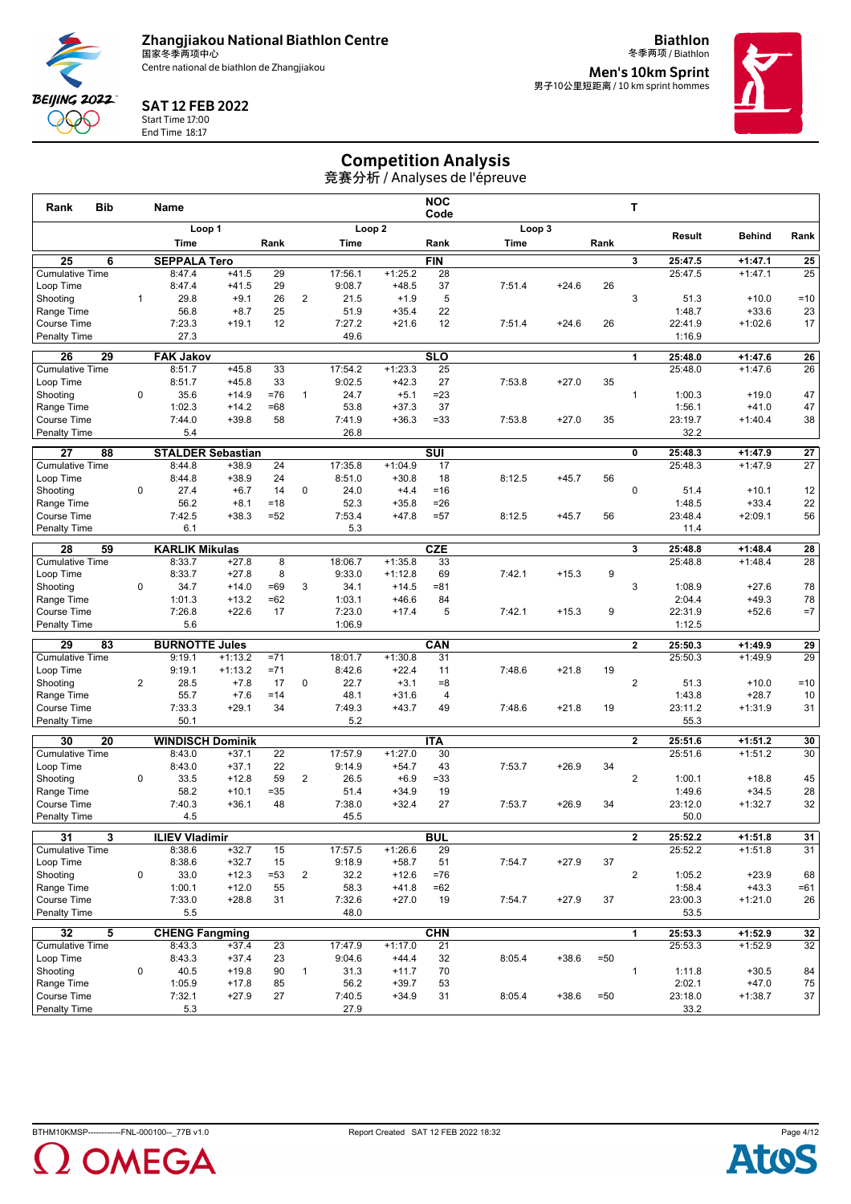

**Biathlon**



SAT 12 FEB 2022

Start Time 17:00 End Time 18:17

冬季两项 / Biathlon **Men's 10km Sprint<br><sub>男子10公里短距离 / 10 km sprint hommes**</sub>



## Competition Analysis

| <b>Bib</b><br>Rank                        |                | <b>Name</b>                     |                    |              |                |                  |                    | <b>NOC</b><br>Code      |        |         |        | т              |                   |                    |                 |
|-------------------------------------------|----------------|---------------------------------|--------------------|--------------|----------------|------------------|--------------------|-------------------------|--------|---------|--------|----------------|-------------------|--------------------|-----------------|
|                                           |                | Loop 1                          |                    |              |                |                  | Loop <sub>2</sub>  |                         | Loop 3 |         |        |                | Result            | <b>Behind</b>      | Rank            |
|                                           |                | Time                            |                    | Rank         |                | Time             |                    | Rank                    | Time   |         | Rank   |                |                   |                    |                 |
| 25<br>6                                   |                | <b>SEPPALA Tero</b>             |                    |              |                |                  |                    | <b>FIN</b>              |        |         |        | 3              | 25:47.5           | $+1:47.1$          | $\overline{25}$ |
| <b>Cumulative Time</b>                    |                | 8:47.4                          | $+41.5$            | 29           |                | 17:56.1          | $+1:25.2$          | 28                      |        |         |        |                | 25:47.5           | $+1:47.1$          | 25              |
| Loop Time                                 |                | 8:47.4                          | $+41.5$            | 29           |                | 9:08.7           | $+48.5$            | 37                      | 7:51.4 | $+24.6$ | 26     |                |                   |                    |                 |
| Shooting                                  | $\mathbf{1}$   | 29.8                            | $+9.1$             | 26           | 2              | 21.5             | $+1.9$             | 5                       |        |         |        | 3              | 51.3              | $+10.0$            | $=10$           |
| Range Time                                |                | 56.8                            | $+8.7$             | 25           |                | 51.9             | $+35.4$            | 22<br>12                |        |         |        |                | 1:48.7            | $+33.6$            | 23              |
| Course Time<br>Penalty Time               |                | 7:23.3<br>27.3                  | $+19.1$            | 12           |                | 7:27.2<br>49.6   | $+21.6$            |                         | 7:51.4 | $+24.6$ | 26     |                | 22:41.9<br>1:16.9 | $+1:02.6$          | 17              |
|                                           |                |                                 |                    |              |                |                  |                    |                         |        |         |        |                |                   |                    |                 |
| $\overline{29}$<br>26                     |                | <b>FAK Jakov</b>                |                    |              |                |                  |                    | <b>SLO</b>              |        |         |        | 1              | 25:48.0           | $+1:47.6$          | $\overline{26}$ |
| <b>Cumulative Time</b>                    |                | 8:51.7                          | $+45.8$            | 33<br>33     |                | 17:54.2          | $+1:23.3$          | 25<br>27                |        |         |        |                | 25:48.0           | $+1:47.6$          | 26              |
| Loop Time<br>Shooting                     | $\mathbf 0$    | 8:51.7<br>35.6                  | $+45.8$<br>$+14.9$ | $=76$        | $\mathbf{1}$   | 9:02.5<br>24.7   | $+42.3$<br>$+5.1$  | $= 23$                  | 7:53.8 | $+27.0$ | 35     | $\mathbf{1}$   | 1:00.3            | $+19.0$            | 47              |
| Range Time                                |                | 1:02.3                          | $+14.2$            | $=68$        |                | 53.8             | $+37.3$            | 37                      |        |         |        |                | 1:56.1            | $+41.0$            | 47              |
| Course Time                               |                | 7:44.0                          | $+39.8$            | 58           |                | 7:41.9           | $+36.3$            | $= 33$                  | 7:53.8 | $+27.0$ | 35     |                | 23:19.7           | $+1:40.4$          | 38              |
| <b>Penalty Time</b>                       |                | 5.4                             |                    |              |                | 26.8             |                    |                         |        |         |        |                | 32.2              |                    |                 |
| 27<br>88                                  |                | <b>STALDER Sebastian</b>        |                    |              |                |                  |                    | $\overline{\text{SUI}}$ |        |         |        | 0              | 25:48.3           | $+1:47.9$          | 27              |
| <b>Cumulative Time</b>                    |                | 8:44.8                          | $+38.9$            | 24           |                | 17:35.8          | $+1:04.9$          | 17                      |        |         |        |                | 25:48.3           | $+1:47.9$          | 27              |
| Loop Time                                 |                | 8:44.8                          | $+38.9$            | 24           |                | 8:51.0           | $+30.8$            | 18                      | 8:12.5 | $+45.7$ | 56     |                |                   |                    |                 |
| Shooting                                  | 0              | 27.4                            | $+6.7$             | 14           | 0              | 24.0             | $+4.4$             | $=16$                   |        |         |        | $\mathbf 0$    | 51.4              | $+10.1$            | 12              |
| Range Time                                |                | 56.2                            | $+8.1$             | $=18$        |                | 52.3             | $+35.8$            | $= 26$                  |        |         |        |                | 1:48.5            | $+33.4$            | 22              |
| <b>Course Time</b>                        |                | 7:42.5                          | $+38.3$            | $= 52$       |                | 7:53.4           | $+47.8$            | $= 57$                  | 8:12.5 | $+45.7$ | 56     |                | 23:48.4           | $+2:09.1$          | 56              |
| <b>Penalty Time</b>                       |                | 6.1                             |                    |              |                | 5.3              |                    |                         |        |         |        |                | 11.4              |                    |                 |
| 28<br>59                                  |                | <b>KARLIK Mikulas</b>           |                    |              |                |                  |                    | <b>CZE</b>              |        |         |        | 3              | 25:48.8           | $+1:48.4$          | 28              |
| <b>Cumulative Time</b>                    |                | 8:33.7                          | $+27.8$            | 8            |                | 18:06.7          | $+1:35.8$          | 33                      |        |         |        |                | 25:48.8           | $+1:48.4$          | 28              |
| Loop Time                                 |                | 8:33.7                          | $+27.8$            | 8            |                | 9:33.0           | $+1:12.8$          | 69                      | 7:42.1 | $+15.3$ | 9      |                |                   |                    |                 |
| Shooting                                  | 0              | 34.7                            | $+14.0$            | $=69$        | 3              | 34.1             | $+14.5$            | $= 81$                  |        |         |        | 3              | 1:08.9            | $+27.6$            | 78              |
| Range Time<br><b>Course Time</b>          |                | 1:01.3<br>7:26.8                | $+13.2$<br>$+22.6$ | $=62$<br>17  |                | 1:03.1<br>7:23.0 | $+46.6$<br>$+17.4$ | 84<br>5                 | 7:42.1 | $+15.3$ | 9      |                | 2:04.4<br>22:31.9 | $+49.3$<br>$+52.6$ | 78<br>$=7$      |
| <b>Penalty Time</b>                       |                | 5.6                             |                    |              |                | 1:06.9           |                    |                         |        |         |        |                | 1:12.5            |                    |                 |
| 29<br>83                                  |                |                                 |                    |              |                |                  |                    | CAN                     |        |         |        | $\overline{2}$ | 25:50.3           | $+1:49.9$          |                 |
| <b>Cumulative Time</b>                    |                | <b>BURNOTTE Jules</b><br>9:19.1 | $+1:13.2$          | $= 71$       |                | 18:01.7          | $+1:30.8$          | 31                      |        |         |        |                | 25:50.3           | $+1:49.9$          | 29<br>29        |
| Loop Time                                 |                | 9:19.1                          | $+1:13.2$          | $= 71$       |                | 8:42.6           | $+22.4$            | 11                      | 7:48.6 | $+21.8$ | 19     |                |                   |                    |                 |
| Shooting                                  | $\overline{2}$ | 28.5                            | $+7.8$             | 17           | $\mathbf 0$    | 22.7             | $+3.1$             | $= 8$                   |        |         |        | $\overline{2}$ | 51.3              | $+10.0$            | $=10$           |
| Range Time                                |                | 55.7                            | $+7.6$             | $=14$        |                | 48.1             | $+31.6$            | $\overline{4}$          |        |         |        |                | 1:43.8            | $+28.7$            | 10              |
| Course Time                               |                | 7:33.3                          | $+29.1$            | 34           |                | 7:49.3           | $+43.7$            | 49                      | 7:48.6 | $+21.8$ | 19     |                | 23:11.2           | $+1:31.9$          | 31              |
| <b>Penalty Time</b>                       |                | 50.1                            |                    |              |                | 5.2              |                    |                         |        |         |        |                | 55.3              |                    |                 |
| 30<br>20                                  |                | <b>WINDISCH Dominik</b>         |                    |              |                |                  |                    | <b>ITA</b>              |        |         |        | $\mathbf{2}$   | 25:51.6           | $+1:51.2$          | 30              |
| <b>Cumulative Time</b>                    |                | 8:43.0                          | $+37.1$            | 22           |                | 17:57.9          | $+1:27.0$          | 30                      |        |         |        |                | 25:51.6           | $+1:51.2$          | 30              |
| Loop Time                                 |                | 8:43.0                          | $+37.1$            | 22           |                | 9:14.9           | $+54.7$            | 43                      | 7:53.7 | $+26.9$ | 34     |                |                   |                    |                 |
| Shooting                                  | $\mathbf 0$    | 33.5                            | $+12.8$            | 59           | $\overline{2}$ | 26.5             | $+6.9$             | $= 33$                  |        |         |        | $\overline{2}$ | 1:00.1            | $+18.8$            | 45              |
| Range Time                                |                | 58.2                            | $+10.1$            | $= 35$       |                | 51.4             | $+34.9$            | 19                      |        |         |        |                | 1:49.6            | $+34.5$            | 28              |
| <b>Course Time</b><br><b>Penalty Time</b> |                | 7:40.3<br>4.5                   | $+36.1$            | 48           |                | 7:38.0<br>45.5   | $+32.4$            | 27                      | 7:53.7 | $+26.9$ | 34     |                | 23:12.0<br>50.0   | $+1:32.7$          | 32              |
|                                           |                |                                 |                    |              |                |                  |                    |                         |        |         |        |                |                   |                    |                 |
| $\overline{31}$<br>3                      |                | <b>ILIEV Vladimir</b>           |                    |              |                |                  |                    | <b>BUL</b>              |        |         |        | 2              | 25:52.2           | $+1:51.8$          | 31              |
| <b>Cumulative Time</b>                    |                | 8:38.6                          | $+32.7$            | 15           |                | 17:57.5          | $+1:26.6$          | 29                      |        |         |        |                | 25:52.2           | $+1:51.8$          | 31              |
| Loop Time<br>Shooting                     | $\pmb{0}$      | 8:38.6<br>33.0                  | $+32.7$<br>$+12.3$ | 15<br>$= 53$ | $\overline{2}$ | 9:18.9<br>32.2   | $+58.7$<br>$+12.6$ | 51<br>$=76$             | 7:54.7 | $+27.9$ | 37     | $\overline{2}$ | 1:05.2            | $+23.9$            | 68              |
| Range Time                                |                | 1:00.1                          | $+12.0$            | 55           |                | 58.3             | $+41.8$            | $=62$                   |        |         |        |                | 1:58.4            | $+43.3$            | $=61$           |
| Course Time                               |                | 7:33.0                          | $+28.8$            | 31           |                | 7:32.6           | $+27.0$            | 19                      | 7:54.7 | $+27.9$ | 37     |                | 23:00.3           | $+1:21.0$          | 26              |
| <b>Penalty Time</b>                       |                | 5.5                             |                    |              |                | 48.0             |                    |                         |        |         |        |                | 53.5              |                    |                 |
| 32<br>5                                   |                | <b>CHENG Fangming</b>           |                    |              |                |                  |                    | <b>CHN</b>              |        |         |        | 1              | 25:53.3           | $+1:52.9$          | 32              |
| <b>Cumulative Time</b>                    |                | 8:43.3                          | $+37.4$            | 23           |                | 17:47.9          | $+1:17.0$          | 21                      |        |         |        |                | 25:53.3           | $+1:52.9$          | 32              |
| Loop Time                                 |                | 8:43.3                          | $+37.4$            | 23           |                | 9:04.6           | $+44.4$            | 32                      | 8:05.4 | $+38.6$ | $= 50$ |                |                   |                    |                 |
| Shootina                                  | 0              | 40.5                            | $+19.8$            | 90           | $\mathbf{1}$   | 31.3             | $+11.7$            | 70                      |        |         |        | $\mathbf{1}$   | 1:11.8            | $+30.5$            | 84              |
| Range Time                                |                | 1:05.9                          | $+17.8$            | 85           |                | 56.2             | $+39.7$            | 53                      |        |         |        |                | 2:02.1            | $+47.0$            | 75              |
| Course Time                               |                | 7:32.1                          | $+27.9$            | 27           |                | 7:40.5           | $+34.9$            | 31                      | 8:05.4 | $+38.6$ | $= 50$ |                | 23:18.0           | $+1:38.7$          | 37              |
| <b>Penalty Time</b>                       |                | 5.3                             |                    |              |                | 27.9             |                    |                         |        |         |        |                | 33.2              |                    |                 |



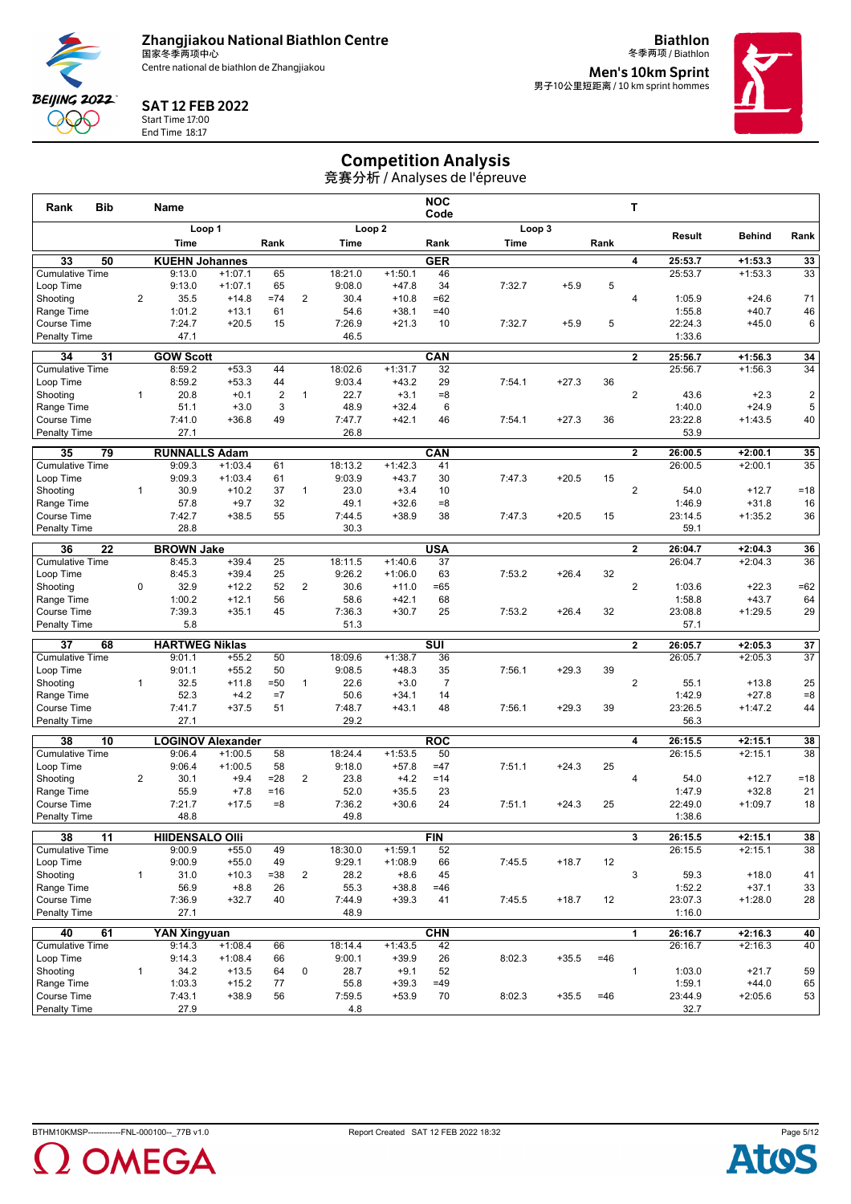

**Biathlon**



SAT 12 FEB 2022

Start Time 17:00 End Time 18:17

冬季两项 / Biathlon **Men's 10km Sprint<br><sub>男子10公里短距离 / 10 km sprint hommes**</sub>



# Competition Analysis

| Bib<br>Rank                               |                | Name                          |                    |                |                |                   |                      | <b>NOC</b><br>Code      |        |         |       | т                       |                    |                        |                 |
|-------------------------------------------|----------------|-------------------------------|--------------------|----------------|----------------|-------------------|----------------------|-------------------------|--------|---------|-------|-------------------------|--------------------|------------------------|-----------------|
|                                           |                | Loop 1                        |                    |                |                |                   | Loop <sub>2</sub>    |                         | Loop 3 |         |       |                         | Result             | <b>Behind</b>          | Rank            |
|                                           |                | Time                          |                    | Rank           |                | Time              |                      | Rank                    | Time   |         | Rank  |                         |                    |                        |                 |
| 50<br>33                                  |                | <b>KUEHN Johannes</b>         |                    |                |                |                   |                      | <b>GER</b>              |        |         |       | 4                       | 25:53.7            | $+1:53.3$              | 33              |
| <b>Cumulative Time</b>                    |                | 9:13.0                        | $+1:07.1$          | 65             |                | 18:21.0           | $+1:50.1$            | 46                      |        |         |       |                         | 25:53.7            | $+1:53.3$              | 33              |
| Loop Time                                 |                | 9:13.0                        | $+1:07.1$          | 65             |                | 9:08.0            | $+47.8$              | 34                      | 7:32.7 | $+5.9$  | 5     |                         |                    |                        |                 |
| Shootina                                  | $\overline{2}$ | 35.5                          | $+14.8$            | $= 74$         | 2              | 30.4              | $+10.8$              | $=62$                   |        |         |       | 4                       | 1:05.9             | $+24.6$                | 71              |
| Range Time                                |                | 1:01.2                        | $+13.1$            | 61             |                | 54.6              | $+38.1$              | $=40$                   |        |         |       |                         | 1:55.8<br>22:24.3  | $+40.7$                | 46              |
| <b>Course Time</b><br><b>Penalty Time</b> |                | 7:24.7<br>47.1                | $+20.5$            | 15             |                | 7:26.9<br>46.5    | $+21.3$              | 10                      | 7:32.7 | $+5.9$  | 5     |                         | 1:33.6             | $+45.0$                | 6               |
|                                           |                |                               |                    |                |                |                   |                      |                         |        |         |       |                         |                    |                        |                 |
| 31<br>34                                  |                | <b>GOW Scott</b>              |                    |                |                |                   |                      | CAN                     |        |         |       | $\overline{2}$          | 25:56.7            | $+1:56.3$              | 34              |
| <b>Cumulative Time</b>                    |                | 8:59.2<br>8:59.2              | $+53.3$<br>$+53.3$ | 44<br>44       |                | 18:02.6<br>9:03.4 | $+1:31.7$<br>$+43.2$ | 32<br>29                | 7:54.1 | $+27.3$ | 36    |                         | 25:56.7            | $+1:56.3$              | 34              |
| Loop Time<br>Shooting                     | $\mathbf{1}$   | 20.8                          | $+0.1$             | $\overline{2}$ | $\mathbf{1}$   | 22.7              | $+3.1$               | $= 8$                   |        |         |       | 2                       | 43.6               | $+2.3$                 | $\overline{2}$  |
| Range Time                                |                | 51.1                          | $+3.0$             | 3              |                | 48.9              | $+32.4$              | 6                       |        |         |       |                         | 1:40.0             | $+24.9$                | 5               |
| <b>Course Time</b>                        |                | 7:41.0                        | $+36.8$            | 49             |                | 7:47.7            | $+42.1$              | 46                      | 7:54.1 | $+27.3$ | 36    |                         | 23:22.8            | $+1:43.5$              | 40              |
| <b>Penalty Time</b>                       |                | 27.1                          |                    |                |                | 26.8              |                      |                         |        |         |       |                         | 53.9               |                        |                 |
| 35<br>79                                  |                | <b>RUNNALLS Adam</b>          |                    |                |                |                   |                      | <b>CAN</b>              |        |         |       | $\mathbf{2}$            | 26:00.5            | $+2:00.1$              | 35              |
| <b>Cumulative Time</b>                    |                | 9:09.3                        | $+1:03.4$          | 61             |                | 18:13.2           | $+1:42.3$            | 41                      |        |         |       |                         | 26:00.5            | $+2:00.1$              | 35              |
| Loop Time                                 |                | 9:09.3                        | $+1:03.4$          | 61             |                | 9:03.9            | $+43.7$              | 30                      | 7:47.3 | $+20.5$ | 15    |                         |                    |                        |                 |
| Shooting                                  | 1              | 30.9                          | $+10.2$            | 37             | 1              | 23.0              | $+3.4$               | 10                      |        |         |       | $\overline{2}$          | 54.0               | $+12.7$                | $=18$           |
| Range Time                                |                | 57.8                          | $+9.7$             | 32             |                | 49.1              | $+32.6$              | $= 8$                   |        |         |       |                         | 1:46.9             | $+31.8$                | 16              |
| <b>Course Time</b>                        |                | 7:42.7                        | $+38.5$            | 55             |                | 7:44.5            | $+38.9$              | 38                      | 7:47.3 | $+20.5$ | 15    |                         | 23:14.5            | $+1:35.2$              | 36              |
| <b>Penalty Time</b>                       |                | 28.8                          |                    |                |                | 30.3              |                      |                         |        |         |       |                         | 59.1               |                        |                 |
| 36<br>22                                  |                | <b>BROWN Jake</b>             |                    |                |                |                   |                      | <b>USA</b>              |        |         |       | $\mathbf{2}$            | 26:04.7            | $+2:04.3$              | 36              |
| <b>Cumulative Time</b>                    |                | 8:45.3                        | $+39.4$            | 25             |                | 18:11.5           | $+1:40.6$            | 37                      |        |         |       |                         | 26:04.7            | $+2:04.3$              | 36              |
| Loop Time                                 |                | 8:45.3                        | $+39.4$            | 25             |                | 9:26.2            | $+1:06.0$            | 63                      | 7:53.2 | $+26.4$ | 32    |                         |                    |                        |                 |
| Shooting                                  | $\mathbf 0$    | 32.9                          | $+12.2$            | 52             | $\overline{2}$ | 30.6              | $+11.0$              | $=65$                   |        |         |       | $\overline{2}$          | 1:03.6             | $+22.3$                | $=62$           |
| Range Time                                |                | 1:00.2                        | $+12.1$            | 56<br>45       |                | 58.6              | $+42.1$              | 68                      |        | $+26.4$ |       |                         | 1:58.8             | $+43.7$                | 64              |
| <b>Course Time</b><br><b>Penalty Time</b> |                | 7:39.3<br>5.8                 | $+35.1$            |                |                | 7:36.3<br>51.3    | $+30.7$              | 25                      | 7:53.2 |         | 32    |                         | 23:08.8<br>57.1    | $+1:29.5$              | 29              |
|                                           |                |                               |                    |                |                |                   |                      |                         |        |         |       |                         |                    |                        |                 |
| 37<br>68                                  |                | <b>HARTWEG Niklas</b>         |                    |                |                |                   |                      | $\overline{\text{SUI}}$ |        |         |       | $\overline{2}$          | 26:05.7            | $+2:05.3$              | 37              |
| <b>Cumulative Time</b><br>Loop Time       |                | 9:01.1<br>9:01.1              | $+55.2$<br>$+55.2$ | 50<br>50       |                | 18:09.6<br>9:08.5 | $+1:38.7$<br>$+48.3$ | 36<br>35                | 7:56.1 | $+29.3$ | 39    |                         | 26:05.7            | $+2:05.3$              | 37              |
| Shooting                                  | $\mathbf{1}$   | 32.5                          | $+11.8$            | $=50$          | $\mathbf{1}$   | 22.6              | $+3.0$               | $\overline{7}$          |        |         |       | $\overline{c}$          | 55.1               | $+13.8$                | 25              |
| Range Time                                |                | 52.3                          | $+4.2$             | $=7$           |                | 50.6              | $+34.1$              | 14                      |        |         |       |                         | 1:42.9             | $+27.8$                | $= 8$           |
| <b>Course Time</b>                        |                | 7:41.7                        | $+37.5$            | 51             |                | 7:48.7            | $+43.1$              | 48                      | 7:56.1 | $+29.3$ | 39    |                         | 23:26.5            | $+1:47.2$              | 44              |
| <b>Penalty Time</b>                       |                | 27.1                          |                    |                |                | 29.2              |                      |                         |        |         |       |                         | 56.3               |                        |                 |
| 38<br>10                                  |                | <b>LOGINOV Alexander</b>      |                    |                |                |                   |                      | <b>ROC</b>              |        |         |       | 4                       | 26:15.5            | $+2:15.1$              | 38              |
| <b>Cumulative Time</b>                    |                | 9:06.4                        | $+1:00.5$          | 58             |                | 18:24.4           | $+1:53.5$            | 50                      |        |         |       |                         | 26:15.5            | $+2:15.1$              | $\overline{38}$ |
| Loop Time                                 |                | 9:06.4                        | $+1:00.5$          | 58             |                | 9:18.0            | $+57.8$              | $=47$                   | 7:51.1 | $+24.3$ | 25    |                         |                    |                        |                 |
| Shooting                                  | $\overline{2}$ | 30.1                          | $+9.4$             | $= 28$         | $\overline{2}$ | 23.8              | $+4.2$               | $=14$                   |        |         |       | 4                       | 54.0               | $+12.7$                | $=18$           |
| Range Time                                |                | 55.9                          | $+7.8$             | $= 16$         |                | 52.0              | $+35.5$              | 23                      |        |         |       |                         | 1:47.9             | $+32.8$                | 21              |
| <b>Course Time</b>                        |                | 7:21.7                        | $+17.5$            | $= 8$          |                | 7:36.2            | $+30.6$              | 24                      | 7:51.1 | $+24.3$ | 25    |                         | 22:49.0            | $+1:09.7$              | 18              |
| <b>Penalty Time</b>                       |                | 48.8                          |                    |                |                | 49.8              |                      |                         |        |         |       |                         | 1:38.6             |                        |                 |
| 38<br>$\overline{11}$                     |                | <b>HIIDENSALO OIII</b>        |                    |                |                |                   |                      | <b>FIN</b>              |        |         |       | $\overline{\mathbf{3}}$ | 26:15.5            | $+2:15.1$              | 38              |
| <b>Cumulative Time</b>                    |                | 9:00.9                        | $+55.0$            | 49             |                | 18:30.0           | $+1:59.1$            | 52                      |        |         |       |                         | 26:15.5            | $+2:15.1$              | 38              |
| Loop Time                                 |                | 9:00.9                        | $+55.0$            | 49             |                | 9:29.1            | $+1:08.9$            | 66                      | 7:45.5 | $+18.7$ | 12    |                         |                    |                        |                 |
| Shootina                                  | $\mathbf{1}$   | 31.0                          | $+10.3$            | $= 38$         | $\overline{2}$ | 28.2              | $+8.6$               | 45                      |        |         |       | 3                       | 59.3               | $+18.0$                | 41              |
| Range Time                                |                | 56.9                          | $+8.8$             | 26             |                | 55.3              | $+38.8$              | $=46$                   |        |         |       |                         | 1:52.2             | $+37.1$                | 33              |
| Course Time<br><b>Penalty Time</b>        |                | 7:36.9<br>27.1                | $+32.7$            | 40             |                | 7:44.9<br>48.9    | $+39.3$              | 41                      | 7:45.5 | $+18.7$ | 12    |                         | 23:07.3<br>1:16.0  | $+1:28.0$              | 28              |
|                                           |                |                               |                    |                |                |                   |                      |                         |        |         |       |                         |                    |                        |                 |
| 61<br>40<br><b>Cumulative Time</b>        |                | <b>YAN Xingyuan</b><br>9:14.3 | $+1:08.4$          | 66             |                | 18:14.4           | $+1:43.5$            | <b>CHN</b><br>42        |        |         |       | 1                       | 26:16.7<br>26:16.7 | $+2:16.3$<br>$+2:16.3$ | 40<br>40        |
| Loop Time                                 |                | 9:14.3                        | $+1:08.4$          | 66             |                | 9:00.1            | $+39.9$              | 26                      | 8:02.3 | $+35.5$ | $=46$ |                         |                    |                        |                 |
| Shooting                                  | $\mathbf{1}$   | 34.2                          | $+13.5$            | 64             | 0              | 28.7              | $+9.1$               | 52                      |        |         |       | $\mathbf{1}$            | 1:03.0             | $+21.7$                | 59              |
| Range Time                                |                | 1:03.3                        | $+15.2$            | 77             |                | 55.8              | $+39.3$              | $=49$                   |        |         |       |                         | 1:59.1             | $+44.0$                | 65              |
| Course Time                               |                | 7:43.1                        | $+38.9$            | 56             |                | 7:59.5            | $+53.9$              | 70                      | 8:02.3 | $+35.5$ | $=46$ |                         | 23:44.9            | $+2:05.6$              | 53              |
| <b>Penalty Time</b>                       |                | 27.9                          |                    |                |                | 4.8               |                      |                         |        |         |       |                         | 32.7               |                        |                 |



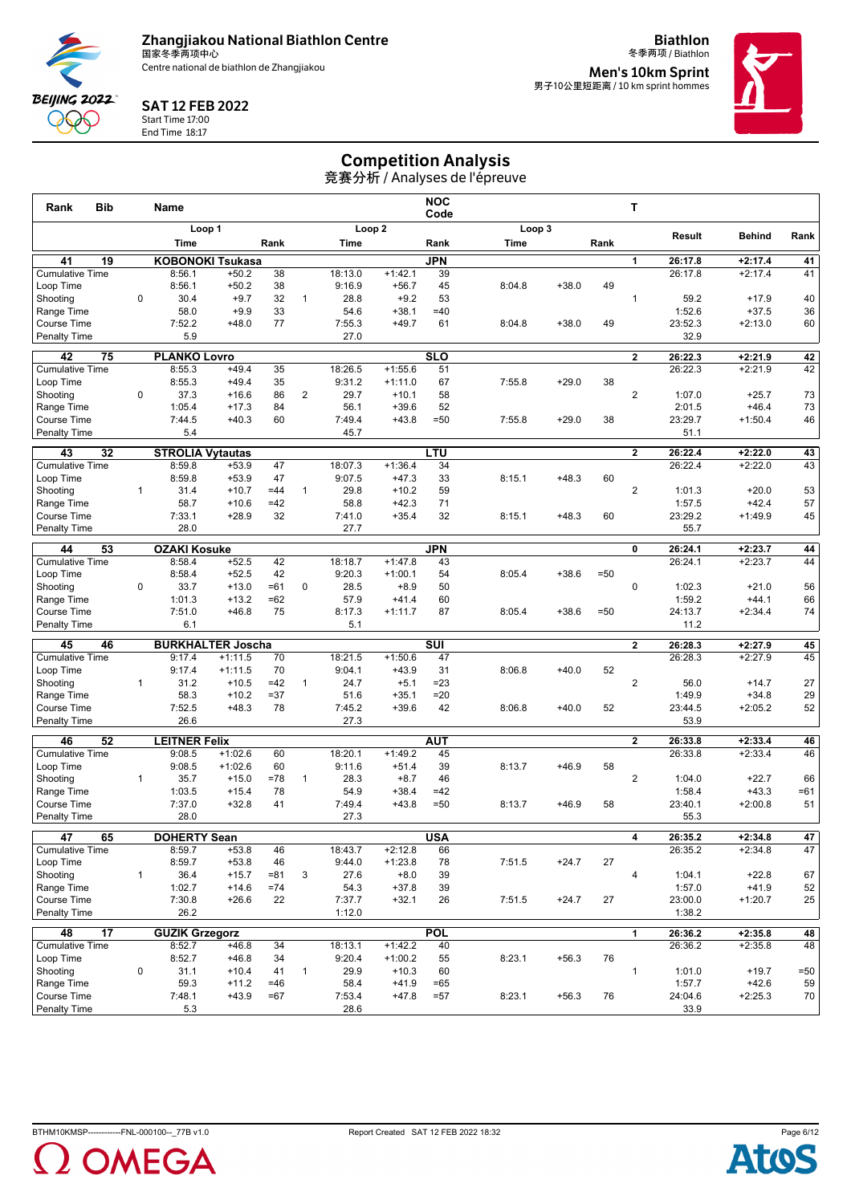

**Biathlon**



SAT 12 FEB 2022

Start Time 17:00 End Time 18:17

冬季两项 / Biathlon **Men's 10km Sprint<br><sub>男子10公里短距离 / 10 km sprint hommes**</sub>



## Competition Analysis

| Rank<br><b>Bib</b>                              |              | Name                            |                        |             |                |                   |                        | <b>NOC</b><br>Code      |        |         |        | т                       |                    |                        |          |
|-------------------------------------------------|--------------|---------------------------------|------------------------|-------------|----------------|-------------------|------------------------|-------------------------|--------|---------|--------|-------------------------|--------------------|------------------------|----------|
|                                                 |              | Loop 1                          |                        |             |                |                   | Loop <sub>2</sub>      |                         | Loop 3 |         |        |                         | Result             | <b>Behind</b>          | Rank     |
|                                                 |              | Time                            |                        | Rank        |                | Time              |                        | Rank                    | Time   |         | Rank   |                         |                    |                        |          |
| 19<br>41                                        |              | <b>KOBONOKI Tsukasa</b>         |                        |             |                |                   |                        | <b>JPN</b>              |        |         |        | 1                       | 26:17.8            | $+2:17.4$              | 41       |
| <b>Cumulative Time</b>                          |              | 8:56.1                          | $+50.2$                | 38          |                | 18:13.0           | $+1:42.1$              | 39                      |        |         |        |                         | 26:17.8            | $+2:17.4$              | 41       |
| Loop Time                                       |              | 8:56.1                          | $+50.2$                | 38          |                | 9:16.9            | $+56.7$                | 45                      | 8:04.8 | $+38.0$ | 49     |                         |                    |                        |          |
| Shooting                                        | $\mathbf 0$  | 30.4                            | $+9.7$                 | 32          | $\mathbf{1}$   | 28.8              | $+9.2$                 | 53                      |        |         |        | $\mathbf{1}$            | 59.2               | $+17.9$                | 40       |
| Range Time                                      |              | 58.0<br>7:52.2                  | $+9.9$                 | 33<br>77    |                | 54.6              | $+38.1$                | $=40$                   |        |         |        |                         | 1:52.6             | $+37.5$                | 36<br>60 |
| <b>Course Time</b><br><b>Penalty Time</b>       |              | 5.9                             | $+48.0$                |             |                | 7:55.3<br>27.0    | $+49.7$                | 61                      | 8:04.8 | $+38.0$ | 49     |                         | 23:52.3<br>32.9    | $+2:13.0$              |          |
|                                                 |              |                                 |                        |             |                |                   |                        |                         |        |         |        |                         |                    |                        |          |
| 42<br>75                                        |              | <b>PLANKO Lovro</b>             |                        |             |                |                   |                        | <b>SLO</b>              |        |         |        | $\overline{2}$          | 26:22.3            | $+2:21.9$              | 42       |
| <b>Cumulative Time</b>                          |              | 8:55.3<br>8:55.3                | $+49.4$<br>$+49.4$     | 35<br>35    |                | 18:26.5<br>9:31.2 | $+1:55.6$<br>$+1:11.0$ | 51<br>67                | 7:55.8 | $+29.0$ | 38     |                         | 26:22.3            | $+2:21.9$              | 42       |
| Loop Time<br>Shooting                           | $\mathbf 0$  | 37.3                            | $+16.6$                | 86          | $\overline{2}$ | 29.7              | $+10.1$                | 58                      |        |         |        | 2                       | 1:07.0             | $+25.7$                | 73       |
| Range Time                                      |              | 1:05.4                          | $+17.3$                | 84          |                | 56.1              | $+39.6$                | 52                      |        |         |        |                         | 2:01.5             | $+46.4$                | 73       |
| <b>Course Time</b>                              |              | 7:44.5                          | $+40.3$                | 60          |                | 7:49.4            | $+43.8$                | $= 50$                  | 7:55.8 | $+29.0$ | 38     |                         | 23:29.7            | $+1:50.4$              | 46       |
| <b>Penalty Time</b>                             |              | 5.4                             |                        |             |                | 45.7              |                        |                         |        |         |        |                         | 51.1               |                        |          |
| 32<br>43                                        |              | <b>STROLIA Vytautas</b>         |                        |             |                |                   |                        | <b>LTU</b>              |        |         |        | $\mathbf{2}$            | 26:22.4            | $+2:22.0$              | 43       |
| <b>Cumulative Time</b>                          |              | 8:59.8                          | $+53.9$                | 47          |                | 18:07.3           | $+1:36.4$              | 34                      |        |         |        |                         | 26:22.4            | $+2:22.0$              | 43       |
| Loop Time                                       |              | 8:59.8                          | $+53.9$                | 47          |                | 9:07.5            | $+47.3$                | 33                      | 8:15.1 | $+48.3$ | 60     |                         |                    |                        |          |
| Shooting                                        | 1            | 31.4                            | $+10.7$                | $=44$       | 1              | 29.8              | $+10.2$                | 59                      |        |         |        | $\overline{2}$          | 1:01.3             | $+20.0$                | 53       |
| Range Time                                      |              | 58.7                            | $+10.6$                | $=42$       |                | 58.8              | $+42.3$                | 71                      |        |         |        |                         | 1:57.5             | $+42.4$                | 57       |
| Course Time                                     |              | 7:33.1                          | $+28.9$                | 32          |                | 7:41.0            | $+35.4$                | 32                      | 8:15.1 | $+48.3$ | 60     |                         | 23:29.2            | $+1:49.9$              | 45       |
| <b>Penalty Time</b>                             |              | 28.0                            |                        |             |                | 27.7              |                        |                         |        |         |        |                         | 55.7               |                        |          |
| 44<br>53                                        |              | <b>OZAKI Kosuke</b>             |                        |             |                |                   |                        | <b>JPN</b>              |        |         |        | 0                       | 26:24.1            | $+2:23.7$              | 44       |
| <b>Cumulative Time</b>                          |              | 8:58.4                          | $+52.5$                | 42          |                | 18:18.7           | $+1:47.8$              | 43                      |        |         |        |                         | 26:24.1            | $+2:23.7$              | 44       |
| Loop Time                                       |              | 8:58.4                          | $+52.5$                | 42          |                | 9:20.3            | $+1:00.1$              | 54                      | 8:05.4 | $+38.6$ | $= 50$ |                         |                    |                        |          |
| Shooting                                        | $\mathbf 0$  | 33.7                            | $+13.0$                | $=61$       | 0              | 28.5              | $+8.9$                 | 50                      |        |         |        | $\pmb{0}$               | 1:02.3             | $+21.0$                | 56       |
| Range Time<br><b>Course Time</b>                |              | 1:01.3<br>7:51.0                | $+13.2$<br>$+46.8$     | $=62$<br>75 |                | 57.9<br>8:17.3    | $+41.4$<br>$+1:11.7$   | 60<br>87                | 8:05.4 | $+38.6$ | $= 50$ |                         | 1:59.2<br>24:13.7  | $+44.1$<br>$+2:34.4$   | 66<br>74 |
| <b>Penalty Time</b>                             |              | 6.1                             |                        |             |                | 5.1               |                        |                         |        |         |        |                         | 11.2               |                        |          |
|                                                 |              |                                 |                        |             |                |                   |                        |                         |        |         |        |                         |                    |                        |          |
| 45<br>46                                        |              | <b>BURKHALTER Joscha</b>        |                        |             |                |                   |                        | $\overline{\text{SUI}}$ |        |         |        | $\overline{2}$          | 26:28.3            | $+2:27.9$              | 45       |
| <b>Cumulative Time</b><br>Loop Time             |              | 9:17.4<br>9:17.4                | $+1:11.5$<br>$+1:11.5$ | 70<br>70    |                | 18:21.5<br>9:04.1 | $+1:50.6$<br>$+43.9$   | 47<br>31                | 8:06.8 | $+40.0$ | 52     |                         | 26:28.3            | $+2:27.9$              | 45       |
| Shooting                                        | $\mathbf{1}$ | 31.2                            | $+10.5$                | $=42$       | $\mathbf{1}$   | 24.7              | $+5.1$                 | $= 23$                  |        |         |        | $\overline{2}$          | 56.0               | $+14.7$                | 27       |
| Range Time                                      |              | 58.3                            | $+10.2$                | $= 37$      |                | 51.6              | $+35.1$                | $=20$                   |        |         |        |                         | 1:49.9             | $+34.8$                | 29       |
| <b>Course Time</b>                              |              | 7:52.5                          | $+48.3$                | 78          |                | 7:45.2            | $+39.6$                | 42                      | 8:06.8 | $+40.0$ | 52     |                         | 23:44.5            | $+2:05.2$              | 52       |
| <b>Penalty Time</b>                             |              | 26.6                            |                        |             |                | 27.3              |                        |                         |        |         |        |                         | 53.9               |                        |          |
| 46<br>52                                        |              | <b>LEITNER Felix</b>            |                        |             |                |                   |                        | <b>AUT</b>              |        |         |        | $\mathbf{2}$            | 26:33.8            | $+2:33.4$              | 46       |
| <b>Cumulative Time</b>                          |              | 9:08.5                          | $+1:02.6$              | 60          |                | 18:20.1           | $+1:49.2$              | 45                      |        |         |        |                         | 26:33.8            | $+2:33.4$              | 46       |
| Loop Time                                       |              | 9:08.5                          | $+1:02.6$              | 60          |                | 9:11.6            | $+51.4$                | 39                      | 8:13.7 | $+46.9$ | 58     |                         |                    |                        |          |
| Shooting                                        | $\mathbf{1}$ | 35.7                            | $+15.0$                | $=78$       | $\mathbf{1}$   | 28.3              | $+8.7$                 | 46                      |        |         |        | $\overline{2}$          | 1:04.0             | $+22.7$                | 66       |
| Range Time                                      |              | 1:03.5                          | $+15.4$                | 78          |                | 54.9              | $+38.4$                | $=42$                   |        |         |        |                         | 1:58.4             | $+43.3$                | $=61$    |
| <b>Course Time</b>                              |              | 7:37.0                          | $+32.8$                | 41          |                | 7:49.4            | $+43.8$                | $= 50$                  | 8:13.7 | $+46.9$ | 58     |                         | 23:40.1            | $+2:00.8$              | 51       |
| <b>Penalty Time</b>                             |              | 28.0                            |                        |             |                | 27.3              |                        |                         |        |         |        |                         | 55.3               |                        |          |
| 47<br>65                                        |              | <b>DOHERTY Sean</b>             |                        |             |                |                   |                        | <b>USA</b>              |        |         |        | $\overline{\mathbf{4}}$ | 26:35.2            | $+2:34.8$              | 47       |
| <b>Cumulative Time</b>                          |              | 8:59.7                          | $+53.8$                | 46          |                | 18:43.7           | $+2:12.8$              | 66                      |        |         |        |                         | 26:35.2            | $+2:34.8$              | 47       |
| Loop Time                                       |              | 8:59.7                          | $+53.8$                | 46          |                | 9:44.0            | $+1:23.8$              | 78                      | 7:51.5 | $+24.7$ | 27     |                         |                    |                        |          |
| Shootina                                        | $\mathbf{1}$ | 36.4                            | $+15.7$                | $= 81$      | 3              | 27.6              | $+8.0$                 | 39                      |        |         |        | 4                       | 1:04.1             | $+22.8$                | 67       |
| Range Time                                      |              | 1:02.7                          | $+14.6$                | $= 74$      |                | 54.3              | $+37.8$                | 39                      |        |         |        |                         | 1:57.0             | $+41.9$                | 52       |
| Course Time<br><b>Penalty Time</b>              |              | 7:30.8<br>26.2                  | $+26.6$                | 22          |                | 7:37.7<br>1:12.0  | $+32.1$                | 26                      | 7:51.5 | $+24.7$ | 27     |                         | 23:00.0<br>1:38.2  | $+1:20.7$              | 25       |
|                                                 |              |                                 |                        |             |                |                   |                        |                         |        |         |        |                         |                    |                        |          |
| $\overline{17}$<br>48<br><b>Cumulative Time</b> |              | <b>GUZIK Grzegorz</b><br>8:52.7 | $+46.8$                | 34          |                | 18:13.1           | $+1:42.2$              | <b>POL</b><br>40        |        |         |        | 1                       | 26:36.2<br>26:36.2 | $+2:35.8$<br>$+2:35.8$ | 48<br>48 |
| Loop Time                                       |              | 8:52.7                          | $+46.8$                | 34          |                | 9:20.4            | $+1:00.2$              | 55                      | 8:23.1 | $+56.3$ | 76     |                         |                    |                        |          |
| Shooting                                        | 0            | 31.1                            | $+10.4$                | 41          | $\mathbf{1}$   | 29.9              | $+10.3$                | 60                      |        |         |        | $\mathbf{1}$            | 1:01.0             | $+19.7$                | $= 50$   |
| Range Time                                      |              | 59.3                            | $+11.2$                | $=46$       |                | 58.4              | $+41.9$                | $=65$                   |        |         |        |                         | 1:57.7             | $+42.6$                | 59       |
| Course Time                                     |              | 7:48.1                          | $+43.9$                | $=67$       |                | 7:53.4            | $+47.8$                | $= 57$                  | 8:23.1 | $+56.3$ | 76     |                         | 24:04.6            | $+2:25.3$              | 70       |
| <b>Penalty Time</b>                             |              | 5.3                             |                        |             |                | 28.6              |                        |                         |        |         |        |                         | 33.9               |                        |          |



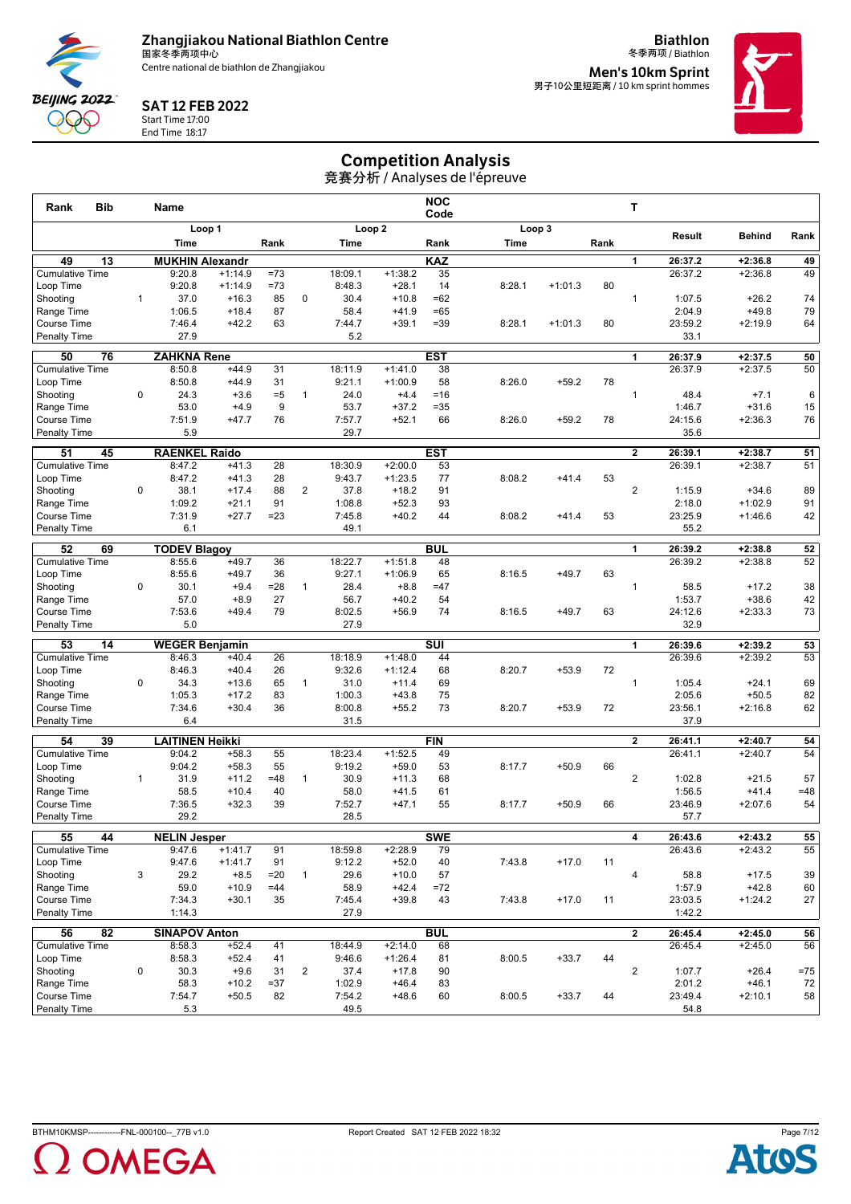

**Biathlon** 冬季两项 / Biathlon



#### SAT 12 FEB 2022

Start Time 17:00 End Time 18:17

**Men's 10km Sprint<br><sub>男子10公里短距离 / 10 km sprint hommes**</sub>



## Competition Analysis

| <b>Bib</b><br>Rank               |              | <b>Name</b>            |                    |             |                |                   |                        | <b>NOC</b><br>Code |        |           |      | т              |                   |                      |          |
|----------------------------------|--------------|------------------------|--------------------|-------------|----------------|-------------------|------------------------|--------------------|--------|-----------|------|----------------|-------------------|----------------------|----------|
|                                  |              |                        | Loop 1             |             |                |                   | Loop <sub>2</sub>      |                    |        | Loop 3    |      |                |                   | <b>Behind</b>        |          |
|                                  |              | Time                   |                    | Rank        |                | Time              |                        | Rank               | Time   |           | Rank |                | Result            |                      | Rank     |
| $\overline{13}$<br>49            |              | <b>MUKHIN Alexandr</b> |                    |             |                |                   |                        | <b>KAZ</b>         |        |           |      | 1              | 26:37.2           | $+2:36.8$            | 49       |
| <b>Cumulative Time</b>           |              | 9:20.8                 | $+1:14.9$          | $=73$       |                | 18:09.1           | $+1:38.2$              | 35                 |        |           |      |                | 26:37.2           | $+2:36.8$            | 49       |
| Loop Time                        |              | 9:20.8                 | $+1:14.9$          | $=73$       |                | 8:48.3            | $+28.1$                | 14                 | 8:28.1 | $+1:01.3$ | 80   |                |                   |                      |          |
| Shooting                         | $\mathbf{1}$ | 37.0                   | $+16.3$            | 85          | 0              | 30.4              | $+10.8$                | $=62$              |        |           |      | $\mathbf{1}$   | 1:07.5            | $+26.2$              | 74       |
| Range Time                       |              | 1:06.5                 | $+18.4$            | 87          |                | 58.4              | $+41.9$                | $=65$              |        |           |      |                | 2:04.9            | $+49.8$              | 79       |
| Course Time<br>Penalty Time      |              | 7:46.4<br>27.9         | $+42.2$            | 63          |                | 7:44.7<br>5.2     | $+39.1$                | $=39$              | 8:28.1 | $+1:01.3$ | 80   |                | 23:59.2<br>33.1   | $+2:19.9$            | 64       |
|                                  |              |                        |                    |             |                |                   |                        |                    |        |           |      |                |                   |                      |          |
| 50<br>76                         |              | <b>ZAHKNA Rene</b>     |                    |             |                |                   |                        | <b>EST</b>         |        |           |      | 1              | 26:37.9           | $+2:37.5$            | 50       |
| <b>Cumulative Time</b>           |              | 8:50.8                 | $+44.9$            | 31          |                | 18:11.9           | $+1:41.0$              | 38                 |        |           |      |                | 26:37.9           | $+2:37.5$            | 50       |
| Loop Time<br>Shooting            | $\mathbf 0$  | 8:50.8<br>24.3         | $+44.9$<br>$+3.6$  | 31<br>$= 5$ | $\mathbf{1}$   | 9:21.1<br>24.0    | $+1:00.9$<br>$+4.4$    | 58<br>$= 16$       | 8:26.0 | $+59.2$   | 78   | $\mathbf{1}$   | 48.4              | $+7.1$               | 6        |
| Range Time                       |              | 53.0                   | $+4.9$             | 9           |                | 53.7              | $+37.2$                | $=35$              |        |           |      |                | 1:46.7            | $+31.6$              | 15       |
| Course Time                      |              | 7:51.9                 | $+47.7$            | 76          |                | 7:57.7            | $+52.1$                | 66                 | 8:26.0 | $+59.2$   | 78   |                | 24:15.6           | $+2:36.3$            | 76       |
| <b>Penalty Time</b>              |              | 5.9                    |                    |             |                | 29.7              |                        |                    |        |           |      |                | 35.6              |                      |          |
| 51<br>45                         |              | <b>RAENKEL Raido</b>   |                    |             |                |                   |                        | <b>EST</b>         |        |           |      | $\mathbf{2}$   | 26:39.1           | $+2:38.7$            | 51       |
| <b>Cumulative Time</b>           |              | 8:47.2                 | $+41.3$            | 28          |                | 18:30.9           | $+2:00.0$              | 53                 |        |           |      |                | 26:39.1           | $+2:38.7$            | 51       |
| Loop Time                        |              | 8:47.2                 | $+41.3$            | 28          |                | 9:43.7            | $+1:23.5$              | 77                 | 8:08.2 | $+41.4$   | 53   |                |                   |                      |          |
| Shooting                         | 0            | 38.1                   | $+17.4$            | 88          | $\overline{2}$ | 37.8              | $+18.2$                | 91                 |        |           |      | $\overline{2}$ | 1:15.9            | $+34.6$              | 89       |
| Range Time                       |              | 1:09.2                 | $+21.1$            | 91          |                | 1:08.8            | $+52.3$                | 93                 |        |           |      |                | 2:18.0            | $+1:02.9$            | 91       |
| Course Time                      |              | 7:31.9                 | $+27.7$            | $= 23$      |                | 7:45.8            | $+40.2$                | 44                 | 8:08.2 | $+41.4$   | 53   |                | 23:25.9           | $+1:46.6$            | 42       |
| <b>Penalty Time</b>              |              | 6.1                    |                    |             |                | 49.1              |                        |                    |        |           |      |                | 55.2              |                      |          |
| 52<br>69                         |              | <b>TODEV Blagoy</b>    |                    |             |                |                   |                        | <b>BUL</b>         |        |           |      | 1              | 26:39.2           | $+2:38.8$            | 52       |
| <b>Cumulative Time</b>           |              | 8:55.6                 | $+49.7$            | 36          |                | 18:22.7           | $+1:51.8$              | 48                 |        |           |      |                | 26:39.2           | $+2:38.8$            | 52       |
| Loop Time                        |              | 8:55.6                 | $+49.7$            | 36          |                | 9:27.1            | $+1:06.9$              | 65                 | 8:16.5 | $+49.7$   | 63   |                |                   |                      |          |
| Shooting                         | 0            | 30.1                   | $+9.4$             | $= 28$      | $\mathbf{1}$   | 28.4              | $+8.8$                 | $=47$              |        |           |      | $\mathbf{1}$   | 58.5              | $+17.2$              | 38       |
| Range Time<br><b>Course Time</b> |              | 57.0<br>7:53.6         | $+8.9$<br>$+49.4$  | 27<br>79    |                | 56.7              | $+40.2$<br>$+56.9$     | 54<br>74           | 8:16.5 | $+49.7$   | 63   |                | 1:53.7            | $+38.6$              | 42<br>73 |
| <b>Penalty Time</b>              |              | 5.0                    |                    |             |                | 8:02.5<br>27.9    |                        |                    |        |           |      |                | 24:12.6<br>32.9   | $+2:33.3$            |          |
|                                  |              |                        |                    |             |                |                   |                        |                    |        |           |      |                |                   |                      |          |
| 53<br>14                         |              | <b>WEGER Benjamin</b>  |                    |             |                |                   |                        | <b>SUI</b>         |        |           |      | 1              | 26:39.6           | $+2:39.2$            | 53       |
| <b>Cumulative Time</b>           |              | 8:46.3<br>8:46.3       | $+40.4$<br>$+40.4$ | 26<br>26    |                | 18:18.9<br>9:32.6 | $+1:48.0$<br>$+1:12.4$ | 44<br>68           | 8:20.7 | $+53.9$   | 72   |                | 26:39.6           | $+2:39.2$            | 53       |
| Loop Time<br>Shooting            | 0            | 34.3                   | $+13.6$            | 65          | $\mathbf{1}$   | 31.0              | $+11.4$                | 69                 |        |           |      | $\mathbf{1}$   | 1:05.4            | $+24.1$              | 69       |
| Range Time                       |              | 1:05.3                 | $+17.2$            | 83          |                | 1:00.3            | $+43.8$                | 75                 |        |           |      |                | 2:05.6            | $+50.5$              | 82       |
| Course Time                      |              | 7:34.6                 | $+30.4$            | 36          |                | 8:00.8            | $+55.2$                | 73                 | 8:20.7 | $+53.9$   | 72   |                | 23:56.1           | $+2:16.8$            | 62       |
| <b>Penalty Time</b>              |              | 6.4                    |                    |             |                | 31.5              |                        |                    |        |           |      |                | 37.9              |                      |          |
| 54<br>39                         |              | <b>LAITINEN Heikki</b> |                    |             |                |                   |                        | <b>FIN</b>         |        |           |      | $\mathbf{2}$   | 26:41.1           | $+2:40.7$            | 54       |
| <b>Cumulative Time</b>           |              | 9:04.2                 | $+58.3$            | 55          |                | 18:23.4           | $+1:52.5$              | 49                 |        |           |      |                | 26:41.1           | $+2:40.7$            | 54       |
| Loop Time                        |              | 9:04.2                 | $+58.3$            | 55          |                | 9:19.2            | $+59.0$                | 53                 | 8:17.7 | $+50.9$   | 66   |                |                   |                      |          |
| Shooting                         | $\mathbf{1}$ | 31.9                   | $+11.2$            | $=48$       | $\mathbf{1}$   | 30.9              | $+11.3$                | 68                 |        |           |      | $\overline{2}$ | 1:02.8            | $+21.5$              | 57       |
| Range Time                       |              | 58.5                   | $+10.4$            | 40          |                | 58.0              | $+41.5$                | 61                 |        |           |      |                | 1:56.5            | $+41.4$              | $=48$    |
| <b>Course Time</b>               |              | 7:36.5                 | $+32.3$            | 39          |                | 7:52.7            | $+47.1$                | 55                 | 8:17.7 | $+50.9$   | 66   |                | 23:46.9           | $+2:07.6$            | 54       |
| <b>Penalty Time</b>              |              | 29.2                   |                    |             |                | 28.5              |                        |                    |        |           |      |                | 57.7              |                      |          |
| 55<br>44                         |              | <b>NELIN Jesper</b>    |                    |             |                |                   |                        | <b>SWE</b>         |        |           |      | 4              | 26:43.6           | $+2:43.2$            | 55       |
| <b>Cumulative Time</b>           |              | 9:47.6                 | $+1:41.7$          | 91          |                | 18:59.8           | $+2:28.9$              | 79                 |        |           |      |                | 26:43.6           | $+2:43.2$            | 55       |
| Loop Time                        |              | 9:47.6                 | $+1:41.7$          | 91          |                | 9:12.2            | $+52.0$                | 40                 | 7:43.8 | $+17.0$   | 11   |                |                   |                      |          |
| Shooting                         | 3            | 29.2                   | $+8.5$             | $=20$       | $\mathbf{1}$   | 29.6              | $+10.0$                | 57                 |        |           |      | $\overline{4}$ | 58.8              | $+17.5$              | 39       |
| Range Time<br>Course Time        |              | 59.0<br>7:34.3         | $+10.9$<br>$+30.1$ | $=44$<br>35 |                | 58.9<br>7:45.4    | $+42.4$<br>$+39.8$     | $=72$<br>43        | 7:43.8 | $+17.0$   | 11   |                | 1:57.9<br>23:03.5 | $+42.8$<br>$+1:24.2$ | 60<br>27 |
| <b>Penalty Time</b>              |              | 1:14.3                 |                    |             |                | 27.9              |                        |                    |        |           |      |                | 1:42.2            |                      |          |
| $\overline{82}$<br>56            |              | <b>SINAPOV Anton</b>   |                    |             |                |                   |                        | <b>BUL</b>         |        |           |      | $\mathbf{2}$   | 26:45.4           | $+2:45.0$            | 56       |
| <b>Cumulative Time</b>           |              | 8:58.3                 | $+52.4$            | 41          |                | 18:44.9           | $+2:14.0$              | 68                 |        |           |      |                | 26:45.4           | $+2:45.0$            | 56       |
| Loop Time                        |              | 8:58.3                 | $+52.4$            | 41          |                | 9:46.6            | $+1:26.4$              | 81                 | 8:00.5 | $+33.7$   | 44   |                |                   |                      |          |
| Shooting                         | 0            | 30.3                   | $+9.6$             | 31          | $\overline{2}$ | 37.4              | $+17.8$                | 90                 |        |           |      | $\overline{2}$ | 1:07.7            | $+26.4$              | $= 75$   |
| Range Time                       |              | 58.3                   | $+10.2$            | $= 37$      |                | 1:02.9            | $+46.4$                | 83                 |        |           |      |                | 2:01.2            | $+46.1$              | 72       |
| Course Time                      |              | 7:54.7                 | $+50.5$            | 82          |                | 7:54.2            | $+48.6$                | 60                 | 8:00.5 | $+33.7$   | 44   |                | 23:49.4           | $+2:10.1$            | 58       |
| <b>Penalty Time</b>              |              | 5.3                    |                    |             |                | 49.5              |                        |                    |        |           |      |                | 54.8              |                      |          |



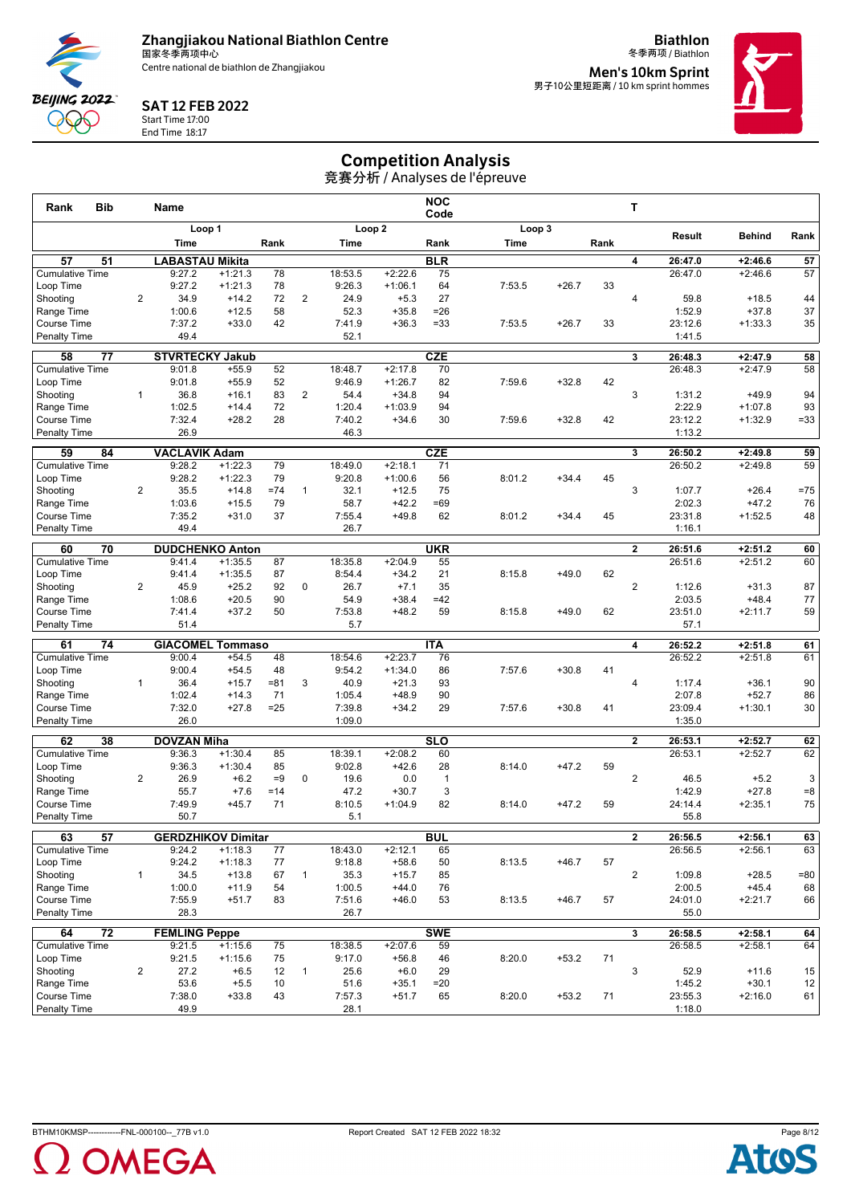

**Biathlon**



#### SAT 12 FEB 2022

Start Time 17:00 End Time 18:17

冬季两项 / Biathlon **Men's 10km Sprint<br><sub>男子10公里短距离 / 10 km sprint hommes**</sub>



# Competition Analysis

| <b>Bib</b><br>Rank                  |                | Name                      |                    |          |                |                   |                        | <b>NOC</b><br>Code |        |         |      | т                       |                   |                      |          |
|-------------------------------------|----------------|---------------------------|--------------------|----------|----------------|-------------------|------------------------|--------------------|--------|---------|------|-------------------------|-------------------|----------------------|----------|
|                                     |                |                           | Loop 1             |          |                |                   | Loop <sub>2</sub>      |                    | Loop 3 |         |      |                         |                   |                      |          |
|                                     |                | Time                      |                    | Rank     |                | Time              |                        | Rank               | Time   |         | Rank |                         | Result            | <b>Behind</b>        | Rank     |
| 57<br>51                            |                | <b>LABASTAU Mikita</b>    |                    |          |                |                   |                        | <b>BLR</b>         |        |         |      | 4                       | 26:47.0           | $+2:46.6$            | 57       |
| <b>Cumulative Time</b>              |                | 9:27.2                    | $+1:21.3$          | 78       |                | 18:53.5           | $+2:22.6$              | 75                 |        |         |      |                         | 26:47.0           | $+2:46.6$            | 57       |
| Loop Time                           |                | 9:27.2                    | $+1:21.3$          | 78       |                | 9:26.3            | $+1:06.1$              | 64                 | 7:53.5 | $+26.7$ | 33   |                         |                   |                      |          |
| Shooting                            | $\overline{2}$ | 34.9                      | $+14.2$            | 72       | 2              | 24.9              | $+5.3$                 | 27                 |        |         |      | $\overline{4}$          | 59.8              | $+18.5$              | 44       |
| Range Time                          |                | 1:00.6                    | $+12.5$            | 58       |                | 52.3              | $+35.8$                | $= 26$             |        |         |      |                         | 1:52.9            | $+37.8$              | 37       |
| <b>Course Time</b>                  |                | 7:37.2                    | $+33.0$            | 42       |                | 7:41.9            | $+36.3$                | $= 33$             | 7:53.5 | $+26.7$ | 33   |                         | 23:12.6           | $+1:33.3$            | 35       |
| <b>Penalty Time</b>                 |                | 49.4                      |                    |          |                | 52.1              |                        |                    |        |         |      |                         | 1:41.5            |                      |          |
| 58<br>77                            |                | <b>STVRTECKY Jakub</b>    |                    |          |                |                   |                        | <b>CZE</b>         |        |         |      | 3                       | 26:48.3           | $+2:47.9$            | 58       |
| <b>Cumulative Time</b>              |                | 9:01.8                    | $+55.9$            | 52       |                | 18:48.7           | $+2:17.8$              | 70                 |        |         |      |                         | 26:48.3           | $+2:47.9$            | 58       |
| Loop Time                           |                | 9:01.8                    | $+55.9$            | 52       |                | 9:46.9            | $+1:26.7$              | 82                 | 7:59.6 | $+32.8$ | 42   |                         |                   |                      |          |
| Shooting                            | $\mathbf{1}$   | 36.8                      | $+16.1$            | 83       | $\overline{2}$ | 54.4              | $+34.8$                | 94                 |        |         |      | 3                       | 1:31.2            | $+49.9$              | 94       |
| Range Time                          |                | 1:02.5                    | $+14.4$            | 72       |                | 1:20.4            | $+1:03.9$              | 94                 |        |         |      |                         | 2:22.9            | $+1:07.8$            | 93       |
| Course Time                         |                | 7:32.4                    | $+28.2$            | 28       |                | 7:40.2            | $+34.6$                | 30                 | 7:59.6 | $+32.8$ | 42   |                         | 23:12.2           | $+1:32.9$            | $= 33$   |
| <b>Penalty Time</b>                 |                | 26.9                      |                    |          |                | 46.3              |                        |                    |        |         |      |                         | 1:13.2            |                      |          |
| 59<br>84                            |                | <b>VACLAVIK Adam</b>      |                    |          |                |                   |                        | <b>CZE</b>         |        |         |      | 3                       | 26:50.2           | $+2:49.8$            | 59       |
| <b>Cumulative Time</b>              |                | 9:28.2                    | $+1:22.3$          | 79       |                | 18:49.0           | $+2:18.1$              | 71                 |        |         |      |                         | 26:50.2           | $+2:49.8$            | 59       |
| Loop Time                           |                | 9:28.2                    | $+1:22.3$          | 79       |                | 9:20.8            | $+1:00.6$              | 56                 | 8:01.2 | $+34.4$ | 45   |                         |                   |                      |          |
| Shooting                            | $\overline{2}$ | 35.5                      | $+14.8$            | $= 74$   | $\mathbf{1}$   | 32.1              | $+12.5$                | 75                 |        |         |      | 3                       | 1:07.7            | $+26.4$              | $=75$    |
| Range Time<br>Course Time           |                | 1:03.6<br>7:35.2          | $+15.5$<br>$+31.0$ | 79<br>37 |                | 58.7<br>7:55.4    | $+42.2$<br>$+49.8$     | $=69$<br>62        |        |         | 45   |                         | 2:02.3<br>23:31.8 | $+47.2$<br>$+1:52.5$ | 76       |
| <b>Penalty Time</b>                 |                | 49.4                      |                    |          |                | 26.7              |                        |                    | 8:01.2 | $+34.4$ |      |                         | 1:16.1            |                      | 48       |
|                                     |                |                           |                    |          |                |                   |                        |                    |        |         |      |                         |                   |                      |          |
| 70<br>60                            |                | <b>DUDCHENKO Anton</b>    |                    |          |                |                   |                        | <b>UKR</b>         |        |         |      | $\overline{\mathbf{2}}$ | 26:51.6           | $+2:51.2$            | 60       |
| <b>Cumulative Time</b>              |                | 9:41.4                    | $+1:35.5$          | 87       |                | 18:35.8           | $+2:04.9$              | 55                 |        |         |      |                         | 26:51.6           | $+2:51.2$            | 60       |
| Loop Time                           |                | 9:41.4                    | $+1:35.5$          | 87       |                | 8:54.4            | $+34.2$                | 21                 | 8:15.8 | $+49.0$ | 62   |                         |                   |                      |          |
| Shooting                            | $\overline{2}$ | 45.9                      | $+25.2$            | 92       | 0              | 26.7              | $+7.1$                 | 35                 |        |         |      | $\overline{2}$          | 1:12.6            | $+31.3$              | 87       |
| Range Time<br><b>Course Time</b>    |                | 1:08.6<br>7:41.4          | $+20.5$<br>$+37.2$ | 90<br>50 |                | 54.9<br>7:53.8    | $+38.4$<br>$+48.2$     | $=42$<br>59        | 8:15.8 | $+49.0$ | 62   |                         | 2:03.5<br>23:51.0 | $+48.4$<br>$+2:11.7$ | 77<br>59 |
| <b>Penalty Time</b>                 |                | 51.4                      |                    |          |                | 5.7               |                        |                    |        |         |      |                         | 57.1              |                      |          |
|                                     |                |                           |                    |          |                |                   |                        |                    |        |         |      |                         |                   |                      |          |
| 61<br>74                            |                | <b>GIACOMEL Tommaso</b>   |                    |          |                |                   |                        | <b>ITA</b>         |        |         |      | 4                       | 26:52.2           | $+2:51.8$            | 61       |
| <b>Cumulative Time</b><br>Loop Time |                | 9:00.4<br>9:00.4          | $+54.5$<br>$+54.5$ | 48<br>48 |                | 18:54.6<br>9:54.2 | $+2:23.7$<br>$+1:34.0$ | 76<br>86           | 7:57.6 | $+30.8$ | 41   |                         | 26:52.2           | $+2:51.8$            | 61       |
| Shooting                            | $\mathbf{1}$   | 36.4                      | $+15.7$            | $= 81$   | 3              | 40.9              | $+21.3$                | 93                 |        |         |      | $\overline{4}$          | 1:17.4            | $+36.1$              | 90       |
| Range Time                          |                | 1:02.4                    | $+14.3$            | 71       |                | 1:05.4            | $+48.9$                | 90                 |        |         |      |                         | 2:07.8            | $+52.7$              | 86       |
| <b>Course Time</b>                  |                | 7:32.0                    | $+27.8$            | $= 25$   |                | 7:39.8            | $+34.2$                | 29                 | 7:57.6 | $+30.8$ | 41   |                         | 23:09.4           | $+1:30.1$            | 30       |
| <b>Penalty Time</b>                 |                | 26.0                      |                    |          |                | 1:09.0            |                        |                    |        |         |      |                         | 1:35.0            |                      |          |
| 62<br>38                            |                | <b>DOVZAN Miha</b>        |                    |          |                |                   |                        | <b>SLO</b>         |        |         |      | $\mathbf{2}$            | 26:53.1           | $+2:52.7$            | 62       |
| <b>Cumulative Time</b>              |                | 9:36.3                    | $+1:30.4$          | 85       |                | 18:39.1           | $+2:08.2$              | 60                 |        |         |      |                         | 26:53.1           | $+2:52.7$            | 62       |
| Loop Time                           |                | 9:36.3                    | $+1:30.4$          | 85       |                | 9:02.8            | $+42.6$                | 28                 | 8:14.0 | $+47.2$ | 59   |                         |                   |                      |          |
| Shooting                            | $\overline{2}$ | 26.9                      | $+6.2$             | $=9$     | $\mathbf 0$    | 19.6              | 0.0                    | $\mathbf{1}$       |        |         |      | $\overline{2}$          | 46.5              | $+5.2$               | 3        |
| Range Time                          |                | 55.7                      | $+7.6$             | $=14$    |                | 47.2              | $+30.7$                | 3                  |        |         |      |                         | 1:42.9            | $+27.8$              | $= 8$    |
| Course Time                         |                | 7:49.9                    | $+45.7$            | 71       |                | 8:10.5            | $+1:04.9$              | 82                 | 8:14.0 | $+47.2$ | 59   |                         | 24:14.4           | $+2:35.1$            | 75       |
| Penalty Time                        |                | 50.7                      |                    |          |                | 5.1               |                        |                    |        |         |      |                         | 55.8              |                      |          |
| 63<br>$\overline{57}$               |                | <b>GERDZHIKOV Dimitar</b> |                    |          |                |                   |                        | <b>BUL</b>         |        |         |      | 2                       | 26:56.5           | $+2:56.1$            | 63       |
| <b>Cumulative Time</b>              |                | 9:24.2                    | $+1:18.3$          | 77       |                | 18:43.0           | $+2:12.1$              | 65                 |        |         |      |                         | 26:56.5           | $+2:56.1$            | 63       |
| Loop Time                           |                | 9:24.2                    | $+1:18.3$          | 77       |                | 9:18.8            | $+58.6$                | 50                 | 8:13.5 | $+46.7$ | 57   |                         |                   |                      |          |
| Shooting                            | $\mathbf{1}$   | 34.5                      | $+13.8$            | 67       | $\mathbf{1}$   | 35.3              | $+15.7$                | 85                 |        |         |      | $\overline{c}$          | 1:09.8            | $+28.5$              | =80      |
| Range Time                          |                | 1:00.0                    | $+11.9$            | 54       |                | 1:00.5            | $+44.0$                | 76                 |        |         |      |                         | 2:00.5            | $+45.4$              | 68       |
| Course Time                         |                | 7:55.9                    | $+51.7$            | 83       |                | 7:51.6            | $+46.0$                | 53                 | 8:13.5 | $+46.7$ | 57   |                         | 24:01.0           | $+2:21.7$            | 66       |
| Penalty Time                        |                | 28.3                      |                    |          |                | 26.7              |                        |                    |        |         |      |                         | 55.0              |                      |          |
| $\overline{72}$<br>64               |                | <b>FEMLING Peppe</b>      |                    |          |                |                   |                        | <b>SWE</b>         |        |         |      | 3                       | 26:58.5           | $+2:58.1$            | 64       |
| <b>Cumulative Time</b>              |                | 9:21.5                    | $+1:15.6$          | 75       |                | 18:38.5           | $+2:07.6$              | 59                 |        |         |      |                         | 26:58.5           | $+2:58.1$            | 64       |
| Loop Time                           |                | 9:21.5                    | $+1:15.6$          | 75       |                | 9:17.0            | $+56.8$                | 46                 | 8:20.0 | $+53.2$ | 71   |                         |                   |                      |          |
| Shooting                            | $\overline{2}$ | 27.2                      | $+6.5$             | 12       | $\mathbf{1}$   | 25.6              | $+6.0$                 | 29                 |        |         |      | 3                       | 52.9              | $+11.6$              | 15       |
| Range Time                          |                | 53.6                      | $+5.5$             | 10       |                | 51.6              | $+35.1$                | $= 20$             |        |         |      |                         | 1:45.2            | $+30.1$              | 12       |
| Course Time                         |                | 7:38.0                    | $+33.8$            | 43       |                | 7:57.3            | $+51.7$                | 65                 | 8:20.0 | $+53.2$ | 71   |                         | 23:55.3           | $+2:16.0$            | 61       |
| <b>Penalty Time</b>                 |                | 49.9                      |                    |          |                | 28.1              |                        |                    |        |         |      |                         | 1:18.0            |                      |          |



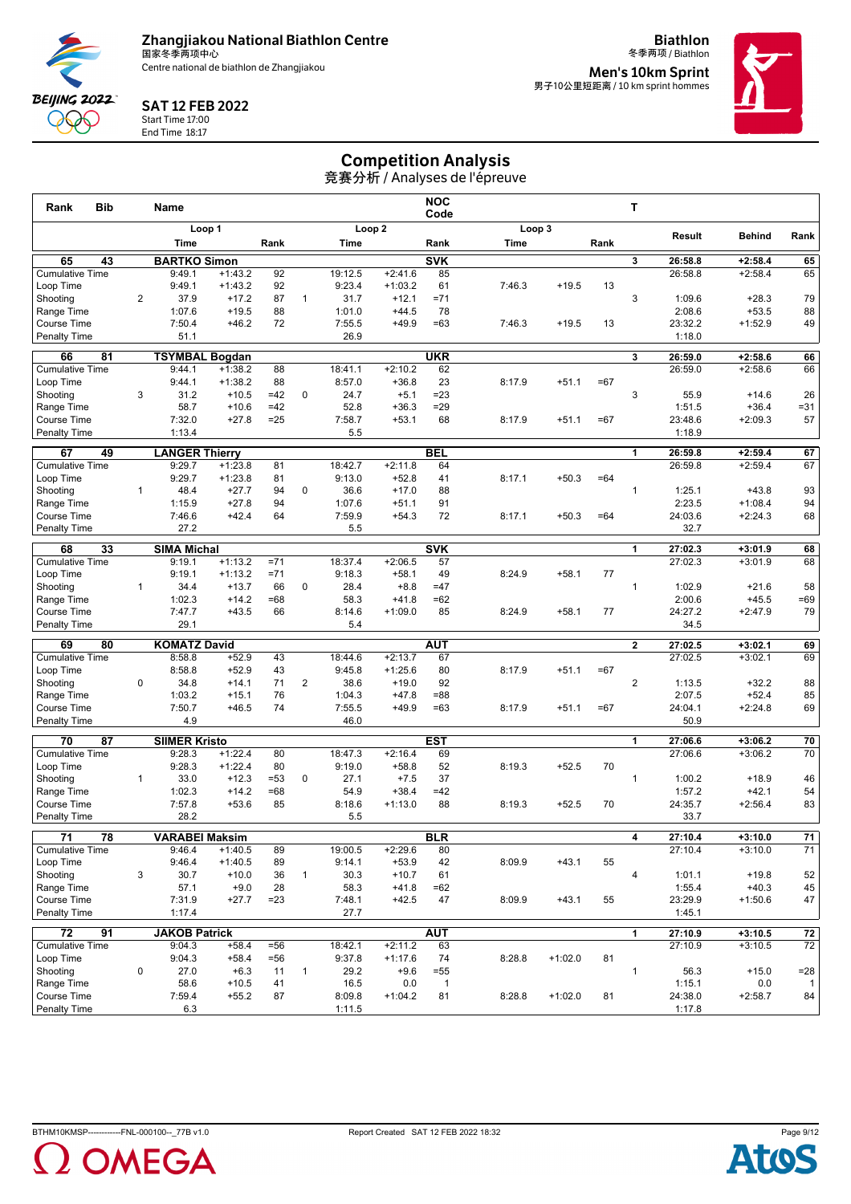

SAT 12 FEB 2022 Start Time 17:00 End Time 18:17

**BEIJING 2022 QQQ** 

**Biathlon**



冬季两项 / Biathlon **Men's 10km Sprint<br><sub>男子10公里短距离 / 10 km sprint hommes**</sub>



# Competition Analysis

|                                     |                |                       |                        |          |                |                   |                      |                          | 竞赛分析 / Analyses de l'épreuve |           |       |                         |                   |                      |                        |
|-------------------------------------|----------------|-----------------------|------------------------|----------|----------------|-------------------|----------------------|--------------------------|------------------------------|-----------|-------|-------------------------|-------------------|----------------------|------------------------|
| Rank<br>Bib                         |                | Name                  |                        |          |                |                   |                      | <b>NOC</b><br>Code       |                              |           |       | т                       |                   |                      |                        |
|                                     |                | Loop 1<br>Time        |                        | Rank     |                | Time              | Loop <sub>2</sub>    | Rank                     | Loop 3<br><b>Time</b>        |           | Rank  |                         | Result            | <b>Behind</b>        | Rank                   |
| 65<br>43                            |                | <b>BARTKO Simon</b>   |                        |          |                |                   |                      | <b>SVK</b>               |                              |           |       | 3                       | 26:58.8           | $+2:58.4$            | 65                     |
| <b>Cumulative Time</b>              |                | 9:49.1                | $+1:43.2$              | 92       |                | 19:12.5           | $+2:41.6$            | 85                       |                              |           |       |                         | 26:58.8           | $+2:58.4$            | 65                     |
| Loop Time                           |                | 9:49.1                | $+1:43.2$              | 92       |                | 9:23.4            | $+1:03.2$            | 61                       | 7:46.3                       | $+19.5$   | 13    |                         |                   |                      |                        |
| Shooting                            | $\overline{2}$ | 37.9                  | $+17.2$                | 87       | $\mathbf{1}$   | 31.7              | $+12.1$              | $= 71$                   |                              |           |       | 3                       | 1:09.6            | $+28.3$              | 79                     |
| Range Time<br><b>Course Time</b>    |                | 1:07.6<br>7:50.4      | $+19.5$<br>$+46.2$     | 88<br>72 |                | 1:01.0<br>7:55.5  | $+44.5$<br>$+49.9$   | 78<br>$=63$              | 7:46.3                       | $+19.5$   | 13    |                         | 2:08.6<br>23:32.2 | $+53.5$<br>$+1:52.9$ | 88<br>49               |
| <b>Penalty Time</b>                 |                | 51.1                  |                        |          |                | 26.9              |                      |                          |                              |           |       |                         | 1:18.0            |                      |                        |
| 66<br>81                            |                | <b>TSYMBAL Bogdan</b> |                        |          |                |                   |                      | <b>UKR</b>               |                              |           |       | 3                       | 26:59.0           | $+2:58.6$            | 66                     |
| <b>Cumulative Time</b>              |                | 9:44.1                | $+1:38.2$              | 88       |                | 18:41.1           | $+2:10.2$            | 62                       |                              |           |       |                         | 26:59.0           | $+2:58.6$            | 66                     |
| Loop Time                           |                | 9:44.1                | $+1:38.2$              | 88       |                | 8:57.0            | $+36.8$              | 23                       | 8:17.9                       | $+51.1$   | $=67$ |                         |                   |                      |                        |
| Shooting                            | 3              | 31.2                  | $+10.5$                | $=42$    | 0              | 24.7              | $+5.1$               | $= 23$                   |                              |           |       | 3                       | 55.9              | $+14.6$              | 26                     |
| Range Time                          |                | 58.7                  | $+10.6$                | $=42$    |                | 52.8              | $+36.3$              | $= 29$                   |                              |           |       |                         | 1:51.5            | $+36.4$              | $= 31$                 |
| <b>Course Time</b>                  |                | 7:32.0                | $+27.8$                | $= 25$   |                | 7:58.7            | $+53.1$              | 68                       | 8:17.9                       | $+51.1$   | $=67$ |                         | 23:48.6           | $+2:09.3$            | 57                     |
| <b>Penalty Time</b>                 |                | 1:13.4                |                        |          |                | 5.5               |                      |                          |                              |           |       |                         | 1:18.9            |                      |                        |
| 67<br>49                            |                | <b>LANGER Thierry</b> |                        |          |                |                   |                      | <b>BEL</b>               |                              |           |       | 1                       | 26:59.8           | $+2:59.4$            | 67                     |
| <b>Cumulative Time</b>              |                | 9:29.7                | $+1:23.8$              | 81       |                | 18:42.7           | $+2:11.8$            | 64                       |                              |           |       |                         | 26:59.8           | $+2:59.4$            | 67                     |
| Loop Time                           |                | 9:29.7                | $+1:23.8$              | 81       |                | 9:13.0            | $+52.8$              | 41                       | 8:17.1                       | $+50.3$   | $=64$ |                         |                   |                      |                        |
| Shooting<br>Range Time              | 1              | 48.4<br>1:15.9        | $+27.7$<br>$+27.8$     | 94<br>94 | 0              | 36.6<br>1:07.6    | $+17.0$<br>$+51.1$   | 88<br>91                 |                              |           |       | $\mathbf{1}$            | 1:25.1<br>2:23.5  | $+43.8$<br>$+1:08.4$ | 93<br>94               |
| Course Time                         |                | 7:46.6                | $+42.4$                | 64       |                | 7:59.9            | $+54.3$              | 72                       | 8:17.1                       | $+50.3$   | $=64$ |                         | 24:03.6           | $+2:24.3$            | 68                     |
| Penalty Time                        |                | 27.2                  |                        |          |                | 5.5               |                      |                          |                              |           |       |                         | 32.7              |                      |                        |
| 68<br>33                            |                | <b>SIMA Michal</b>    |                        |          |                |                   |                      | <b>SVK</b>               |                              |           |       | 1                       | 27:02.3           | $+3:01.9$            | 68                     |
| <b>Cumulative Time</b>              |                | 9:19.1                | $+1:13.2$              | $= 71$   |                | 18:37.4           | $+2:06.5$            | 57                       |                              |           |       |                         | 27:02.3           | $+3:01.9$            | 68                     |
| Loop Time                           |                | 9:19.1                | $+1:13.2$              | $= 71$   |                | 9:18.3            | $+58.1$              | 49                       | 8:24.9                       | $+58.1$   | 77    |                         |                   |                      |                        |
| Shooting                            | 1              | 34.4                  | $+13.7$                | 66       | 0              | 28.4              | $+8.8$               | $=47$                    |                              |           |       | $\mathbf{1}$            | 1:02.9            | $+21.6$              | 58                     |
| Range Time                          |                | 1:02.3                | $+14.2$                | $=68$    |                | 58.3              | $+41.8$              | $=62$                    |                              |           |       |                         | 2:00.6            | $+45.5$              | $=69$                  |
| Course Time                         |                | 7:47.7                | $+43.5$                | 66       |                | 8:14.6            | $+1:09.0$            | 85                       | 8:24.9                       | $+58.1$   | 77    |                         | 24:27.2           | $+2:47.9$            | 79                     |
| <b>Penalty Time</b>                 |                | 29.1                  |                        |          |                | 5.4               |                      |                          |                              |           |       |                         | 34.5              |                      |                        |
| 80<br>69                            |                | <b>KOMATZ David</b>   |                        |          |                |                   |                      | <b>AUT</b>               |                              |           |       | $\overline{\mathbf{2}}$ | 27:02.5           | $+3:02.1$            | 69                     |
| <b>Cumulative Time</b>              |                | 8:58.8                | $+52.9$                | 43       |                | 18:44.6           | $+2:13.7$            | 67                       |                              |           |       |                         | 27:02.5           | $+3:02.1$            | 69                     |
| Loop Time                           |                | 8:58.8                | $+52.9$                | 43       |                | 9:45.8            | $+1:25.6$            | 80                       | 8:17.9                       | $+51.1$   | $=67$ |                         |                   |                      |                        |
| Shooting                            | 0              | 34.8                  | $+14.1$                | 71       | $\overline{2}$ | 38.6              | $+19.0$              | 92                       |                              |           |       | $\overline{c}$          | 1:13.5            | $+32.2$              | 88                     |
| Range Time                          |                | 1:03.2                | $+15.1$                | 76       |                | 1:04.3            | $+47.8$              | $= 88$                   |                              |           |       |                         | 2:07.5            | $+52.4$              | 85                     |
| Course Time<br><b>Penalty Time</b>  |                | 7:50.7<br>4.9         | $+46.5$                | 74       |                | 7:55.5<br>46.0    | $+49.9$              | $=63$                    | 8:17.9                       | $+51.1$   | $=67$ |                         | 24:04.1<br>50.9   | $+2:24.8$            | 69                     |
|                                     |                |                       |                        |          |                |                   |                      |                          |                              |           |       |                         |                   |                      |                        |
| 70<br>87                            |                | <b>SIIMER Kristo</b>  |                        |          |                |                   |                      | <b>EST</b>               |                              |           |       | 1                       | 27:06.6           | $+3:06.2$            | 70                     |
| <b>Cumulative Time</b><br>Loop Time |                | 9:28.3<br>9:28.3      | $+1:22.4$<br>$+1:22.4$ | 80<br>80 |                | 18:47.3<br>9:19.0 | $+2:16.4$<br>$+58.8$ | 69<br>52                 | 8:19.3                       | $+52.5$   | 70    |                         | 27:06.6           | $+3:06.2$            | 70                     |
| Shooting                            | 1              | 33.0                  | $+12.3$                | $= 53$   | 0              | 27.1              | $+7.5$               | 37                       |                              |           |       | $\mathbf{1}$            | 1:00.2            | $+18.9$              | 46                     |
| Range Time                          |                | 1:02.3                | $+14.2$                | $=68$    |                | 54.9              | $+38.4$              | $=42$                    |                              |           |       |                         | 1:57.2            | $+42.1$              | 54                     |
| <b>Course Time</b>                  |                | 7:57.8                | $+53.6$                | 85       |                | 8:18.6            | $+1:13.0$            | 88                       | 8:19.3                       | $+52.5$   | 70    |                         | 24:35.7           | $+2:56.4$            | 83                     |
| <b>Penalty Time</b>                 |                | 28.2                  |                        |          |                | 5.5               |                      |                          |                              |           |       |                         | 33.7              |                      |                        |
| $\overline{71}$<br>78               |                | <b>VARABEI Maksim</b> |                        |          |                |                   |                      | <b>BLR</b>               |                              |           |       | 4                       | 27:10.4           | $+3:10.0$            | 71                     |
| <b>Cumulative Time</b>              |                | 9:46.4                | $+1:40.5$              | 89       |                | 19:00.5           | $+2:29.6$            | 80                       |                              |           |       |                         | 27:10.4           | $+3:10.0$            | 71                     |
| Loop Time                           |                | 9:46.4                | $+1:40.5$              | 89       |                | 9:14.1            | $+53.9$              | 42                       | 8:09.9                       | $+43.1$   | 55    |                         |                   |                      |                        |
| Shootina                            | 3              | 30.7                  | $+10.0$                | 36       | $\mathbf{1}$   | 30.3              | $+10.7$              | 61                       |                              |           |       | 4                       | 1:01.1            | $+19.8$              | 52                     |
| Range Time                          |                | 57.1                  | $+9.0$                 | 28       |                | 58.3              | $+41.8$              | $=62$                    |                              |           |       |                         | 1:55.4            | $+40.3$              | 45                     |
| Course Time                         |                | 7:31.9                | $+27.7$                | $= 23$   |                | 7:48.1            | $+42.5$              | 47                       | 8:09.9                       | $+43.1$   | 55    |                         | 23:29.9           | $+1:50.6$            | 47                     |
| <b>Penalty Time</b>                 |                | 1:17.4                |                        |          |                | 27.7              |                      |                          |                              |           |       |                         | 1:45.1            |                      |                        |
| 91<br>72                            |                | <b>JAKOB Patrick</b>  |                        |          |                |                   |                      | <b>AUT</b>               |                              |           |       | 1                       | 27:10.9           | $+3:10.5$            | 72                     |
| <b>Cumulative Time</b>              |                | 9:04.3                | $+58.4$                | $= 56$   |                | 18:42.1           | $+2:11.2$            | 63                       |                              |           |       |                         | 27:10.9           | $+3:10.5$            | 72                     |
| Loop Time                           |                | 9:04.3                | $+58.4$                | $= 56$   |                | 9:37.8            | $+1:17.6$            | 74                       | 8:28.8                       | $+1:02.0$ | 81    |                         |                   |                      |                        |
| Shooting<br>Range Time              | 0              | 27.0<br>58.6          | $+6.3$<br>$+10.5$      | 11<br>41 | $\mathbf{1}$   | 29.2<br>16.5      | $+9.6$<br>0.0        | $= 55$<br>$\overline{1}$ |                              |           |       | $\mathbf{1}$            | 56.3<br>1:15.1    | $+15.0$<br>0.0       | $= 28$<br>$\mathbf{1}$ |
| Course Time                         |                | 7:59.4                | $+55.2$                | 87       |                | 8:09.8            | $+1:04.2$            | 81                       | 8:28.8                       | $+1:02.0$ | 81    |                         | 24:38.0           | $+2:58.7$            | 84                     |
| <b>Penalty Time</b>                 |                | 6.3                   |                        |          |                | 1:11.5            |                      |                          |                              |           |       |                         | 1:17.8            |                      |                        |
|                                     |                |                       |                        |          |                |                   |                      |                          |                              |           |       |                         |                   |                      |                        |



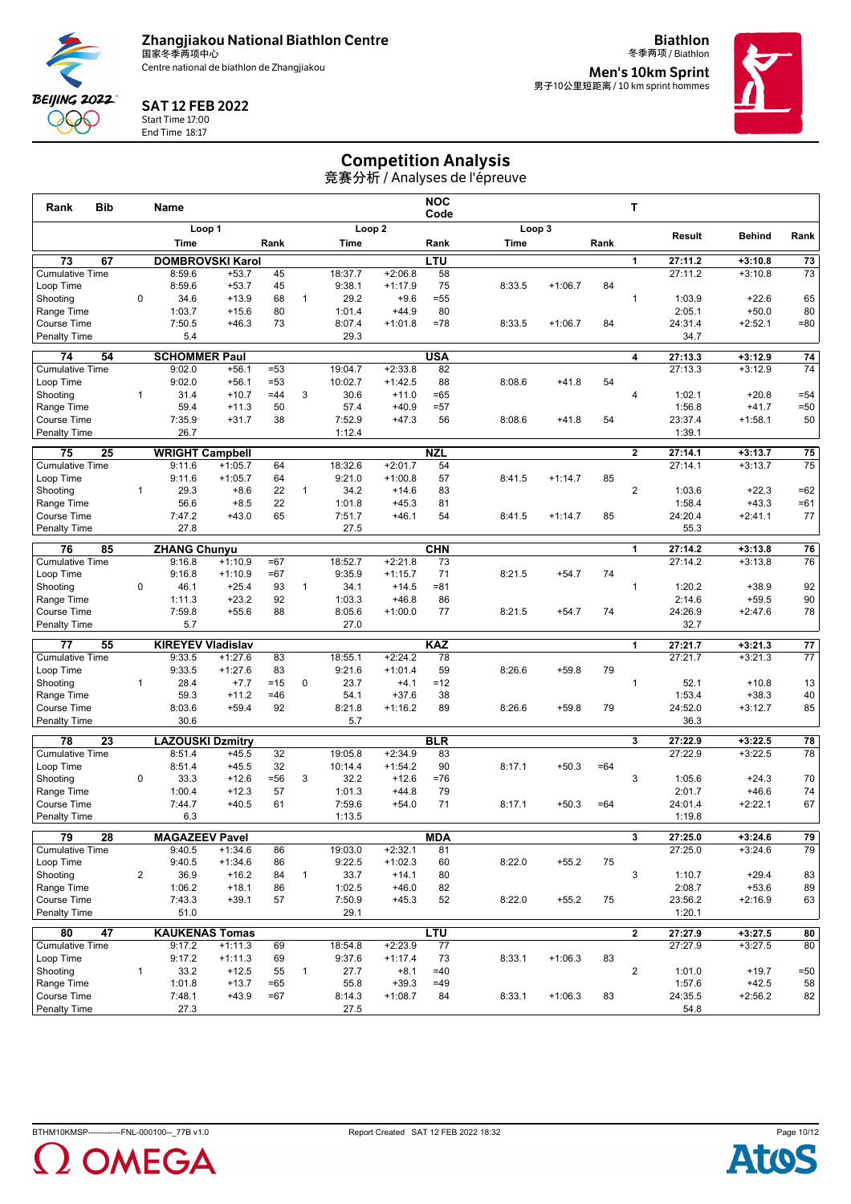

**Biathlon**



#### SAT 12 FEB 2022

Start Time 17:00 End Time 18:17

冬季两项 / Biathlon **Men's 10km Sprint<br><sub>男子10公里短距离 / 10 km sprint hommes**</sub>



## Competition Analysis

| <b>Bib</b><br>Rank                              |                | Name                              |                        |          |              |                   |                        | <b>NOC</b><br>Code |        |           |       | т                       |                    |                        |                 |
|-------------------------------------------------|----------------|-----------------------------------|------------------------|----------|--------------|-------------------|------------------------|--------------------|--------|-----------|-------|-------------------------|--------------------|------------------------|-----------------|
|                                                 |                | Loop 1                            |                        |          |              |                   | Loop <sub>2</sub>      |                    | Loop 3 |           |       |                         | Result             | <b>Behind</b>          | Rank            |
|                                                 |                | Time                              |                        | Rank     |              | Time              |                        | Rank               | Time   |           | Rank  |                         |                    |                        |                 |
| 73<br>67                                        |                | <b>DOMBROVSKI Karol</b>           |                        |          |              |                   |                        | <b>LTU</b>         |        |           |       | 1                       | 27:11.2            | $+3:10.8$              | $\overline{73}$ |
| <b>Cumulative Time</b>                          |                | 8:59.6                            | $+53.7$                | 45       |              | 18:37.7           | $+2:06.8$              | 58                 |        |           |       |                         | 27:11.2            | $+3:10.8$              | 73              |
| Loop Time                                       |                | 8:59.6                            | $+53.7$                | 45       |              | 9:38.1            | $+1:17.9$              | 75                 | 8:33.5 | $+1:06.7$ | 84    |                         |                    |                        |                 |
| Shooting                                        | $\mathbf 0$    | 34.6                              | $+13.9$                | 68       | $\mathbf{1}$ | 29.2              | $+9.6$                 | $= 55$             |        |           |       | $\mathbf{1}$            | 1:03.9             | $+22.6$                | 65              |
| Range Time                                      |                | 1:03.7                            | $+15.6$                | 80       |              | 1:01.4            | $+44.9$                | 80                 |        |           |       |                         | 2:05.1             | $+50.0$                | 80              |
| <b>Course Time</b>                              |                | 7:50.5                            | $+46.3$                | 73       |              | 8:07.4            | $+1:01.8$              | $=78$              | 8:33.5 | $+1:06.7$ | 84    |                         | 24:31.4            | $+2:52.1$              | $= 80$          |
| <b>Penalty Time</b>                             |                | 5.4                               |                        |          |              | 29.3              |                        |                    |        |           |       |                         | 34.7               |                        |                 |
| 74<br>54                                        |                | <b>SCHOMMER Paul</b>              |                        |          |              |                   |                        | <b>USA</b>         |        |           |       | 4                       | 27:13.3            | $+3:12.9$              | 74              |
| <b>Cumulative Time</b>                          |                | 9:02.0                            | $+56.1$                | $= 53$   |              | 19:04.7           | $+2:33.8$              | 82                 |        |           |       |                         | 27:13.3            | $+3:12.9$              | 74              |
| Loop Time                                       |                | 9:02.0                            | $+56.1$                | $= 53$   |              | 10:02.7           | $+1:42.5$              | 88                 | 8:08.6 | $+41.8$   | 54    |                         |                    |                        |                 |
| Shootina                                        | $\mathbf{1}$   | 31.4                              | $+10.7$                | $=44$    | 3            | 30.6              | $+11.0$                | $=65$              |        |           |       | $\overline{4}$          | 1:02.1             | $+20.8$                | $= 54$          |
| Range Time                                      |                | 59.4                              | $+11.3$                | 50       |              | 57.4              | $+40.9$                | $= 57$             |        |           |       |                         | 1:56.8             | $+41.7$                | $= 50$          |
| <b>Course Time</b>                              |                | 7:35.9                            | $+31.7$                | 38       |              | 7:52.9            | $+47.3$                | 56                 | 8:08.6 | $+41.8$   | 54    |                         | 23:37.4            | $+1:58.1$              | 50              |
| <b>Penalty Time</b>                             |                | 26.7                              |                        |          |              | 1:12.4            |                        |                    |        |           |       |                         | 1:39.1             |                        |                 |
| 75<br>25                                        |                | <b>WRIGHT Campbell</b>            |                        |          |              |                   |                        | <b>NZL</b>         |        |           |       | $\mathbf{2}$            | 27:14.1            | $+3:13.7$              | 75              |
| <b>Cumulative Time</b>                          |                | 9:11.6                            | $+1:05.7$              | 64       |              | 18:32.6           | $+2:01.7$              | 54                 |        |           |       |                         | 27:14.1            | $+3:13.7$              | 75              |
| Loop Time                                       |                | 9:11.6                            | $+1:05.7$              | 64       |              | 9:21.0            | $+1:00.8$              | 57                 | 8:41.5 | $+1:14.7$ | 85    |                         |                    |                        |                 |
| Shooting                                        | $\mathbf{1}$   | 29.3                              | $+8.6$                 | 22       | $\mathbf{1}$ | 34.2              | $+14.6$                | 83                 |        |           |       | $\overline{2}$          | 1:03.6             | $+22.3$                | $=62$           |
| Range Time                                      |                | 56.6                              | $+8.5$                 | 22       |              | 1:01.8            | $+45.3$                | 81                 |        |           |       |                         | 1:58.4             | $+43.3$                | $=61$           |
| Course Time                                     |                | 7:47.2<br>27.8                    | $+43.0$                | 65       |              | 7:51.7<br>27.5    | $+46.1$                | 54                 | 8:41.5 | $+1:14.7$ | 85    |                         | 24:20.4            | $+2:41.1$              | 77              |
| <b>Penalty Time</b>                             |                |                                   |                        |          |              |                   |                        |                    |        |           |       |                         | 55.3               |                        |                 |
| 76<br>85                                        |                | <b>ZHANG Chunyu</b>               |                        |          |              |                   |                        | <b>CHN</b>         |        |           |       | 1                       | 27:14.2            | $+3:13.8$              | 76              |
| <b>Cumulative Time</b>                          |                | 9:16.8                            | $+1:10.9$              | $=67$    |              | 18:52.7           | $+2:21.8$              | 73                 |        |           |       |                         | 27:14.2            | $+3:13.8$              | 76              |
| Loop Time                                       |                | 9:16.8                            | $+1:10.9$              | $=67$    |              | 9:35.9            | $+1:15.7$              | 71                 | 8:21.5 | $+54.7$   | 74    |                         |                    |                        |                 |
| Shooting                                        | $\mathbf 0$    | 46.1                              | $+25.4$                | 93       | $\mathbf{1}$ | 34.1              | $+14.5$                | $= 81$             |        |           |       | $\mathbf{1}$            | 1:20.2             | $+38.9$                | 92              |
| Range Time                                      |                | 1:11.3                            | $+23.2$                | 92       |              | 1:03.3            | $+46.8$                | 86                 |        |           |       |                         | 2:14.6             | $+59.5$                | 90              |
| <b>Course Time</b>                              |                | 7:59.8<br>5.7                     | $+55.6$                | 88       |              | 8:05.6<br>27.0    | $+1:00.0$              | 77                 | 8:21.5 | $+54.7$   | 74    |                         | 24:26.9<br>32.7    | $+2:47.6$              | 78              |
| <b>Penalty Time</b>                             |                |                                   |                        |          |              |                   |                        |                    |        |           |       |                         |                    |                        |                 |
| $\overline{77}$<br>55                           |                | <b>KIREYEV Vladislav</b>          |                        |          |              |                   |                        | <b>KAZ</b>         |        |           |       | $\mathbf{1}$            | 27:21.7            | $+3:21.3$              | 77              |
| <b>Cumulative Time</b>                          |                | 9:33.5<br>9:33.5                  | $+1:27.6$<br>$+1:27.6$ | 83<br>83 |              | 18:55.1<br>9:21.6 | $+2:24.2$<br>$+1:01.4$ | 78<br>59           | 8:26.6 |           | 79    |                         | 27:21.7            | $+3:21.3$              | 77              |
| Loop Time<br>Shooting                           | $\mathbf{1}$   | 28.4                              | $+7.7$                 | $=15$    | $\mathbf 0$  | 23.7              | $+4.1$                 | $=12$              |        | $+59.8$   |       | $\mathbf{1}$            | 52.1               | $+10.8$                | 13              |
| Range Time                                      |                | 59.3                              | $+11.2$                | $=46$    |              | 54.1              | $+37.6$                | 38                 |        |           |       |                         | 1:53.4             | $+38.3$                | 40              |
| <b>Course Time</b>                              |                | 8:03.6                            | $+59.4$                | 92       |              | 8:21.8            | $+1:16.2$              | 89                 | 8:26.6 | $+59.8$   | 79    |                         | 24:52.0            | $+3:12.7$              | 85              |
| <b>Penalty Time</b>                             |                | 30.6                              |                        |          |              | 5.7               |                        |                    |        |           |       |                         | 36.3               |                        |                 |
|                                                 |                |                                   |                        |          |              |                   |                        |                    |        |           |       |                         |                    |                        |                 |
| 78<br>23<br><b>Cumulative Time</b>              |                | <b>LAZOUSKI Dzmitry</b><br>8:51.4 |                        |          |              | 19:05.8           | $+2:34.9$              | <b>BLR</b><br>83   |        |           |       | 3                       | 27:22.9<br>27:22.9 | $+3:22.5$<br>$+3:22.5$ | 78<br>78        |
| Loop Time                                       |                | 8:51.4                            | $+45.5$<br>$+45.5$     | 32<br>32 |              | 10:14.4           | $+1:54.2$              | 90                 | 8:17.1 | $+50.3$   | $=64$ |                         |                    |                        |                 |
| Shootina                                        | $\mathbf 0$    | 33.3                              | $+12.6$                | $= 56$   | 3            | 32.2              | $+12.6$                | $=76$              |        |           |       | 3                       | 1:05.6             | $+24.3$                | 70              |
| Range Time                                      |                | 1:00.4                            | $+12.3$                | 57       |              | 1:01.3            | $+44.8$                | 79                 |        |           |       |                         | 2:01.7             | $+46.6$                | 74              |
| <b>Course Time</b>                              |                | 7:44.7                            | $+40.5$                | 61       |              | 7:59.6            | $+54.0$                | 71                 | 8:17.1 | $+50.3$   | $=64$ |                         | 24:01.4            | $+2:22.1$              | 67              |
| <b>Penalty Time</b>                             |                | 6.3                               |                        |          |              | 1:13.5            |                        |                    |        |           |       |                         | 1:19.8             |                        |                 |
|                                                 |                |                                   |                        |          |              |                   |                        |                    |        |           |       |                         |                    |                        |                 |
| 79<br>$\overline{28}$<br><b>Cumulative Time</b> |                | <b>MAGAZEEV Pavel</b><br>9:40.5   | $+1:34.6$              | 86       |              | 19:03.0           | $+2:32.1$              | <b>MDA</b><br>81   |        |           |       | $\overline{\mathbf{3}}$ | 27:25.0<br>27:25.0 | $+3:24.6$<br>$+3:24.6$ | 79<br>79        |
| Loop Time                                       |                | 9:40.5                            | $+1:34.6$              | 86       |              | 9:22.5            | $+1:02.3$              | 60                 | 8:22.0 | $+55.2$   | 75    |                         |                    |                        |                 |
| Shooting                                        | $\overline{2}$ | 36.9                              | $+16.2$                | 84       | $\mathbf{1}$ | 33.7              | $+14.1$                | 80                 |        |           |       | 3                       | 1:10.7             | $+29.4$                | 83              |
| Range Time                                      |                | 1:06.2                            | $+18.1$                | 86       |              | 1:02.5            | $+46.0$                | 82                 |        |           |       |                         | 2:08.7             | $+53.6$                | 89              |
| Course Time                                     |                | 7:43.3                            | $+39.1$                | 57       |              | 7:50.9            | $+45.3$                | 52                 | 8:22.0 | $+55.2$   | 75    |                         | 23:56.2            | $+2:16.9$              | 63              |
| <b>Penalty Time</b>                             |                | 51.0                              |                        |          |              | 29.1              |                        |                    |        |           |       |                         | 1:20.1             |                        |                 |
| 47<br>80                                        |                | <b>KAUKENAS Tomas</b>             |                        |          |              |                   |                        | <b>LTU</b>         |        |           |       | $\overline{2}$          | 27:27.9            | $+3:27.5$              | 80              |
| <b>Cumulative Time</b>                          |                | 9:17.2                            | $+1:11.3$              | 69       |              | 18:54.8           | $+2:23.9$              | 77                 |        |           |       |                         | 27:27.9            | $+3:27.5$              | 80              |
| Loop Time                                       |                | 9:17.2                            | $+1:11.3$              | 69       |              | 9:37.6            | $+1:17.4$              | 73                 | 8:33.1 | $+1:06.3$ | 83    |                         |                    |                        |                 |
| Shooting                                        | $\mathbf{1}$   | 33.2                              | $+12.5$                | 55       | $\mathbf{1}$ | 27.7              | $+8.1$                 | $=40$              |        |           |       | $\overline{2}$          | 1:01.0             | $+19.7$                | $= 50$          |
| Range Time                                      |                | 1:01.8                            | $+13.7$                | $=65$    |              | 55.8              | $+39.3$                | $=49$              |        |           |       |                         | 1:57.6             | $+42.5$                | 58              |
| Course Time                                     |                | 7:48.1                            | $+43.9$                | $=67$    |              | 8:14.3            | $+1:08.7$              | 84                 | 8:33.1 | $+1:06.3$ | 83    |                         | 24:35.5            | $+2:56.2$              | 82              |
| <b>Penalty Time</b>                             |                | 27.3                              |                        |          |              | 27.5              |                        |                    |        |           |       |                         | 54.8               |                        |                 |



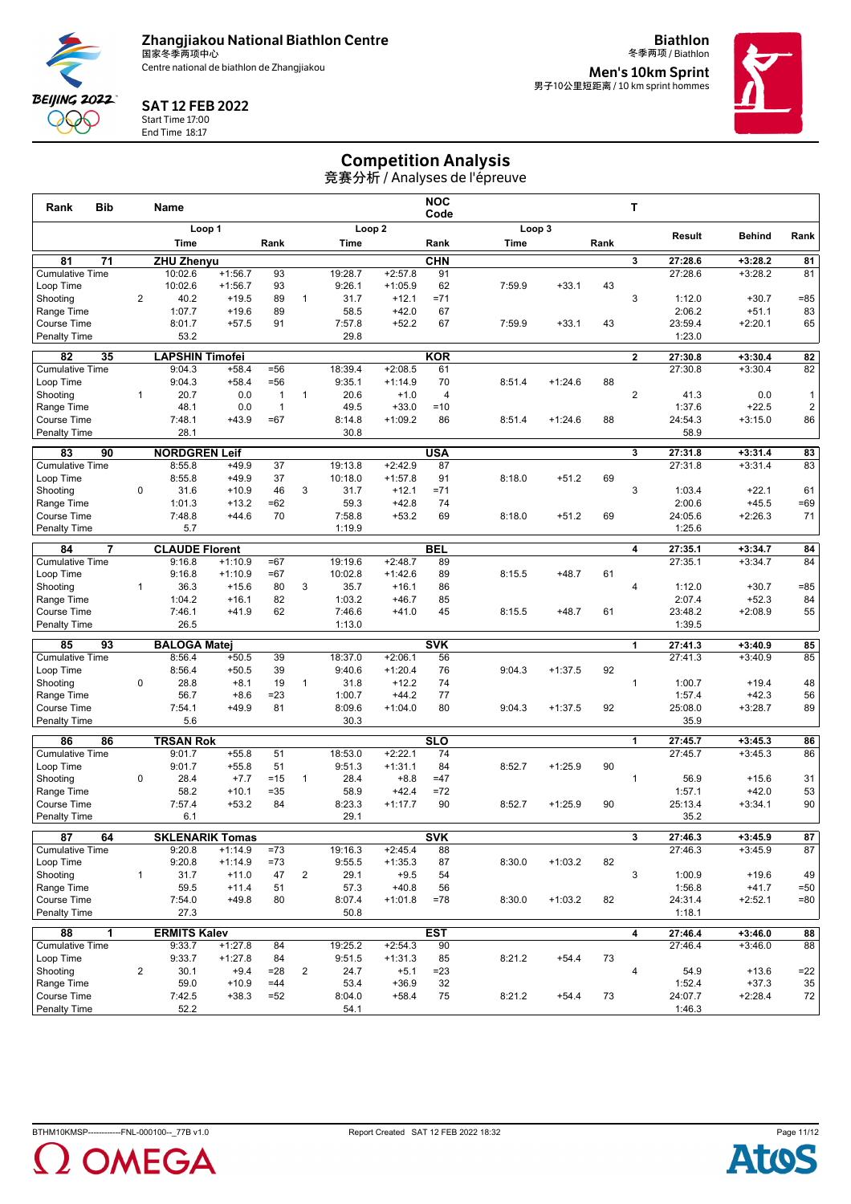

**Biathlon** 冬季两项 / Biathlon



#### SAT 12 FEB 2022

Start Time 17:00 End Time 18:17

**Men's 10km Sprint<br><sub>男子10公里短距离 / 10 km sprint hommes**</sub>



## Competition Analysis

| <b>Bib</b><br>Rank                        |                | <b>Name</b>                   |                   |                        |                |                  |                      | <b>NOC</b><br>Code   |        |           |      | т              |                    |                        |                              |
|-------------------------------------------|----------------|-------------------------------|-------------------|------------------------|----------------|------------------|----------------------|----------------------|--------|-----------|------|----------------|--------------------|------------------------|------------------------------|
|                                           |                |                               | Loop 1            |                        |                |                  | Loop <sub>2</sub>    |                      |        | Loop 3    |      |                |                    |                        |                              |
|                                           |                | Time                          |                   | Rank                   |                | Time             |                      | Rank                 | Time   |           | Rank |                | Result             | <b>Behind</b>          | Rank                         |
| 71<br>81                                  |                | <b>ZHU Zhenyu</b>             |                   |                        |                |                  |                      | CHN                  |        |           |      | 3              | 27:28.6            | $+3:28.2$              | 81                           |
| <b>Cumulative Time</b>                    |                | 10:02.6                       | $+1:56.7$         | 93                     |                | 19:28.7          | $+2:57.8$            | 91                   |        |           |      |                | 27:28.6            | $+3:28.2$              | 81                           |
| Loop Time                                 |                | 10:02.6                       | $+1:56.7$         | 93                     |                | 9:26.1           | $+1:05.9$            | 62                   | 7:59.9 | $+33.1$   | 43   |                |                    |                        |                              |
| Shooting                                  | $\overline{2}$ | 40.2                          | $+19.5$           | 89                     | $\mathbf{1}$   | 31.7             | $+12.1$              | $= 71$               |        |           |      | 3              | 1:12.0             | $+30.7$                | $= 85$                       |
| Range Time                                |                | 1:07.7                        | $+19.6$           | 89                     |                | 58.5             | $+42.0$              | 67                   |        |           |      |                | 2:06.2             | $+51.1$                | 83                           |
| Course Time                               |                | 8:01.7<br>53.2                | $+57.5$           | 91                     |                | 7:57.8<br>29.8   | $+52.2$              | 67                   | 7:59.9 | $+33.1$   | 43   |                | 23:59.4<br>1:23.0  | $+2:20.1$              | 65                           |
| <b>Penalty Time</b>                       |                |                               |                   |                        |                |                  |                      |                      |        |           |      |                |                    |                        |                              |
| 82<br>35                                  |                | <b>LAPSHIN Timofei</b>        |                   |                        |                |                  |                      | <b>KOR</b>           |        |           |      | $\mathbf{2}$   | 27:30.8            | $+3:30.4$              | 82                           |
| <b>Cumulative Time</b>                    |                | 9:04.3                        | $+58.4$           | $= 56$                 |                | 18:39.4          | $+2:08.5$            | 61                   |        |           |      |                | 27:30.8            | $+3:30.4$              | 82                           |
| Loop Time                                 | $\mathbf{1}$   | 9:04.3<br>20.7                | $+58.4$<br>0.0    | $= 56$<br>$\mathbf{1}$ | $\mathbf{1}$   | 9:35.1<br>20.6   | $+1:14.9$<br>$+1.0$  | 70<br>$\overline{4}$ | 8:51.4 | $+1:24.6$ | 88   | $\overline{2}$ | 41.3               | 0.0                    |                              |
| Shooting<br>Range Time                    |                | 48.1                          | 0.0               | $\overline{1}$         |                | 49.5             | $+33.0$              | $=10$                |        |           |      |                | 1:37.6             | $+22.5$                | 1<br>$\overline{\mathbf{c}}$ |
| Course Time                               |                | 7:48.1                        | $+43.9$           | $=67$                  |                | 8:14.8           | $+1:09.2$            | 86                   | 8:51.4 | $+1:24.6$ | 88   |                | 24:54.3            | $+3:15.0$              | 86                           |
| <b>Penalty Time</b>                       |                | 28.1                          |                   |                        |                | 30.8             |                      |                      |        |           |      |                | 58.9               |                        |                              |
| 83<br>90                                  |                | <b>NORDGREN Leif</b>          |                   |                        |                |                  |                      | <b>USA</b>           |        |           |      | 3              | 27:31.8            | $+3:31.4$              | 83                           |
| <b>Cumulative Time</b>                    |                | 8:55.8                        | $+49.9$           | 37                     |                | 19:13.8          | $+2:42.9$            | 87                   |        |           |      |                | 27:31.8            | $+3:31.4$              | 83                           |
| Loop Time                                 |                | 8:55.8                        | $+49.9$           | 37                     |                | 10:18.0          | $+1:57.8$            | 91                   | 8:18.0 | $+51.2$   | 69   |                |                    |                        |                              |
| Shooting                                  | $\mathbf 0$    | 31.6                          | $+10.9$           | 46                     | 3              | 31.7             | $+12.1$              | $= 71$               |        |           |      | 3              | 1:03.4             | $+22.1$                | 61                           |
| Range Time                                |                | 1:01.3                        | $+13.2$           | $=62$                  |                | 59.3             | $+42.8$              | 74                   |        |           |      |                | 2:00.6             | $+45.5$                | $=69$                        |
| <b>Course Time</b>                        |                | 7:48.8                        | $+44.6$           | 70                     |                | 7:58.8           | $+53.2$              | 69                   | 8:18.0 | $+51.2$   | 69   |                | 24:05.6            | $+2:26.3$              | 71                           |
| <b>Penalty Time</b>                       |                | 5.7                           |                   |                        |                | 1:19.9           |                      |                      |        |           |      |                | 1:25.6             |                        |                              |
| 84<br>$\overline{7}$                      |                | <b>CLAUDE Florent</b>         |                   |                        |                |                  |                      | <b>BEL</b>           |        |           |      | 4              | 27:35.1            | $+3:34.7$              | 84                           |
| <b>Cumulative Time</b>                    |                | 9:16.8                        | $+1:10.9$         | $=67$                  |                | 19:19.6          | $+2:48.7$            | 89                   |        |           |      |                | 27:35.1            | $+3:34.7$              | 84                           |
| Loop Time                                 |                | 9:16.8                        | $+1:10.9$         | $=67$                  |                | 10:02.8          | $+1:42.6$            | 89                   | 8:15.5 | $+48.7$   | 61   |                |                    |                        |                              |
| Shooting                                  | $\mathbf{1}$   | 36.3                          | $+15.6$           | 80                     | 3              | 35.7             | $+16.1$              | 86                   |        |           |      | $\overline{4}$ | 1:12.0             | $+30.7$                | $= 85$                       |
| Range Time                                |                | 1:04.2                        | $+16.1$           | 82                     |                | 1:03.2           | $+46.7$              | 85                   |        |           |      |                | 2:07.4             | $+52.3$                | 84                           |
| <b>Course Time</b><br><b>Penalty Time</b> |                | 7:46.1<br>26.5                | $+41.9$           | 62                     |                | 7:46.6<br>1:13.0 | $+41.0$              | 45                   | 8:15.5 | $+48.7$   | 61   |                | 23:48.2<br>1:39.5  | $+2:08.9$              | 55                           |
|                                           |                |                               |                   |                        |                |                  |                      |                      |        |           |      |                |                    |                        |                              |
| 85<br>93                                  |                | <b>BALOGA Matei</b>           |                   |                        |                |                  |                      | <b>SVK</b>           |        |           |      | 1              | 27:41.3            | $+3:40.9$              | 85                           |
| <b>Cumulative Time</b>                    |                | 8:56.4                        | $+50.5$           | 39                     |                | 18:37.0          | $+2:06.1$            | 56                   |        |           |      |                | 27:41.3            | $+3:40.9$              | 85                           |
| Loop Time<br>Shooting                     | $\mathbf 0$    | 8:56.4<br>28.8                | $+50.5$<br>$+8.1$ | 39<br>19               | $\mathbf{1}$   | 9:40.6<br>31.8   | $+1:20.4$<br>$+12.2$ | 76<br>74             | 9:04.3 | $+1:37.5$ | 92   | $\mathbf{1}$   | 1:00.7             | $+19.4$                | 48                           |
| Range Time                                |                | 56.7                          | $+8.6$            | $= 23$                 |                | 1:00.7           | $+44.2$              | 77                   |        |           |      |                | 1:57.4             | $+42.3$                | 56                           |
| Course Time                               |                | 7:54.1                        | $+49.9$           | 81                     |                | 8:09.6           | $+1:04.0$            | 80                   | 9:04.3 | $+1:37.5$ | 92   |                | 25:08.0            | $+3:28.7$              | 89                           |
| <b>Penalty Time</b>                       |                | 5.6                           |                   |                        |                | 30.3             |                      |                      |        |           |      |                | 35.9               |                        |                              |
| 86<br>86                                  |                | <b>TRSAN Rok</b>              |                   |                        |                |                  |                      | SLO                  |        |           |      | 1              | 27:45.7            | $+3:45.3$              | 86                           |
| <b>Cumulative Time</b>                    |                | 9:01.7                        | $+55.8$           | 51                     |                | 18:53.0          | $+2:22.1$            | 74                   |        |           |      |                | 27:45.7            | $+3:45.3$              | 86                           |
| Loop Time                                 |                | 9:01.7                        | $+55.8$           | 51                     |                | 9:51.3           | $+1:31.1$            | 84                   | 8:52.7 | $+1:25.9$ | 90   |                |                    |                        |                              |
| Shooting                                  | $\mathbf 0$    | 28.4                          | $+7.7$            | $=15$                  | $\mathbf{1}$   | 28.4             | $+8.8$               | $=47$                |        |           |      | $\mathbf{1}$   | 56.9               | $+15.6$                | 31                           |
| Range Time                                |                | 58.2                          | $+10.1$           | $= 35$                 |                | 58.9             | $+42.4$              | $=72$                |        |           |      |                | 1:57.1             | $+42.0$                | 53                           |
| <b>Course Time</b>                        |                | 7:57.4                        | $+53.2$           | 84                     |                | 8:23.3           | $+1:17.7$            | 90                   | 8:52.7 | $+1:25.9$ | 90   |                | 25:13.4            | $+3:34.1$              | 90                           |
| <b>Penalty Time</b>                       |                | 6.1                           |                   |                        |                | 29.1             |                      |                      |        |           |      |                | 35.2               |                        |                              |
| 64<br>87                                  |                | <b>SKLENARIK Tomas</b>        |                   |                        |                |                  |                      | <b>SVK</b>           |        |           |      | 3              | 27:46.3            | $+3:45.9$              | 87                           |
| <b>Cumulative Time</b>                    |                | 9:20.8                        | $+1:14.9$         | $= 73$                 |                | 19:16.3          | $+2:45.4$            | 88                   |        |           |      |                | 27:46.3            | $+3:45.9$              | 87                           |
| Loop Time                                 |                | 9:20.8                        | $+1:14.9$         | $=73$                  |                | 9:55.5           | $+1:35.3$            | 87                   | 8:30.0 | $+1:03.2$ | 82   |                |                    |                        |                              |
| Shootina                                  | $\mathbf{1}$   | 31.7                          | $+11.0$           | 47                     | $\overline{2}$ | 29.1             | $+9.5$               | 54                   |        |           |      | 3              | 1:00.9             | $+19.6$                | 49                           |
| Range Time                                |                | 59.5                          | $+11.4$           | 51                     |                | 57.3             | $+40.8$              | 56                   |        |           |      |                | 1:56.8             | $+41.7$                | $=50$                        |
| Course Time<br><b>Penalty Time</b>        |                | 7:54.0<br>27.3                | $+49.8$           | 80                     |                | 8:07.4<br>50.8   | $+1:01.8$            | $=78$                | 8:30.0 | $+1:03.2$ | 82   |                | 24:31.4<br>1:18.1  | $+2:52.1$              | $= 80$                       |
|                                           |                |                               |                   |                        |                |                  |                      |                      |        |           |      |                |                    |                        |                              |
| 88<br>1<br><b>Cumulative Time</b>         |                | <b>ERMITS Kalev</b><br>9:33.7 | $+1:27.8$         | 84                     |                | 19:25.2          | $+2:54.3$            | <b>EST</b><br>90     |        |           |      | 4              | 27:46.4<br>27:46.4 | $+3:46.0$<br>$+3:46.0$ | 88<br>88                     |
| Loop Time                                 |                | 9:33.7                        | $+1:27.8$         | 84                     |                | 9:51.5           | $+1:31.3$            | 85                   | 8:21.2 | $+54.4$   | 73   |                |                    |                        |                              |
| Shooting                                  | $\overline{2}$ | 30.1                          | $+9.4$            | $= 28$                 | $\overline{2}$ | 24.7             | $+5.1$               | $= 23$               |        |           |      | 4              | 54.9               | $+13.6$                | $=22$                        |
| Range Time                                |                | 59.0                          | $+10.9$           | $=44$                  |                | 53.4             | $+36.9$              | 32                   |        |           |      |                | 1:52.4             | $+37.3$                | 35                           |
| Course Time                               |                | 7:42.5                        | $+38.3$           | $= 52$                 |                | 8:04.0           | $+58.4$              | 75                   | 8:21.2 | $+54.4$   | 73   |                | 24:07.7            | $+2:28.4$              | 72                           |
| <b>Penalty Time</b>                       |                | 52.2                          |                   |                        |                | 54.1             |                      |                      |        |           |      |                | 1:46.3             |                        |                              |